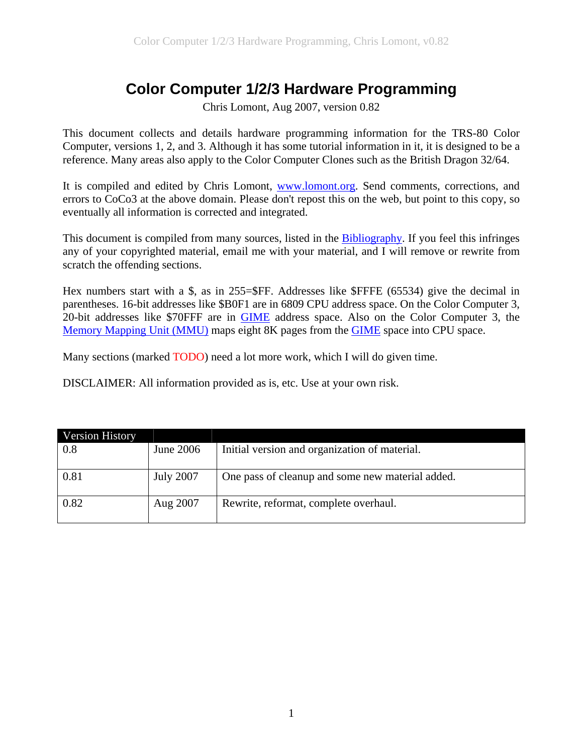# **Color Computer 1/2/3 Hardware Programming**

Chris Lomont, Aug 2007, version 0.82

<span id="page-0-0"></span>This document collects and details hardware programming information for the TRS-80 Color Computer, versions 1, 2, and 3. Although it has some tutorial information in it, it is designed to be a reference. Many areas also apply to the Color Computer Clones such as the British Dragon 32/64.

It is compiled and edited by Chris Lomont, [www.lomont.org](http://www.lomont.org/). Send comments, corrections, and errors to CoCo3 at the above domain. Please don't repost this on the web, but point to this copy, so eventually all information is corrected and integrated.

This document is compiled from many sources, listed in the [Bibliography](#page-83-0). If you feel this infringes any of your copyrighted material, email me with your material, and I will remove or rewrite from scratch the offending sections.

Hex numbers start with a \$, as in 255=\$FF. Addresses like \$FFFE (65534) give the decimal in parentheses. 16-bit addresses like \$B0F1 are in 6809 CPU address space. On the Color Computer 3, 20-bit addresses like \$70FFF are in [GIME](#page-59-0) address space. Also on the Color Computer 3, the [Memory Mapping Unit \(MMU\)](#page-66-0) maps eight 8K pages from the [GIME](#page-59-0) space into CPU space.

Many sections (marked TODO) need a lot more work, which I will do given time.

DISCLAIMER: All information provided as is, etc. Use at your own risk.

| <b>Version History</b> |                  |                                                  |
|------------------------|------------------|--------------------------------------------------|
| 0.8                    | June 2006        | Initial version and organization of material.    |
|                        |                  |                                                  |
| 0.81                   | <b>July 2007</b> | One pass of cleanup and some new material added. |
| 0.82                   | Aug 2007         | Rewrite, reformat, complete overhaul.            |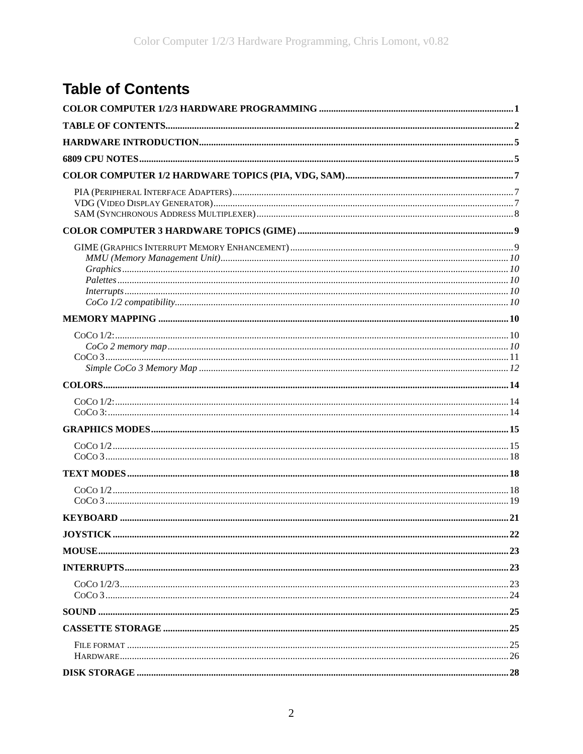# <span id="page-1-0"></span>**Table of Contents**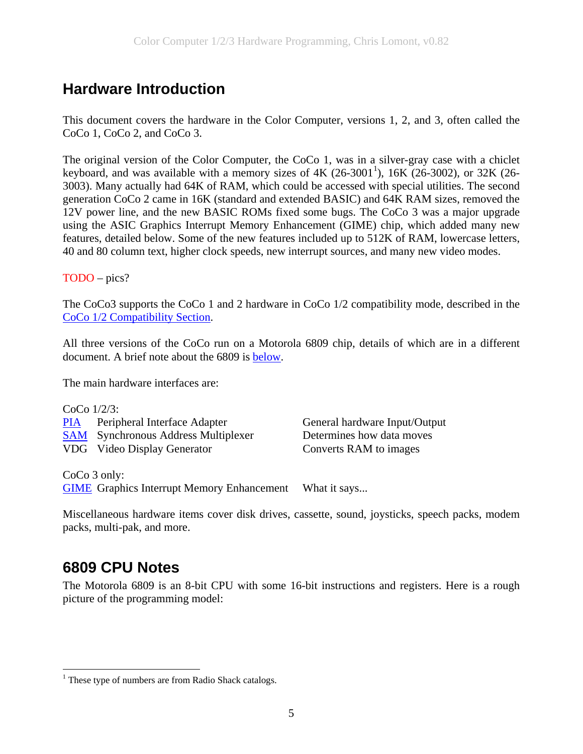# <span id="page-4-0"></span>**Hardware Introduction**

This document covers the hardware in the Color Computer, versions 1, 2, and 3, often called the CoCo 1, CoCo 2, and CoCo 3.

The original version of the Color Computer, the CoCo 1, was in a silver-gray case with a chiclet keyboard, and was available with a memory sizes of  $4K$  (26-300[1](#page-4-1)<sup>1</sup>), 16K (26-3002), or 32K (26-3003). Many actually had 64K of RAM, which could be accessed with special utilities. The second generation CoCo 2 came in 16K (standard and extended BASIC) and 64K RAM sizes, removed the 12V power line, and the new BASIC ROMs fixed some bugs. The CoCo 3 was a major upgrade using the ASIC Graphics Interrupt Memory Enhancement (GIME) chip, which added many new features, detailed below. Some of the new features included up to 512K of RAM, lowercase letters, 40 and 80 column text, higher clock speeds, new interrupt sources, and many new video modes.

TODO – pics?

The CoCo3 supports the CoCo 1 and 2 hardware in CoCo 1/2 compatibility mode, described in the [CoCo 1/2 Compatibility Section](#page-9-0).

All three versions of the CoCo run on a Motorola 6809 chip, details of which are in a different document. A brief note about the 6809 is [below.](#page-4-0)

The main hardware interfaces are:

| $CoCo$ 1/2/3: |                                            |                               |
|---------------|--------------------------------------------|-------------------------------|
|               | <b>PIA</b> Peripheral Interface Adapter    | General hardware Input/Output |
|               | <b>SAM</b> Synchronous Address Multiplexer | Determines how data moves     |
|               | VDG Video Display Generator                | Converts RAM to images        |
|               |                                            |                               |

CoCo 3 only:

<u>.</u>

[GIME](#page-59-0) Graphics Interrupt Memory Enhancement What it says...

Miscellaneous hardware items cover disk drives, cassette, sound, joysticks, speech packs, modem packs, multi-pak, and more.

# **6809 CPU Notes**

The Motorola 6809 is an 8-bit CPU with some 16-bit instructions and registers. Here is a rough picture of the programming model:

<span id="page-4-1"></span><sup>&</sup>lt;sup>1</sup> These type of numbers are from Radio Shack catalogs.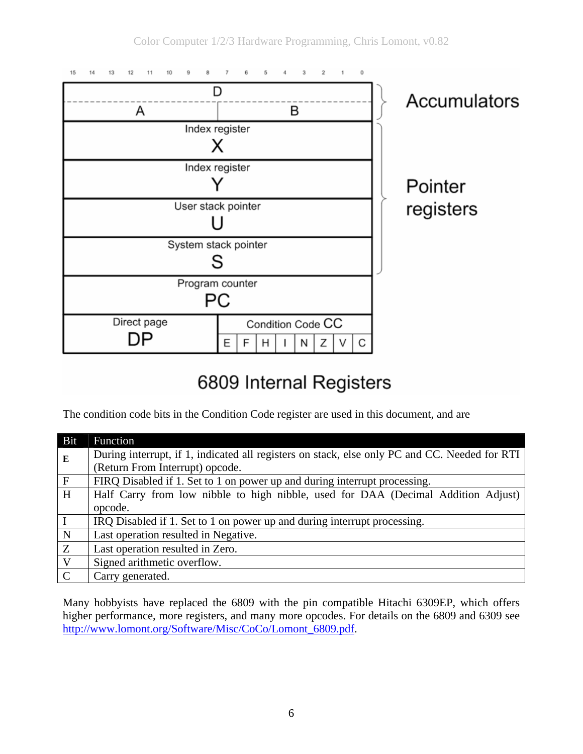

# 6809 Internal Registers

The condition code bits in the Condition Code register are used in this document, and are

| Bit            | Function                                                                                      |
|----------------|-----------------------------------------------------------------------------------------------|
| ${\bf E}$      | During interrupt, if 1, indicated all registers on stack, else only PC and CC. Needed for RTI |
|                | (Return From Interrupt) opcode.                                                               |
| $\overline{F}$ | FIRQ Disabled if 1. Set to 1 on power up and during interrupt processing.                     |
| H              | Half Carry from low nibble to high nibble, used for DAA (Decimal Addition Adjust)             |
|                | opcode.                                                                                       |
|                | IRQ Disabled if 1. Set to 1 on power up and during interrupt processing.                      |
| $\mathbf N$    | Last operation resulted in Negative.                                                          |
| Z              | Last operation resulted in Zero.                                                              |
| $\mathbf{V}$   | Signed arithmetic overflow.                                                                   |
| $\mathbf C$    | Carry generated.                                                                              |

Many hobbyists have replaced the 6809 with the pin compatible Hitachi 6309EP, which offers higher performance, more registers, and many more opcodes. For details on the 6809 and 6309 see [http://www.lomont.org/Software/Misc/CoCo/Lomont\\_6809.pdf](http://www.lomont.org/Software/Misc/CoCo/Lomont_6809.pdf).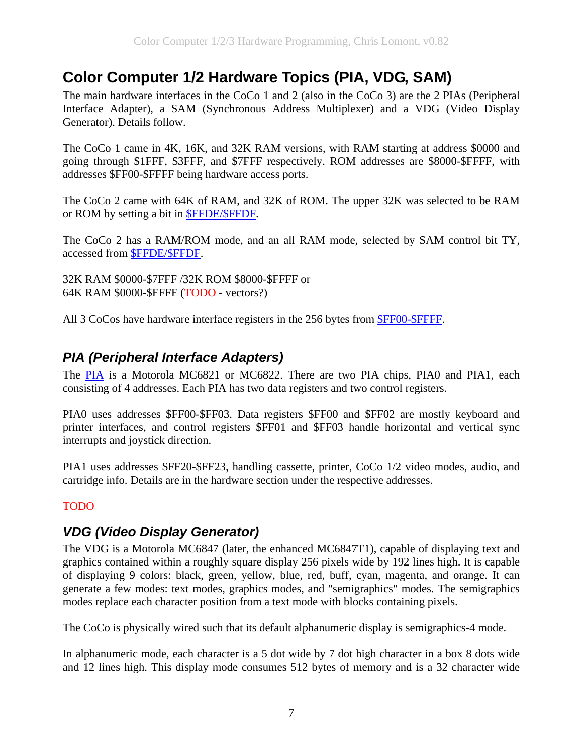# <span id="page-6-0"></span>**Color Computer 1/2 Hardware Topics (PIA, VDG, SAM)**

The main hardware interfaces in the CoCo 1 and 2 (also in the CoCo 3) are the 2 PIAs (Peripheral Interface Adapter), a SAM (Synchronous Address Multiplexer) and a VDG (Video Display Generator). Details follow.

The CoCo 1 came in 4K, 16K, and 32K RAM versions, with RAM starting at address \$0000 and going through \$1FFF, \$3FFF, and \$7FFF respectively. ROM addresses are \$8000-\$FFFF, with addresses \$FF00-\$FFFF being hardware access ports.

The CoCo 2 came with 64K of RAM, and 32K of ROM. The upper 32K was selected to be RAM or ROM by setting a bit in [\\$FFDE/\\$FFDF.](#page-71-0)

The CoCo 2 has a RAM/ROM mode, and an all RAM mode, selected by SAM control bit TY, accessed from [\\$FFDE/\\$FFDF.](#page-71-0)

32K RAM \$0000-\$7FFF /32K ROM \$8000-\$FFFF or 64K RAM \$0000-\$FFFF (TODO - vectors?)

All 3 CoCos have hardware interface registers in the 256 bytes from [\\$FF00-\\$FFFF](#page-47-0).

## *PIA (Peripheral Interface Adapters)*

The [PIA](#page-47-0) is a Motorola MC6821 or MC6822. There are two PIA chips, PIA0 and PIA1, each consisting of 4 addresses. Each PIA has two data registers and two control registers.

PIA0 uses addresses \$FF00-\$FF03. Data registers \$FF00 and \$FF02 are mostly keyboard and printer interfaces, and control registers \$FF01 and \$FF03 handle horizontal and vertical sync interrupts and joystick direction.

PIA1 uses addresses \$FF20-\$FF23, handling cassette, printer, CoCo 1/2 video modes, audio, and cartridge info. Details are in the hardware section under the respective addresses.

### TODO

## *VDG (Video Display Generator)*

The VDG is a Motorola MC6847 (later, the enhanced MC6847T1), capable of displaying text and graphics contained within a roughly square display 256 pixels wide by 192 lines high. It is capable of displaying 9 colors: black, green, yellow, blue, red, buff, cyan, magenta, and orange. It can generate a few modes: text modes, graphics modes, and "semigraphics" modes. The semigraphics modes replace each character position from a text mode with blocks containing pixels.

The CoCo is physically wired such that its default alphanumeric display is semigraphics-4 mode.

In alphanumeric mode, each character is a 5 dot wide by 7 dot high character in a box 8 dots wide and 12 lines high. This display mode consumes 512 bytes of memory and is a 32 character wide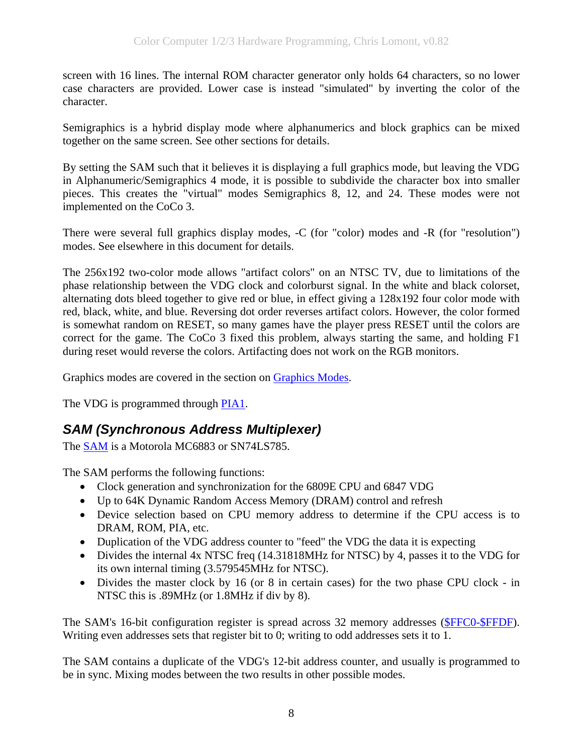<span id="page-7-0"></span>screen with 16 lines. The internal ROM character generator only holds 64 characters, so no lower case characters are provided. Lower case is instead "simulated" by inverting the color of the character.

Semigraphics is a hybrid display mode where alphanumerics and block graphics can be mixed together on the same screen. See other sections for details.

By setting the SAM such that it believes it is displaying a full graphics mode, but leaving the VDG in Alphanumeric/Semigraphics 4 mode, it is possible to subdivide the character box into smaller pieces. This creates the "virtual" modes Semigraphics 8, 12, and 24. These modes were not implemented on the CoCo 3.

There were several full graphics display modes, -C (for "color) modes and -R (for "resolution") modes. See elsewhere in this document for details.

The 256x192 two-color mode allows "artifact colors" on an NTSC TV, due to limitations of the phase relationship between the VDG clock and colorburst signal. In the white and black colorset, alternating dots bleed together to give red or blue, in effect giving a 128x192 four color mode with red, black, white, and blue. Reversing dot order reverses artifact colors. However, the color formed is somewhat random on RESET, so many games have the player press RESET until the colors are correct for the game. The CoCo 3 fixed this problem, always starting the same, and holding F1 during reset would reverse the colors. Artifacting does not work on the RGB monitors.

Graphics modes are covered in the section on [Graphics Modes](#page-14-0).

The VDG is programmed through [PIA1.](#page-48-0)

## *SAM (Synchronous Address Multiplexer)*

The [SAM](#page-69-0) is a Motorola MC6883 or SN74LS785.

The SAM performs the following functions:

- Clock generation and synchronization for the 6809E CPU and 6847 VDG
- Up to 64K Dynamic Random Access Memory (DRAM) control and refresh
- Device selection based on CPU memory address to determine if the CPU access is to DRAM, ROM, PIA, etc.
- Duplication of the VDG address counter to "feed" the VDG the data it is expecting
- Divides the internal 4x NTSC freq (14.31818MHz for NTSC) by 4, passes it to the VDG for its own internal timing (3.579545MHz for NTSC).
- Divides the master clock by 16 (or 8 in certain cases) for the two phase CPU clock in NTSC this is .89MHz (or 1.8MHz if div by 8).

The SAM's 16-bit configuration register is spread across 32 memory addresses (SFFC0-SFFDF). Writing even addresses sets that register bit to 0; writing to odd addresses sets it to 1.

The SAM contains a duplicate of the VDG's 12-bit address counter, and usually is programmed to be in sync. Mixing modes between the two results in other possible modes.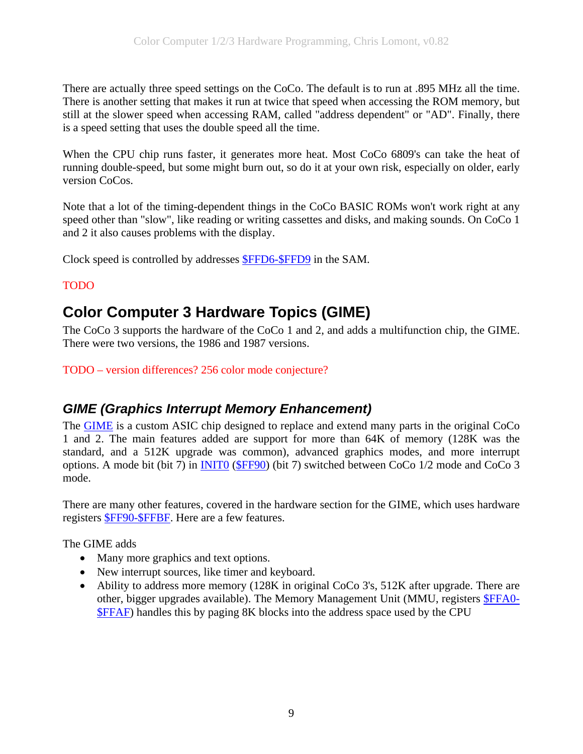<span id="page-8-0"></span>There are actually three speed settings on the CoCo. The default is to run at .895 MHz all the time. There is another setting that makes it run at twice that speed when accessing the ROM memory, but still at the slower speed when accessing RAM, called "address dependent" or "AD". Finally, there is a speed setting that uses the double speed all the time.

When the CPU chip runs faster, it generates more heat. Most CoCo 6809's can take the heat of running double-speed, but some might burn out, so do it at your own risk, especially on older, early version CoCos.

Note that a lot of the timing-dependent things in the CoCo BASIC ROMs won't work right at any speed other than "slow", like reading or writing cassettes and disks, and making sounds. On CoCo 1 and 2 it also causes problems with the display.

Clock speed is controlled by addresses [\\$FFD6-\\$FFD9](#page-71-0) in the SAM.

### TODO

# **Color Computer 3 Hardware Topics (GIME)**

The CoCo 3 supports the hardware of the CoCo 1 and 2, and adds a multifunction chip, the GIME. There were two versions, the 1986 and 1987 versions.

TODO – version differences? 256 color mode conjecture?

## *GIME (Graphics Interrupt Memory Enhancement)*

The [GIME](#page-59-0) is a custom ASIC chip designed to replace and extend many parts in the original CoCo 1 and 2. The main features added are support for more than 64K of memory (128K was the standard, and a 512K upgrade was common), advanced graphics modes, and more interrupt options. A mode bit (bit 7) in [INIT0](#page-59-0) ([\\$FF90](#page-59-0)) (bit 7) switched between CoCo 1/2 mode and CoCo 3 mode.

There are many other features, covered in the hardware section for the GIME, which uses hardware registers [\\$FF90-\\$FFBF.](#page-59-0) Here are a few features.

The GIME adds

- Many more graphics and text options.
- New interrupt sources, like timer and keyboard.
- Ability to address more memory (128K in original CoCo 3's, 512K after upgrade. There are other, bigger upgrades available). The Memory Management Unit (MMU, registers [\\$FFA0-](#page-66-0) [\\$FFAF\)](#page-66-0) handles this by paging 8K blocks into the address space used by the CPU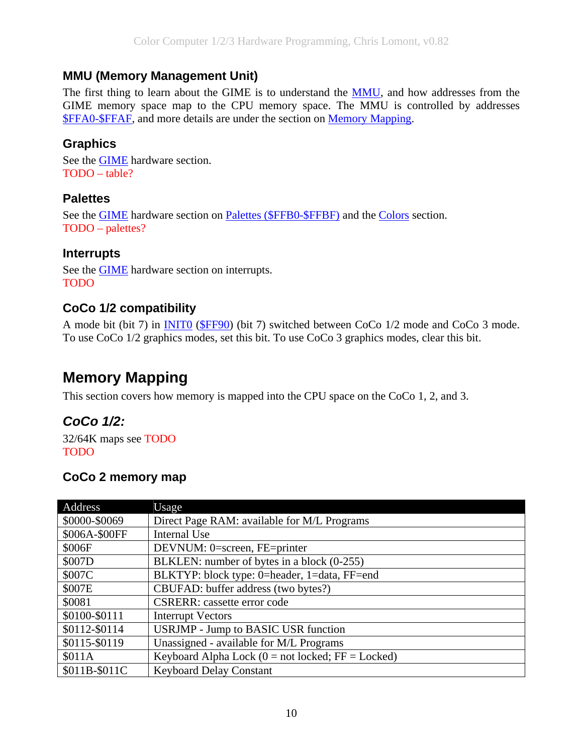### <span id="page-9-0"></span>**MMU (Memory Management Unit)**

The first thing to learn about the GIME is to understand the [MMU,](#page-66-0) and how addresses from the GIME memory space map to the CPU memory space. The MMU is controlled by addresses [\\$FFA0-\\$FFAF,](#page-66-0) and more details are under the section on [Memory Mapping](#page-9-0).

### **Graphics**

See the [GIME](#page-59-0) hardware section. TODO – table?

### **Palettes**

See the [GIME](#page-59-0) hardware section on [Palettes \(\\$FFB0-\\$FFBF\)](#page-68-0) and the [Colors](#page-13-0) section. TODO – palettes?

### **Interrupts**

See the [GIME](#page-59-0) hardware section on interrupts. TODO

## **CoCo 1/2 compatibility**

A mode bit (bit 7) in [INIT0](#page-59-0) ([\\$FF90](#page-59-0)) (bit 7) switched between CoCo 1/2 mode and CoCo 3 mode. To use CoCo 1/2 graphics modes, set this bit. To use CoCo 3 graphics modes, clear this bit.

# **Memory Mapping**

This section covers how memory is mapped into the CPU space on the CoCo 1, 2, and 3.

## *CoCo 1/2:*

32/64K maps see TODO TODO

## **CoCo 2 memory map**

| Address       | Usage                                               |
|---------------|-----------------------------------------------------|
| \$0000-\$0069 | Direct Page RAM: available for M/L Programs         |
| \$006A-\$00FF | <b>Internal Use</b>                                 |
| \$006F        | DEVNUM: 0=screen, FE=printer                        |
| \$007D        | BLKLEN: number of bytes in a block (0-255)          |
| \$007C        | BLKTYP: block type: 0=header, 1=data, FF=end        |
| \$007E        | CBUFAD: buffer address (two bytes?)                 |
| \$0081        | <b>CSRERR:</b> cassette error code                  |
| \$0100-\$0111 | <b>Interrupt Vectors</b>                            |
| \$0112-\$0114 | <b>USRJMP</b> - Jump to BASIC USR function          |
| \$0115-\$0119 | Unassigned - available for M/L Programs             |
| \$011A        | Keyboard Alpha Lock $(0 = not locked; FF = Locked)$ |
| \$011B-\$011C | <b>Keyboard Delay Constant</b>                      |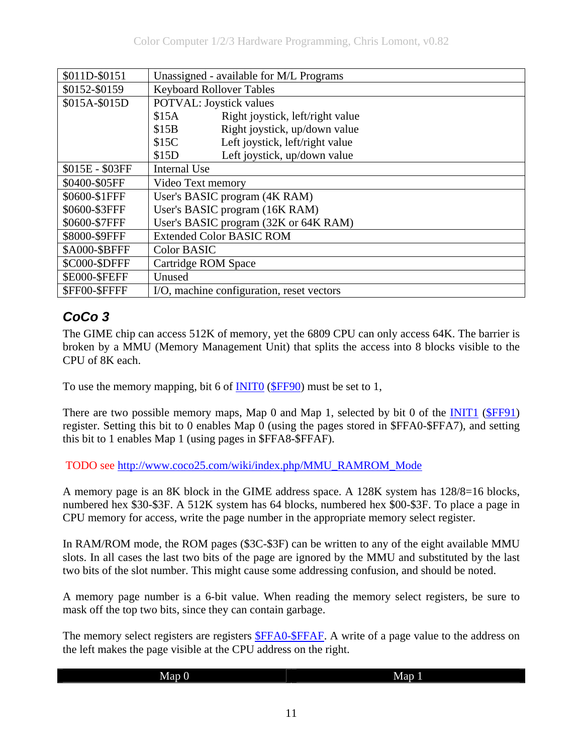<span id="page-10-0"></span>

| \$011D-\$0151        | Unassigned - available for M/L Programs   |  |
|----------------------|-------------------------------------------|--|
| \$0152-\$0159        | Keyboard Rollover Tables                  |  |
| \$015A-\$015D        | <b>POTVAL:</b> Joystick values            |  |
|                      | Right joystick, left/right value<br>\$15A |  |
|                      | Right joystick, up/down value<br>\$15B    |  |
|                      | Left joystick, left/right value<br>\$15C  |  |
|                      | Left joystick, up/down value<br>\$15D     |  |
| \$015E - \$03FF      | Internal Use                              |  |
| \$0400-\$05FF        | Video Text memory                         |  |
| \$0600-\$1FFF        | User's BASIC program (4K RAM)             |  |
| \$0600-\$3FFF        | User's BASIC program (16K RAM)            |  |
| \$0600-\$7FFF        | User's BASIC program (32K or 64K RAM)     |  |
| \$8000-\$9FFF        | <b>Extended Color BASIC ROM</b>           |  |
| \$A000-\$BFFF        | <b>Color BASIC</b>                        |  |
| \$C000-\$DFFF        | Cartridge ROM Space                       |  |
| <b>\$E000-\$FEFF</b> | Unused                                    |  |
| \$FF00-\$FFFF        | I/O, machine configuration, reset vectors |  |

## *CoCo 3*

The GIME chip can access 512K of memory, yet the 6809 CPU can only access 64K. The barrier is broken by a MMU (Memory Management Unit) that splits the access into 8 blocks visible to the CPU of 8K each.

To use the memory mapping, bit 6 of **INITO** ([\\$FF90\)](#page-59-0) must be set to 1,

There are two possible memory maps, Map 0 and Map 1, selected by bit 0 of the [INIT1](#page-60-0) ([\\$FF91](#page-60-0)) register. Setting this bit to 0 enables Map 0 (using the pages stored in \$FFA0-\$FFA7), and setting this bit to 1 enables Map 1 (using pages in \$FFA8-\$FFAF).

TODO see [http://www.coco25.com/wiki/index.php/MMU\\_RAMROM\\_Mode](http://www.coco25.com/wiki/index.php/MMU_RAMROM_Mode)

A memory page is an 8K block in the GIME address space. A 128K system has 128/8=16 blocks, numbered hex \$30-\$3F. A 512K system has 64 blocks, numbered hex \$00-\$3F. To place a page in CPU memory for access, write the page number in the appropriate memory select register.

In RAM/ROM mode, the ROM pages (\$3C-\$3F) can be written to any of the eight available MMU slots. In all cases the last two bits of the page are ignored by the MMU and substituted by the last two bits of the slot number. This might cause some addressing confusion, and should be noted.

A memory page number is a 6-bit value. When reading the memory select registers, be sure to mask off the top two bits, since they can contain garbage.

The memory select registers are registers  $$FFA0-$FFAF. A write of a page value to the address on$  $$FFA0-$FFAF. A write of a page value to the address on$ the left makes the page visible at the CPU address on the right.

| Map ()<br>. . | l<br>-<br><b>Map</b><br>. . |
|---------------|-----------------------------|
|               |                             |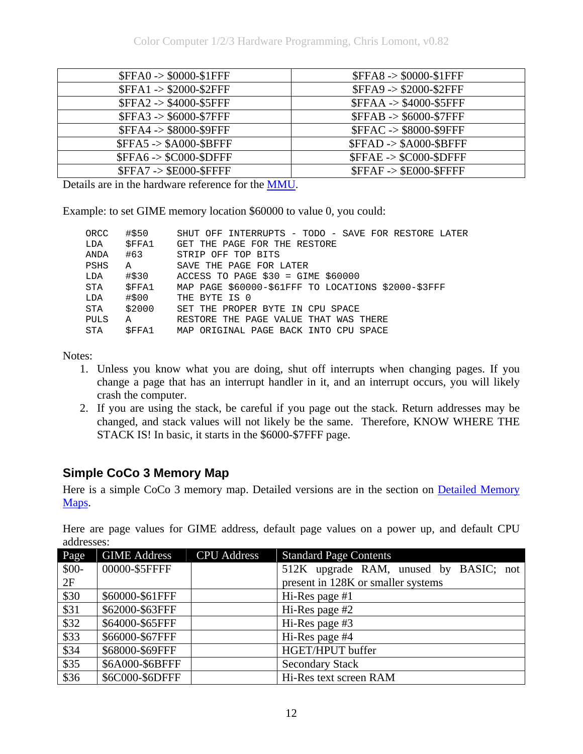<span id="page-11-0"></span>

| $SFFA0 \rightarrow $0000-S1FFF$ | $SFFAS \rightarrow $0000-S1FFF$   |
|---------------------------------|-----------------------------------|
| $SFFA1 - > $2000 - $2FFF$       | \$FFA9 -> \$2000-\$2FFF           |
| \$FFA2 -> \$4000-\$5FFF         | <b>\$FFAA -&gt; \$4000-\$5FFF</b> |
| $SFFA3 - $6000-$7FFF$           | <b>\$FFAB -&gt; \$6000-\$7FFF</b> |
| \$FFA4 -> \$8000-\$9FFF         | <b>\$FFAC -&gt; \$8000-\$9FFF</b> |
| $SFFA5 - > $A000-SBFFF$         | $SFFAD \rightarrow $A000-SBFFF$   |
| $$FFA6 -> $CO00 - $DFFF$$       | $SFFAE \rightarrow $CO00-SDFFF$   |
| $SFFA7 - > $E000-SFFFF$         | $SFFAF \rightarrow$ \$E000-\$FFFF |

Details are in the hardware reference for the [MMU](#page-66-0).

Example: to set GIME memory location \$60000 to value 0, you could:

| ORCC        | #\$50        | SHUT OFF INTERRUPTS - TODO - SAVE FOR RESTORE LATER |
|-------------|--------------|-----------------------------------------------------|
| LDA         | <b>SFFA1</b> | GET THE PAGE FOR THE RESTORE                        |
| ANDA        | #63          | STRIP OFF TOP BITS                                  |
| <b>PSHS</b> | $\mathbf{A}$ | SAVE THE PAGE FOR LATER                             |
| LDA         | #\$30        | ACCESS TO PAGE $$30 = GIME $60000$                  |
| STA         | SFFA1        | MAP PAGE \$60000-\$61FFF TO LOCATIONS \$2000-\$3FFF |
| LDA         | #\$00        | THE BYTE IS 0                                       |
| STA         | \$2000       | SET THE PROPER BYTE IN CPU SPACE                    |
| <b>PULS</b> | A            | RESTORE THE PAGE VALUE THAT WAS THERE               |
| STA         | SFFA1        | MAP ORIGINAL PAGE BACK INTO CPU SPACE               |
|             |              |                                                     |

Notes:

- 1. Unless you know what you are doing, shut off interrupts when changing pages. If you change a page that has an interrupt handler in it, and an interrupt occurs, you will likely crash the computer.
- 2. If you are using the stack, be careful if you page out the stack. Return addresses may be changed, and stack values will not likely be the same. Therefore, KNOW WHERE THE STACK IS! In basic, it starts in the \$6000-\$7FFF page.

### **Simple CoCo 3 Memory Map**

Here is a simple CoCo 3 memory map. Detailed versions are in the section on Detailed Memory [Maps.](#page-72-0)

| Page   | <b>GIME Address</b> | <b>CPU</b> Address | <b>Standard Page Contents</b>          |
|--------|---------------------|--------------------|----------------------------------------|
| $$00-$ | 00000-\$5FFFF       |                    | 512K upgrade RAM, unused by BASIC; not |
| 2F     |                     |                    | present in 128K or smaller systems     |
| \$30   | \$60000-\$61FFF     |                    | Hi-Res page #1                         |
| \$31   | \$62000-\$63FFF     |                    | Hi-Res page #2                         |
| \$32   | \$64000-\$65FFF     |                    | Hi-Res page #3                         |
| \$33   | \$66000-\$67FFF     |                    | Hi-Res page #4                         |
| \$34   | \$68000-\$69FFF     |                    | HGET/HPUT buffer                       |
| \$35   | \$6A000-\$6BFFF     |                    | <b>Secondary Stack</b>                 |
| \$36   | \$6C000-\$6DFFF     |                    | Hi-Res text screen RAM                 |

Here are page values for GIME address, default page values on a power up, and default CPU addresses: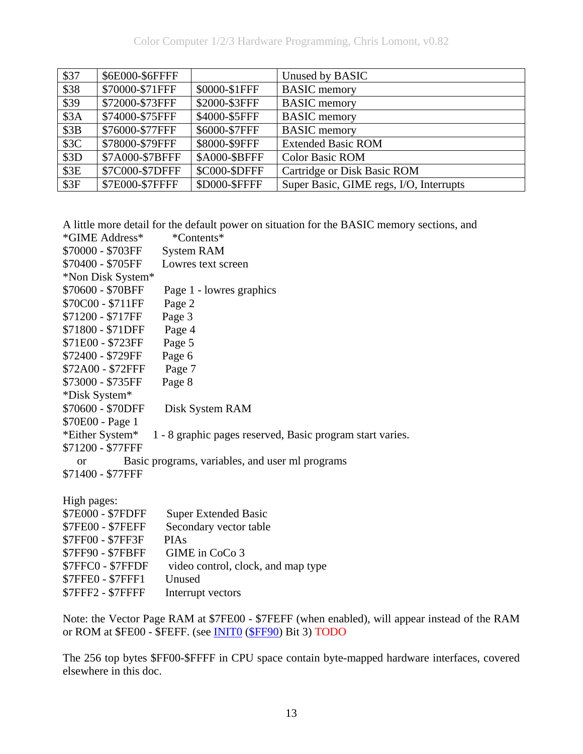| \$37 | \$6E000-\$6FFFF |               | Unused by BASIC                         |
|------|-----------------|---------------|-----------------------------------------|
| \$38 | \$70000-\$71FFF | \$0000-\$1FFF | <b>BASIC</b> memory                     |
| \$39 | \$72000-\$73FFF | \$2000-\$3FFF | <b>BASIC</b> memory                     |
| \$3A | \$74000-\$75FFF | \$4000-\$5FFF | <b>BASIC</b> memory                     |
| \$3B | \$76000-\$77FFF | \$6000-\$7FFF | <b>BASIC</b> memory                     |
| \$3C | \$78000-\$79FFF | \$8000-\$9FFF | <b>Extended Basic ROM</b>               |
| \$3D | \$7A000-\$7BFFF | \$A000-\$BFFF | <b>Color Basic ROM</b>                  |
| \$3E | \$7C000-\$7DFFF | \$C000-\$DFFF | Cartridge or Disk Basic ROM             |
| \$3F | \$7E000-\$7FFFF | \$D000-\$FFFF | Super Basic, GIME regs, I/O, Interrupts |

A little more detail for the default power on situation for the BASIC memory sections, and \*CIME  $\Lambda$ ddress\* \*Contents\*

| <b>UINIL AUGUESS</b>     | "Coments"                                                 |
|--------------------------|-----------------------------------------------------------|
| \$70000 - \$703FF        | <b>System RAM</b>                                         |
| \$70400 - \$705FF        | Lowres text screen                                        |
| *Non Disk System*        |                                                           |
| \$70600 - \$70BFF        | Page 1 - lowres graphics                                  |
| \$70C00 - \$711FF        | Page 2                                                    |
| \$71200 - \$717FF        | Page 3                                                    |
| \$71800 - \$71DFF        | Page 4                                                    |
| \$71E00 - \$723FF        | Page 5                                                    |
| \$72400 - \$729FF        | Page 6                                                    |
| \$72A00 - \$72FFF        | Page 7                                                    |
| \$73000 - \$735FF        | Page 8                                                    |
| *Disk System*            |                                                           |
| \$70600 - \$70DFF        | Disk System RAM                                           |
| \$70E00 - Page 1         |                                                           |
| *Either System*          | 1 - 8 graphic pages reserved, Basic program start varies. |
| \$71200 - \$77FFF        |                                                           |
| $\alpha$                 | Basic programs, variables, and user ml programs           |
| \$71400 - \$77FFF        |                                                           |
|                          |                                                           |
| High pages:              |                                                           |
| \$7E000 - \$7FDFF        | <b>Super Extended Basic</b>                               |
| \$7FE00 - \$7FEFF        | Secondary vector table                                    |
| \$7FF00 - \$7FF3F        | <b>PIAs</b>                                               |
| \$7FF90 - \$7FBFF        | GIME in CoCo 3                                            |
| \$7FFC0 - \$7FFDF        | video control, clock, and map type                        |
| \$7FFE0 - \$7FFF1        | Unused                                                    |
| <b>\$7FFF2 - \$7FFFF</b> | Interrupt vectors                                         |

Note: the Vector Page RAM at \$7FE00 - \$7FEFF (when enabled), will appear instead of the RAM or ROM at \$FE00 - \$FEFF. (see [INIT0](#page-59-0) ([\\$FF90\)](#page-59-0) Bit 3) TODO

The 256 top bytes \$FF00-\$FFFF in CPU space contain byte-mapped hardware interfaces, covered elsewhere in this doc.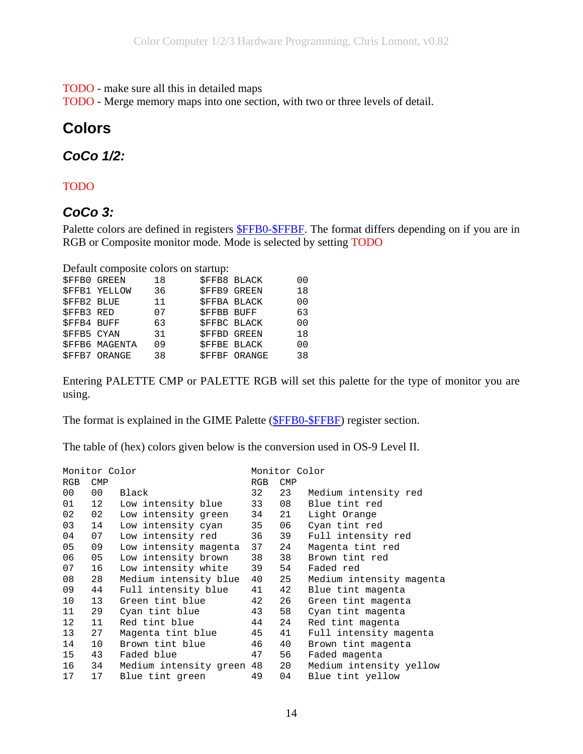<span id="page-13-0"></span>TODO - make sure all this in detailed maps

TODO - Merge memory maps into one section, with two or three levels of detail.

## **Colors**

### *CoCo 1/2:*

### TODO

### *CoCo 3:*

Palette colors are defined in registers **\$FFB0-\$FFBF**. The format differs depending on if you are in RGB or Composite monitor mode. Mode is selected by setting TODO

Default composite colors on startup:

|                    | <b>\$FFB0 GREEN</b>   | 18 |                    | <b>SFFB8 BLACK</b>  | 00             |
|--------------------|-----------------------|----|--------------------|---------------------|----------------|
|                    | <b>\$FFB1 YELLOW</b>  | 36 |                    | <b>\$FFB9 GREEN</b> | 18             |
| <b>\$FFB2 BLUE</b> |                       | 11 |                    | <b>\$FFBA BLACK</b> | 0 <sub>0</sub> |
| <b>\$FFB3 RED</b>  |                       | 07 | <b>\$FFBB BUFF</b> |                     | 63             |
| <b>\$FFB4 BUFF</b> |                       | 63 |                    | <b>\$FFBC BLACK</b> | 0 <sub>0</sub> |
| <b>SFFB5 CYAN</b>  |                       | 31 |                    | <b>SFFBD GREEN</b>  | 18             |
|                    | <b>\$FFB6 MAGENTA</b> | 09 |                    | SFFBE BLACK         | 00             |
|                    | <b>\$FFB7 ORANGE</b>  | 38 |                    | <b>SFFBF ORANGE</b> | 38             |
|                    |                       |    |                    |                     |                |

Entering PALETTE CMP or PALETTE RGB will set this palette for the type of monitor you are using.

The format is explained in the GIME Palette ([\\$FFB0-\\$FFBF\)](#page-68-0) register section.

The table of (hex) colors given below is the conversion used in OS-9 Level II.

|            | Monitor Color   |                           |     | Monitor Color |                          |
|------------|-----------------|---------------------------|-----|---------------|--------------------------|
| <b>RGB</b> | <b>CMP</b>      |                           | RGB | <b>CMP</b>    |                          |
| 00         | 00              | Black                     | 32  | 23            | Medium intensity red     |
| 01         | 12 <sup>°</sup> | Low intensity blue        | 33  | 08            | Blue tint red            |
| 02         | 02              | Low intensity green       | 34  | 21            | Light Orange             |
| 03         | 14              | Low intensity cyan        | 35  | 06            | Cyan tint red            |
| 04         | 07              | Low intensity red         | 36  | 39            | Full intensity red       |
| 05         | 09              | Low intensity magenta     | 37  | 24            | Magenta tint red         |
| 06         | 05              | Low intensity brown       | 38  | 38            | Brown tint red           |
| 07         | 16              | Low intensity white       | 39  | 54            | Faded red                |
| 08         | 28              | Medium intensity blue     | 40  | 25            | Medium intensity magenta |
| 09         | 44              | Full intensity blue       | 41  | 42            | Blue tint magenta        |
| 10         | 13              | Green tint blue           | 42  | 26            | Green tint magenta       |
| 11         | 29              | Cyan tint blue            | 43  | 58            | Cyan tint magenta        |
| 12         | 11              | Red tint blue             | 44  | 24            | Red tint magenta         |
| 13         | 27              | Magenta tint blue         | 45  | 41            | Full intensity magenta   |
| 14         | 10              | Brown tint blue           | 46  | 40            | Brown tint magenta       |
| 15         | 43              | Faded blue                | 47  | 56            | Faded magenta            |
| 16         | 34              | Medium intensity green 48 |     | 20            | Medium intensity yellow  |
| 17         | 17              | Blue tint green           | 49  | 04            | Blue tint yellow         |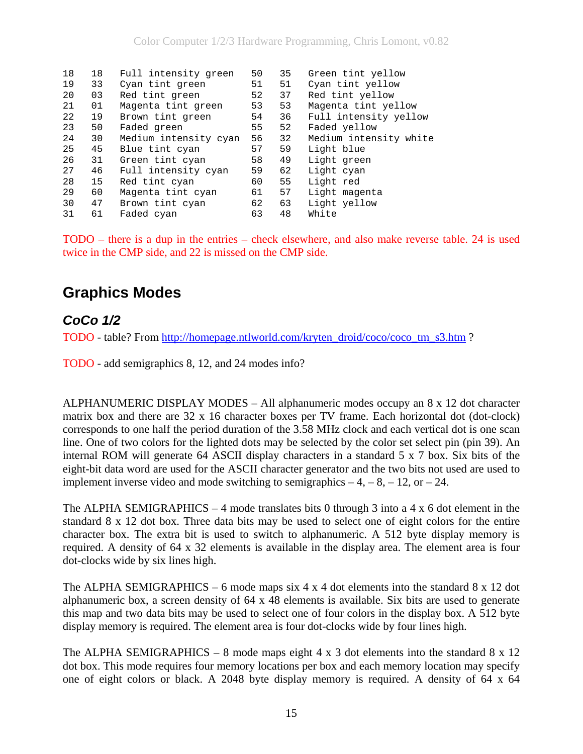<span id="page-14-0"></span>

| 18 | 18 | Full intensity green  | 50 | 35 | Green tint yellow      |
|----|----|-----------------------|----|----|------------------------|
| 19 | 33 | Cyan tint green       | 51 | 51 | Cyan tint yellow       |
| 20 | 03 | Red tint green        | 52 | 37 | Red tint yellow        |
| 21 | 01 | Magenta tint green    | 53 | 53 | Magenta tint yellow    |
| 22 | 19 | Brown tint green      | 54 | 36 | Full intensity yellow  |
| 23 | 50 | Faded green           | 55 | 52 | Faded yellow           |
| 24 | 30 | Medium intensity cyan | 56 | 32 | Medium intensity white |
| 25 | 45 | Blue tint cyan        | 57 | 59 | Light blue             |
| 26 | 31 | Green tint cyan       | 58 | 49 | Light green            |
| 27 | 46 | Full intensity cyan   | 59 | 62 | Light cyan             |
| 28 | 15 | Red tint cyan         | 60 | 55 | Light red              |
| 29 | 60 | Magenta tint cyan     | 61 | 57 | Light magenta          |
| 30 | 47 | Brown tint cyan       | 62 | 63 | Light yellow           |
| 31 | 61 | Faded cyan            | 63 | 48 | White                  |

TODO – there is a dup in the entries – check elsewhere, and also make reverse table. 24 is used twice in the CMP side, and 22 is missed on the CMP side.

## **Graphics Modes**

## *CoCo 1/2*

TODO - table? From [http://homepage.ntlworld.com/kryten\\_droid/coco/coco\\_tm\\_s3.htm](http://homepage.ntlworld.com/kryten_droid/coco/coco_tm_s3.htm) ?

TODO - add semigraphics 8, 12, and 24 modes info?

ALPHANUMERIC DISPLAY MODES – All alphanumeric modes occupy an 8 x 12 dot character matrix box and there are 32 x 16 character boxes per TV frame. Each horizontal dot (dot-clock) corresponds to one half the period duration of the 3.58 MHz clock and each vertical dot is one scan line. One of two colors for the lighted dots may be selected by the color set select pin (pin 39). An internal ROM will generate 64 ASCII display characters in a standard 5 x 7 box. Six bits of the eight-bit data word are used for the ASCII character generator and the two bits not used are used to implement inverse video and mode switching to semigraphics  $-4$ ,  $-8$ ,  $-12$ , or  $-24$ .

The ALPHA SEMIGRAPHICS – 4 mode translates bits 0 through 3 into a 4 x 6 dot element in the standard 8 x 12 dot box. Three data bits may be used to select one of eight colors for the entire character box. The extra bit is used to switch to alphanumeric. A 512 byte display memory is required. A density of 64 x 32 elements is available in the display area. The element area is four dot-clocks wide by six lines high.

The ALPHA SEMIGRAPHICS – 6 mode maps six 4 x 4 dot elements into the standard 8 x 12 dot alphanumeric box, a screen density of 64 x 48 elements is available. Six bits are used to generate this map and two data bits may be used to select one of four colors in the display box. A 512 byte display memory is required. The element area is four dot-clocks wide by four lines high.

The ALPHA SEMIGRAPHICS – 8 mode maps eight  $4 \times 3$  dot elements into the standard  $8 \times 12$ dot box. This mode requires four memory locations per box and each memory location may specify one of eight colors or black. A 2048 byte display memory is required. A density of 64 x 64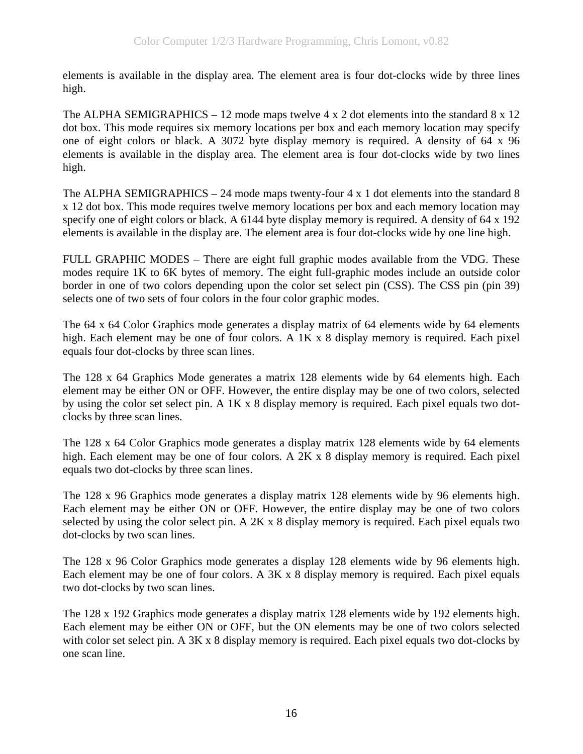elements is available in the display area. The element area is four dot-clocks wide by three lines high.

The ALPHA SEMIGRAPHICS – 12 mode maps twelve 4 x 2 dot elements into the standard 8 x 12 dot box. This mode requires six memory locations per box and each memory location may specify one of eight colors or black. A 3072 byte display memory is required. A density of 64 x 96 elements is available in the display area. The element area is four dot-clocks wide by two lines high.

The ALPHA SEMIGRAPHICS – 24 mode maps twenty-four  $4 \times 1$  dot elements into the standard 8 x 12 dot box. This mode requires twelve memory locations per box and each memory location may specify one of eight colors or black. A 6144 byte display memory is required. A density of 64 x 192 elements is available in the display are. The element area is four dot-clocks wide by one line high.

FULL GRAPHIC MODES – There are eight full graphic modes available from the VDG. These modes require 1K to 6K bytes of memory. The eight full-graphic modes include an outside color border in one of two colors depending upon the color set select pin (CSS). The CSS pin (pin 39) selects one of two sets of four colors in the four color graphic modes.

The 64 x 64 Color Graphics mode generates a display matrix of 64 elements wide by 64 elements high. Each element may be one of four colors. A 1K x 8 display memory is required. Each pixel equals four dot-clocks by three scan lines.

The 128 x 64 Graphics Mode generates a matrix 128 elements wide by 64 elements high. Each element may be either ON or OFF. However, the entire display may be one of two colors, selected by using the color set select pin. A 1K x 8 display memory is required. Each pixel equals two dotclocks by three scan lines.

The 128 x 64 Color Graphics mode generates a display matrix 128 elements wide by 64 elements high. Each element may be one of four colors. A 2K x 8 display memory is required. Each pixel equals two dot-clocks by three scan lines.

The 128 x 96 Graphics mode generates a display matrix 128 elements wide by 96 elements high. Each element may be either ON or OFF. However, the entire display may be one of two colors selected by using the color select pin. A 2K x 8 display memory is required. Each pixel equals two dot-clocks by two scan lines.

The 128 x 96 Color Graphics mode generates a display 128 elements wide by 96 elements high. Each element may be one of four colors. A 3K x 8 display memory is required. Each pixel equals two dot-clocks by two scan lines.

The 128 x 192 Graphics mode generates a display matrix 128 elements wide by 192 elements high. Each element may be either ON or OFF, but the ON elements may be one of two colors selected with color set select pin. A 3K x 8 display memory is required. Each pixel equals two dot-clocks by one scan line.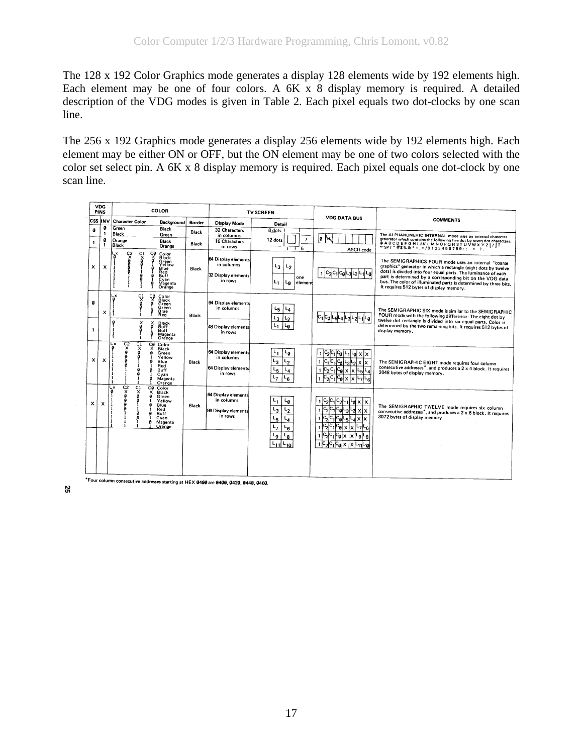The 128 x 192 Color Graphics mode generates a display 128 elements wide by 192 elements high. Each element may be one of four colors. A 6K x 8 display memory is required. A detailed description of the VDG modes is given in Table 2. Each pixel equals two dot-clocks by one scan line.

The 256 x 192 Graphics mode generates a display 256 elements wide by 192 elements high. Each element may be either ON or OFF, but the ON element may be one of two colors selected with the color set select pin. A 6K x 8 display memory is required. Each pixel equals one dot-clock by one scan line.

|         |                           |                                                                  |                               | <b>COLOR</b>                                                                                                                                      |                       |                                                                     | <b>TV SCREEN</b>                                                                                        |                                                                                                                                                               |                                                                                                                                                                                                                                                                                                                                                                     |  |  |
|---------|---------------------------|------------------------------------------------------------------|-------------------------------|---------------------------------------------------------------------------------------------------------------------------------------------------|-----------------------|---------------------------------------------------------------------|---------------------------------------------------------------------------------------------------------|---------------------------------------------------------------------------------------------------------------------------------------------------------------|---------------------------------------------------------------------------------------------------------------------------------------------------------------------------------------------------------------------------------------------------------------------------------------------------------------------------------------------------------------------|--|--|
|         |                           | CSS INV Character Color                                          |                               | Background                                                                                                                                        | Border                | Display Mode                                                        | <b>Detail</b>                                                                                           | <b>VDG DATA BUS</b>                                                                                                                                           | <b>COMMENTS</b>                                                                                                                                                                                                                                                                                                                                                     |  |  |
| a<br>-1 | ø<br>1<br>Ø               | Green<br>Black<br>Orange<br>Black                                |                               | <b>Black</b><br>Green<br>Black<br>Orange                                                                                                          | <b>Black</b><br>Black | 32 Characters<br>in columns<br>16 Characters<br>in rows             | 8 dots<br>$\overline{7}$<br>12 dots<br>5<br>$\blacksquare$<br>Т                                         | 10 M<br>ASCII code                                                                                                                                            | The ALPHANUMERIC INTERNAL mode uses an internal character<br>generator which contains the following five dot by seven dot characters:<br>@ABCDEFGHIJKLMNOPQRSTUVWXYZ[/]1<br>$-$ SPI $^{7}$ #\$%&*+,=/0123456789:; = 7.                                                                                                                                              |  |  |
| x       | x                         | çş<br>$\overline{\mathbf{x}}$                                    | C1<br>$\overline{\mathsf{x}}$ | ပ္န<br>Color<br><b>Black</b><br>Green<br>Blue<br>Red<br>Buff<br>Cyan<br>Magenta<br>Orange                                                         | <b>Black</b>          | 64 Display elements<br>in columns<br>32 Display elements<br>in rows | $L_3$<br>L <sub>2</sub><br>one<br>L1<br>ما<br>element                                                   | <b>CalL3L2</b><br>ιg                                                                                                                                          | The SEMIGRAPHICS FOUR mode uses an internal "coarse<br>graphics" generator in which a rectangle (eight dots by twelve<br>dots) is divided into four equal parts. The luminance of each<br>part is determined by a corresponding bit on the VDG data<br>bus. The color of illuminated parts is determined by three bits.<br>It requires 512 bytes of display memory. |  |  |
| a       | $\boldsymbol{\mathsf{x}}$ | L x<br>ī                                                         | C1                            | ÇØ<br>Color<br><b>Black</b><br>Green<br>Green<br>Blue<br>Red                                                                                      | <b>Black</b>          | 64 Display elements<br>in columns                                   | $L_4$<br>L <sub>5</sub><br>$L_3$<br>L2                                                                  | Lø                                                                                                                                                            | The SEMIGRAPHIC SIX mode is similar to the SEMIGRAPHIC<br>FOUR mode with the following difference: The eight dot by                                                                                                                                                                                                                                                 |  |  |
| 1       |                           | $\mathbf{a}$                                                     | ×                             | Black<br>Buff<br>š<br>Buff<br>ę<br>Magenta<br>Orange                                                                                              |                       | 48 Display elements<br>in rows                                      | L۵                                                                                                      |                                                                                                                                                               | twelve dot rectangle is divided into six equal parts. Color is<br>determined by the two remaining bits. It requires 512 bytes of<br>display memory.                                                                                                                                                                                                                 |  |  |
| x       | x                         | Lx<br>$\overline{c_2^2}$<br>a<br>п                               | Č1<br>$\times$<br>a<br>O      | CQ<br>Color<br>×<br><b>Black</b><br>Ø<br>Green<br>Yellow<br>Blue<br>Red<br>Buff<br>$\alpha$<br>п<br>Cvan<br>$\boldsymbol{a}$<br>Magenta<br>Orange | <b>Black</b>          | 64 Display elements<br>in columns<br>64 Display elements<br>in rows | L,<br>L <sub>0</sub><br>ւշ<br>L <sub>3</sub><br>$L_{5}$<br>L <sub>4</sub><br>L7<br>L <sub>6</sub>       | Fo<br>$c_{2}$<br>c,<br>Կal x l x<br>-1<br>$c_1 c_0 $<br>رما<br>x x<br>$c_1 c_0 $<br>-4<br>x<br>·sl<br>x<br>-6                                                 | The SEMIGRAPHIC EIGHT mode requires four column<br>consecutive addresses*, and produces a 2 x 4 block. It requires<br>2048 bytes of display memory.                                                                                                                                                                                                                 |  |  |
| x       | x                         | $\frac{c_2}{x}$<br>Lx<br>$\boldsymbol{a}$<br>$\Omega$<br>п<br>-1 | C1<br>$\times$<br>n           | CØ.<br>Color<br>x<br><b>Black</b><br>o<br>Green<br>Yellow<br>Ø<br>Blue<br>Red<br>a<br>Buff<br>Cvan<br>Ø<br>Magenta<br>Orange                      | <b>Black</b>          | 64 Display elements<br>in columns<br>96 Display elements<br>in rows | L1<br>L۵<br>$L_2$<br>$L_3$<br>$L_{5}$<br>L <sub>4</sub><br>L <sub>7</sub><br>⊾ <sub>6</sub><br>∟ց<br>Lg | $1\vert 0_2$<br>l x<br>-01<br>x<br>x<br>x<br>$c_{\boldsymbol{\omega}} _{\mathbf{X}}$<br>$c_2$ $c_1$<br>lχ<br>6<br>$c_1 c_0 _X _X$<br>-ց<br>-8<br>$\mathbf{1}$ | The SEMIGRAPHIC TWELVE mode requires six column<br>consecutive addresses*, and produces a 2 x 6 block. It requires<br>3072 bytes of display memory.                                                                                                                                                                                                                 |  |  |

Four column consecutive addresses starting at HEX 0400 are 0400, 0420, 0440, 0460.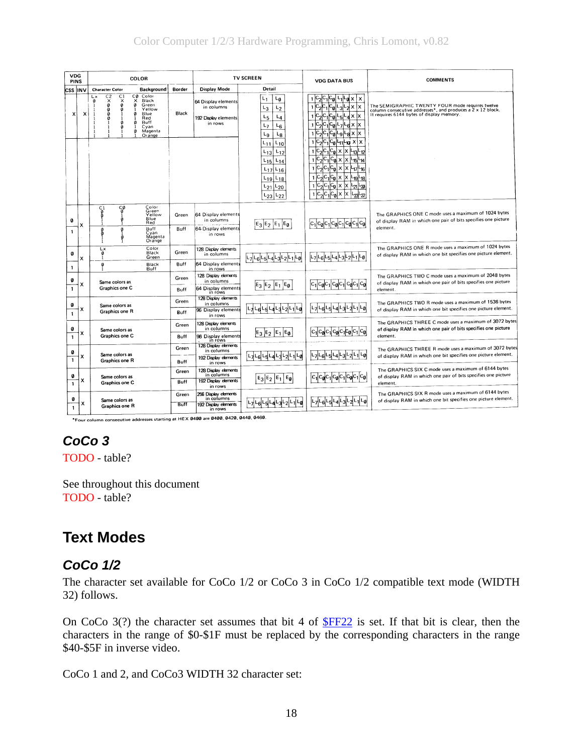<span id="page-17-0"></span>

| VDG<br>PINS            |          |                                                                                                                                           | COLOR                                                                                                                               |                      |                                                                                 | <b>TV SCREEN</b>                                                                                                                                                       | <b>VDG DATA BUS</b>                                                                                                                                                                                                                                                                                                                                                                  | <b>COMMENTS</b>                                                                                                                                              |
|------------------------|----------|-------------------------------------------------------------------------------------------------------------------------------------------|-------------------------------------------------------------------------------------------------------------------------------------|----------------------|---------------------------------------------------------------------------------|------------------------------------------------------------------------------------------------------------------------------------------------------------------------|--------------------------------------------------------------------------------------------------------------------------------------------------------------------------------------------------------------------------------------------------------------------------------------------------------------------------------------------------------------------------------------|--------------------------------------------------------------------------------------------------------------------------------------------------------------|
| <b>CSS INV</b>         |          | <b>Character Color</b>                                                                                                                    | Background                                                                                                                          | Border               | Display Mode                                                                    | Detail                                                                                                                                                                 |                                                                                                                                                                                                                                                                                                                                                                                      |                                                                                                                                                              |
| x                      | $\times$ | C <sub>2</sub><br>C <sub>1</sub><br>Lх<br>$\times$<br>$\pmb{\times}$<br>Ø<br>Ø<br>$\Omega$<br>Ø<br>Ø<br>Ø<br>$\mathbf{1}$<br>Ø<br>Ø<br>-1 | СØ<br>Color<br>x<br>Black<br>ø<br>Green<br>Yellow<br>Blue<br>$\boldsymbol{a}$<br>Red<br>Buff<br>Ø<br>Cyan<br>Magenta<br>Ø<br>Orange | <b>Black</b>         | 64 Display elements<br>in columns<br>192 Display elements<br>in rows            | $L_1$<br>$L_0$<br>L3<br>L <sub>2</sub><br>$L_5$<br>L <sub>4</sub><br>L7<br>$L_6$<br>Lg<br>L <sub>8</sub>                                                               | ∙al×<br>ΙX<br>$ c_{\boldsymbol{\theta}} $<br>$\boldsymbol{\mathsf{x}}$<br>lχ<br>$ C_1 C_0 $<br>$\mathsf{L}_{\mathbf{d}} \times  \mathsf{x} $<br>⊾ء<br>$ c_1 c_0 $ L<br>$7Fd \times X$<br>$c_1 c_0 $<br>k  x  a-le-                                                                                                                                                                   | The SEMIGRAPHIC TWENTY FOUR mode requires twelve<br>column consecutive addresses*, and produces a 2 x 12 block.<br>It requires 6144 bytes of display memory. |
|                        |          |                                                                                                                                           |                                                                                                                                     |                      |                                                                                 | L11<br>$L_{10}$<br>$L_{12}$<br>L <sub>13</sub><br>$L_{15}$<br>$L_{14}$<br>$L_{17}$<br>$L_{16}$<br>$L_{18}$<br>$L_{19}$<br>$L_{21}$<br>$L_{20}$<br>$L_{22}$<br>$L_{23}$ | <sup> C</sup> 1 <sup> C</sup> 0 Կ1 -10 ×  ×<br>1<br>$ c_{\boldsymbol{0}} $<br>x<br>$ x $ $ z_3 $<br>$\mathbf{1}$<br>-12<br>$ c_{\bf 0}  \times$<br>$c_{1}$<br>$x$ $L_{15}$<br>$\mathbf{1}$<br>-14<br>$1 C_2 C_1 C_0  \times  X C_1 C_1 C_1$<br>$ c_2 c_1 c_0$<br>Ιx<br>Ιx<br>$\mathbf{1}$<br>19<br>-18<br>$c_1c_0$<br>x<br>Ιx<br>իշվիջյ<br>$\mathsf{c}_{\mathfrak{a}}$<br>X<br>ابرما |                                                                                                                                                              |
| Ø<br>$\mathbf{1}$      | x        | ۲Ò<br>ပ္စ္ပါ<br>Ø<br>8<br>Ø                                                                                                               | Color<br>Green<br>Yellow<br>Blue<br>Red<br>Buff<br>Cyan<br>Magenta<br>Orange                                                        | Green<br>Buff        | 64 Display elements<br>in columns<br>64 Display elements<br>in rows             | $E_3E_2E_1E_0$                                                                                                                                                         | $c_{0}$<br>$ C_1 C_0 C_1 C_0 C_1$                                                                                                                                                                                                                                                                                                                                                    | The GRAPHICS ONE C mode uses a maximum of 1024 bytes<br>of display RAM in which one pair of bits specifies one picture<br>element.                           |
| Ø                      |          | Lx<br>Ø<br>-1<br>Ø                                                                                                                        | Color<br>Black<br>Green<br>Black                                                                                                    | Green<br>Buff        | 128 Display elements<br>in columns<br>64 Display elements                       | L <sub>7</sub>  L <sub>6</sub>  I                                                                                                                                      | ∟ց<br>L7 L6 <br>-5<br>$L_4 L_3 $                                                                                                                                                                                                                                                                                                                                                     | The GRAPHICS ONE R mode uses a maximum of 1024 bytes<br>of display RAM in which one bit specifies one picture element.                                       |
| 1<br>Ø<br>$\mathbf{1}$ | x        | Same colors as<br>Graphics one C                                                                                                          | Buff                                                                                                                                | Green<br>Buff        | in rows<br>128 Display elements<br>in columns<br>64 Display elements            | $\epsilon_{\rm 0}$<br>$E_3$ $E_2$ $E_1$                                                                                                                                | $C_0 C_1 $                                                                                                                                                                                                                                                                                                                                                                           | The GRAPHICS TWO C mode uses a maximum of 2048 bytes<br>of display RAM in which one pair of bits specifies one picture<br>element.                           |
| Ø<br>$\mathbf{1}$      |          | Same colors as<br><b>Graphics one R</b>                                                                                                   |                                                                                                                                     | Green<br>Buff        | in rows<br>128 Display elements<br>in columns<br>96 Display elements            |                                                                                                                                                                        | L <sub>0</sub>                                                                                                                                                                                                                                                                                                                                                                       | The GRAPHICS TWO R mode uses a maximum of 1536 bytes<br>of display RAM in which one bit specifies one picture element.                                       |
| Ø<br>$\mathbf{1}$      | x        | Same colors as<br>Graphics one C                                                                                                          |                                                                                                                                     | Green<br>Buff        | in rows<br>128 Display elements<br>in columns<br>96 Display elements<br>in rows | $E_3E_2E_1E_0$                                                                                                                                                         | $C_0C_1C_0C_1C_0$<br>$C_1$ $C_2$ $C_1$                                                                                                                                                                                                                                                                                                                                               | The GRAPHICS THREE C mode uses a maximum of 3072 bytes<br>of display RAM in which one pair of bits specifies one picture<br>element.                         |
| ۵<br>$\mathbf{1}$      | x        | Same colors as<br>Graphics one R                                                                                                          |                                                                                                                                     | Green<br>Buff        | 128 Display elements<br>in columns<br>192 Display elements<br>in rows           |                                                                                                                                                                        | L۵<br>ւ 7<br>-6                                                                                                                                                                                                                                                                                                                                                                      | The GRAPHICS THREE R mode uses a maximum of 3072 bytes<br>of display RAM in which one bit specifies one picture element.                                     |
| ø<br>1                 | x        | Same colors as<br>Graphics one C                                                                                                          |                                                                                                                                     | Green<br>Buff        | 128 Display elements<br>in columns<br>192 Display elements<br>in rows           | E <sub>Q</sub><br>$E_3$ $E_2$ $E_1$                                                                                                                                    | (C@I                                                                                                                                                                                                                                                                                                                                                                                 | The GRAPHICS SIX C mode uses a maximum of 6144 bytes<br>of display RAM in which one pair of bits specifies one picture<br>element.                           |
| Ø<br>$\mathbf{1}$      | x        | Same colors as<br><b>Graphics one R</b>                                                                                                   |                                                                                                                                     | Green<br><b>Buff</b> | 256 Display elements<br>in columns<br>192 Display elements<br>in rows           |                                                                                                                                                                        |                                                                                                                                                                                                                                                                                                                                                                                      | The GRAPHICS SIX R mode uses a maximum of 6144 bytes<br>of display RAM in which one bit specifies one picture element.                                       |

Four column consecutive addresses starting at HEX 0400 are 0400, 0420, 0440, 0460.

## *CoCo 3*

TODO - table?

See throughout this document TODO - table?

# **Text Modes**

## *CoCo 1/2*

The character set available for CoCo 1/2 or CoCo 3 in CoCo 1/2 compatible text mode (WIDTH 32) follows.

On CoCo  $3(?)$  the character set assumes that bit 4 of  $FF22$  is set. If that bit is clear, then the characters in the range of \$0-\$1F must be replaced by the corresponding characters in the range \$40-\$5F in inverse video.

CoCo 1 and 2, and CoCo3 WIDTH 32 character set: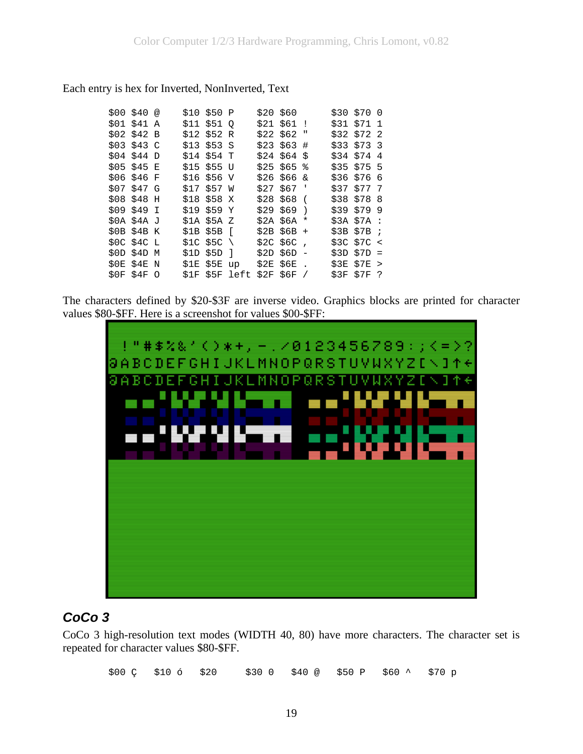#### <span id="page-18-0"></span>Each entry is hex for Inverted, NonInverted, Text

|  | \$00 \$40 @<br>\$01 \$41 A<br>\$02\$342B<br>\$03\$343C<br>$$04$ \$44 D<br>\$05 \$45 E<br>\$06 \$46 F<br>\$07 \$47 G<br>\$08 \$48 H<br>\$09 \$49 I<br>\$0A \$4A J<br>\$0B\$\$4B K<br>\$0C\$\$4C L<br>\$0D\$\$4D\$M<br>\$0E \$4E N<br>$SOF$ \$4F O |  | \$10 \$50 P<br>\$11 \$51 0<br>\$12 \$52 R<br>$$13$ \$53 S<br>$$14$ \$54 T<br>$$15$ \$55 U<br>$$16$ \$56 V<br>\$17 \$57 W<br>$$18$ \$58 X<br>\$19 \$59 Y<br>$$1A$ $$5A$ $Z$<br>\$1B \$5B [<br>$$1C$ \$5C \<br>\$1D \$5D ]<br>$$1E$ $$5E$ up<br>\$1F \$5F left |  | $$20$ \$60<br>$$21$ \$61 !<br>$$22$ \$62 "<br>$$23$ \$63 #<br>$$24$ \$64 \$<br>$$25$ \$65 %<br>\$26\$56\$x<br>$$27$ \$67 '<br>$$28$568$ (<br>$$29$ \$69 )<br>$$2A$56A*$<br>$$2B$56B +$<br>$$2C$5C$ ,<br>$$2D$56D -$<br>$$2E$$ $$6E$ .<br>\$2F\$56F/ | $$30$ \$70 0<br>\$31 \$71 1<br>$$32$ \$72 2<br>$$33$ $$73$ 3<br>$$34$ $$74$ 4<br>$$35$ $$75$ 5<br>$$36$ \$76 6<br>$$37$ $$77$ 7<br>$$38$ $$78$ 8<br>$$39$ $$79$ 9<br>$$3A$ $7A$ :<br>$$3B$57B$ ;<br>\$3C\$57C <sub>3</sub><br>$$3D $7D =$<br>$$3E$$ $$7E$ ><br>\$3F \$7F ? |
|--|--------------------------------------------------------------------------------------------------------------------------------------------------------------------------------------------------------------------------------------------------|--|--------------------------------------------------------------------------------------------------------------------------------------------------------------------------------------------------------------------------------------------------------------|--|-----------------------------------------------------------------------------------------------------------------------------------------------------------------------------------------------------------------------------------------------------|----------------------------------------------------------------------------------------------------------------------------------------------------------------------------------------------------------------------------------------------------------------------------|

The characters defined by \$20-\$3F are inverse video. Graphics blocks are printed for character values \$80-\$FF. Here is a screenshot for values \$00-\$FF:



### *CoCo 3*

CoCo 3 high-resolution text modes (WIDTH 40, 80) have more characters. The character set is repeated for character values \$80-\$FF.

\$00 Ç \$10 ó \$20 \$30 0 \$40 @ \$50 P \$60 ^ \$70 p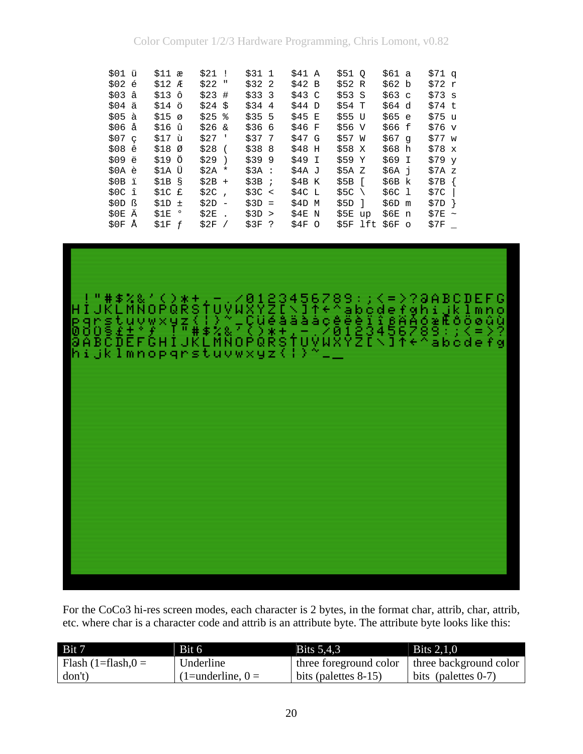|      | \$01 ü<br>\$02 é<br>$$03$ $â$<br>$$04$ $\ddot{a}$<br>$$05$ $\lambda$<br>\$06 å<br>\$07 <sub>c</sub><br>\$08 e<br>\$09 ë<br>\$0A e<br>$$0B$ i<br>SOC î<br>\$OD ß<br>\$0E Ä | $$11$ æ<br>$$12$ $R$<br>\$13 ô<br>\$14 ö<br>$$15\sigma$<br>\$16 û<br>\$17 ù<br>\$18 <sub>0</sub><br>\$19 Ö<br>\$1A Ü<br>\$1B\$<br>$$1C$ £<br>$$1D$ $\pm$<br>$$1E$ $^{\circ}$ | $$21$ !<br>$$22$ "<br>$$23$ #<br>$$24$ \$<br>$$25$ %<br>$$26 \&$<br>\$27<br>\$28<br>$$29$ )<br>$$2A *$<br>$$2B +$<br>\$2C<br>$$2D -$<br>\$2E | $\mathbf{r}$<br>$\sqrt{2}$<br>$\ddot{\phantom{a}}$ | \$311<br>$$32$ 2<br>$$333$ 3<br>$$34$ 4<br>$$355$ 5<br>\$366<br>$$37$ 7<br>\$388<br>\$399<br>\$3A :<br>$$3B$ ;<br>\$3C <<br>$$3D =$<br>\$3D > | \$41 A<br>\$42 B<br>\$43 C<br>$$44$ D<br>\$45 E<br>\$46 F<br>\$47 G<br>\$48<br>\$49 I<br>\$4A J<br>\$4B K<br>$$4C$ L<br>\$4D<br>\$4E N | H<br>М  | \$51 O<br>\$52 R<br>\$53S<br>\$54 T<br>\$55 U<br>\$56 V<br>\$57 W<br>\$58 X<br>\$59 Y<br>\$5A Z<br>$$5B$ [<br>$$5C \setminus$<br>$$5D$ ]<br>S5E | up  | \$61 a<br>\$62 b<br>\$63 c<br>$$64\ d$<br>\$65 e<br>\$66 f<br>\$67 g<br>\$68 h<br>\$69 I<br>\$6A i<br>\$6B k<br>\$6C 1<br>\$6D m<br>\$6E n | $$71$ q<br>\$72 r<br>\$73 s<br>\$74 t<br>\$75 u<br>$$76$ v<br>$$77$ w<br>$$78 \times$<br>$$79\mathrm{v}$<br>\$7A z<br>\$7B<br>\$7C<br>\$7D<br>\$7E | $\sim$ |
|------|---------------------------------------------------------------------------------------------------------------------------------------------------------------------------|------------------------------------------------------------------------------------------------------------------------------------------------------------------------------|----------------------------------------------------------------------------------------------------------------------------------------------|----------------------------------------------------|-----------------------------------------------------------------------------------------------------------------------------------------------|----------------------------------------------------------------------------------------------------------------------------------------|---------|-------------------------------------------------------------------------------------------------------------------------------------------------|-----|--------------------------------------------------------------------------------------------------------------------------------------------|----------------------------------------------------------------------------------------------------------------------------------------------------|--------|
| \$0F | Å                                                                                                                                                                         | \$1F f                                                                                                                                                                       | \$2F                                                                                                                                         |                                                    | $$3F$ ?                                                                                                                                       | \$4F                                                                                                                                   | $\circ$ | \$5F                                                                                                                                            | lft | $$6F$ o                                                                                                                                    | \$7F                                                                                                                                               |        |



For the CoCo3 hi-res screen modes, each character is 2 bytes, in the format char, attrib, char, attrib, etc. where char is a character code and attrib is an attribute byte. The attribute byte looks like this:

| Bit 7                   | Bit 6              | <b>Bits 5.4.3</b>       | <b>Bits 2.1.0</b>      |
|-------------------------|--------------------|-------------------------|------------------------|
| Flash $(1=f$ lash, $0=$ | Underline          | three foreground color  | three background color |
| don't)                  | $(1=underline, 0=$ | bits (palettes $8-15$ ) | bits (palettes $0-7$ ) |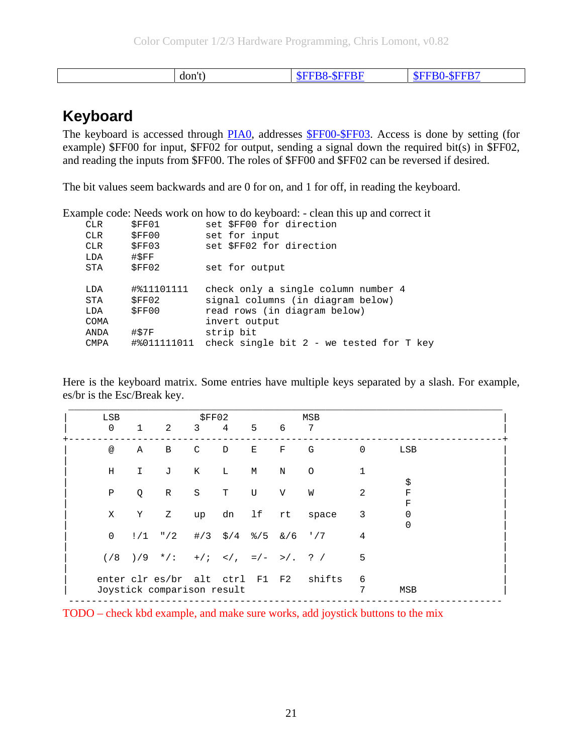<span id="page-20-0"></span>

| <b>B8-\$FFBF</b><br>-SFFB <sup>*</sup><br>don't)<br>יו הי |  |
|-----------------------------------------------------------|--|
|-----------------------------------------------------------|--|

## **Keyboard**

The keyboard is accessed through [PIA0](#page-47-0), addresses [\\$FF00-\\$FF03.](#page-47-0) Access is done by setting (for example) \$FF00 for input, \$FF02 for output, sending a signal down the required bit(s) in \$FF02, and reading the inputs from \$FF00. The roles of \$FF00 and \$FF02 can be reversed if desired.

The bit values seem backwards and are 0 for on, and 1 for off, in reading the keyboard.

Example code: Needs work on how to do keyboard: - clean this up and correct it

| <b>CLR</b>  | SFF01       | set \$FF00 for direction                   |
|-------------|-------------|--------------------------------------------|
| <b>CLR</b>  | SFF00       | set for input                              |
| <b>CLR</b>  | SFF03       | set \$FF02 for direction                   |
| LDA         | #SFF        |                                            |
| STA         | SFF02       | set for output                             |
|             |             |                                            |
| LDA         | #%11101111  | check only a single column number 4        |
| STA         | SFF02       | signal columns (in diagram below)          |
| LDA         | SFF00       | read rows (in diagram below)               |
| COMA        |             | invert output                              |
| ANDA        | #\$7F       | strip bit                                  |
| <b>CMPA</b> | #%011111011 | check single bit $2$ - we tested for T key |
|             |             |                                            |

Here is the keyboard matrix. Some entries have multiple keys separated by a slash. For example, es/br is the Esc/Break key.

| LSB             |              |                                                        | SFF02   |                                                         |    |         | MSB           |          |                      |
|-----------------|--------------|--------------------------------------------------------|---------|---------------------------------------------------------|----|---------|---------------|----------|----------------------|
| $\mathbf 0$     | $\mathbf{1}$ | 2                                                      | 3       | 4                                                       | 5  | 6       | 7             |          |                      |
| $^{\copyright}$ | Α            | В                                                      | C       | D                                                       | Ε  | F       | G             | $\Omega$ | LSB                  |
| Η               | I.           | J                                                      | K       | L                                                       | М  | $\rm N$ | $\circ$       |          | \$                   |
| Ρ               | Q            | $\mathbb R$                                            | $\rm S$ | T                                                       | U  | V       | W             | 2        | F<br>F               |
| Χ               | Υ            | Ζ                                                      | up      | dn                                                      | lf | rt      | space         | 3        | $\Omega$<br>$\Omega$ |
| $\mathsf 0$     | !/1          | $^{\prime\prime}/2$                                    |         | $\frac{4}{3}$ $\frac{5}{4}$ $\frac{8}{5}$ $\frac{6}{6}$ |    |         | $'$ /7        | 4        |                      |
| $(\frac{8}{3})$ | $)/9$ */:    |                                                        |         | $+ i \leq j$ , $=/-$ >/.                                |    |         | $\frac{1}{2}$ | 5        |                      |
|                 |              | enter clr es/br alt ctrl<br>Joystick comparison result |         |                                                         | F1 | F2      | shifts        | 6<br>7   | MSB                  |

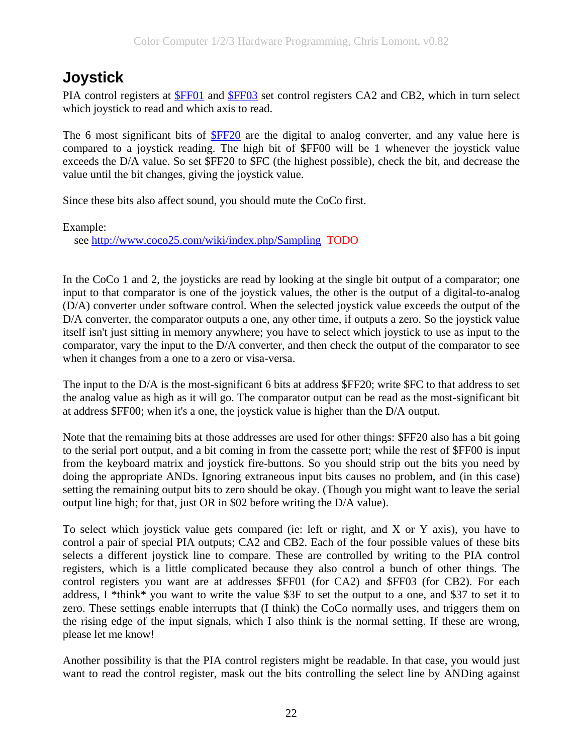# <span id="page-21-0"></span>**Joystick**

PIA control registers at [\\$FF01](#page-47-0) and [\\$FF03](#page-47-0) set control registers CA2 and CB2, which in turn select which joystick to read and which axis to read.

The 6 most significant bits of [\\$FF20](#page-48-0) are the digital to analog converter, and any value here is compared to a joystick reading. The high bit of \$FF00 will be 1 whenever the joystick value exceeds the D/A value. So set \$FF20 to \$FC (the highest possible), check the bit, and decrease the value until the bit changes, giving the joystick value.

Since these bits also affect sound, you should mute the CoCo first.

Example:

see<http://www.coco25.com/wiki/index.php/Sampling> TODO

In the CoCo 1 and 2, the joysticks are read by looking at the single bit output of a comparator; one input to that comparator is one of the joystick values, the other is the output of a digital-to-analog (D/A) converter under software control. When the selected joystick value exceeds the output of the D/A converter, the comparator outputs a one, any other time, if outputs a zero. So the joystick value itself isn't just sitting in memory anywhere; you have to select which joystick to use as input to the comparator, vary the input to the D/A converter, and then check the output of the comparator to see when it changes from a one to a zero or visa-versa.

The input to the D/A is the most-significant 6 bits at address \$FF20; write \$FC to that address to set the analog value as high as it will go. The comparator output can be read as the most-significant bit at address \$FF00; when it's a one, the joystick value is higher than the D/A output.

Note that the remaining bits at those addresses are used for other things: \$FF20 also has a bit going to the serial port output, and a bit coming in from the cassette port; while the rest of \$FF00 is input from the keyboard matrix and joystick fire-buttons. So you should strip out the bits you need by doing the appropriate ANDs. Ignoring extraneous input bits causes no problem, and (in this case) setting the remaining output bits to zero should be okay. (Though you might want to leave the serial output line high; for that, just OR in \$02 before writing the D/A value).

To select which joystick value gets compared (ie: left or right, and X or Y axis), you have to control a pair of special PIA outputs; CA2 and CB2. Each of the four possible values of these bits selects a different joystick line to compare. These are controlled by writing to the PIA control registers, which is a little complicated because they also control a bunch of other things. The control registers you want are at addresses \$FF01 (for CA2) and \$FF03 (for CB2). For each address, I \*think\* you want to write the value \$3F to set the output to a one, and \$37 to set it to zero. These settings enable interrupts that (I think) the CoCo normally uses, and triggers them on the rising edge of the input signals, which I also think is the normal setting. If these are wrong, please let me know!

Another possibility is that the PIA control registers might be readable. In that case, you would just want to read the control register, mask out the bits controlling the select line by ANDing against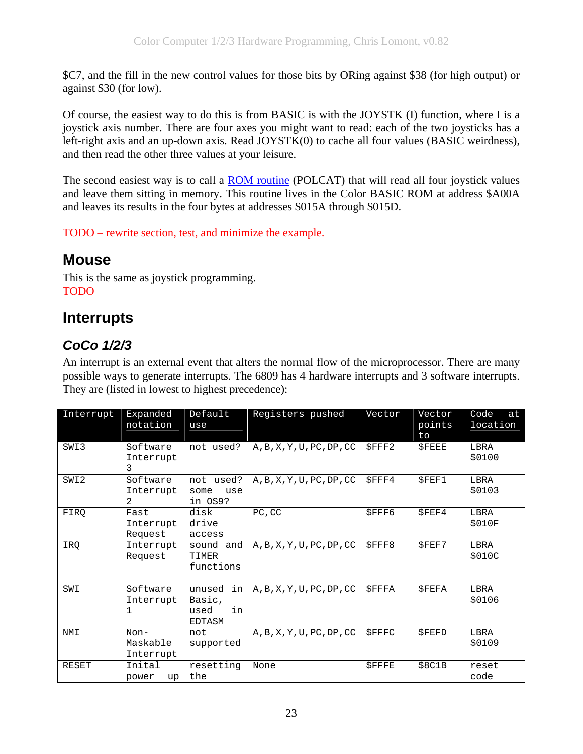<span id="page-22-0"></span>\$C7, and the fill in the new control values for those bits by ORing against \$38 (for high output) or against \$30 (for low).

Of course, the easiest way to do this is from BASIC is with the JOYSTK (I) function, where I is a joystick axis number. There are four axes you might want to read: each of the two joysticks has a left-right axis and an up-down axis. Read JOYSTK(0) to cache all four values (BASIC weirdness), and then read the other three values at your leisure.

The second easiest way is to call a [ROM routine](#page-45-0) (POLCAT) that will read all four joystick values and leave them sitting in memory. This routine lives in the Color BASIC ROM at address \$A00A and leaves its results in the four bytes at addresses \$015A through \$015D.

TODO – rewrite section, test, and minimize the example.

# **Mouse**

This is the same as joystick programming. TODO

# **Interrupts**

## *CoCo 1/2/3*

An interrupt is an external event that alters the normal flow of the microprocessor. There are many possible ways to generate interrupts. The 6809 has 4 hardware interrupts and 3 software interrupts. They are (listed in lowest to highest precedence):

| Interrupt | Expanded<br>notation            | Default<br>use                                 | Registers pushed                                 | Vector       | Vector<br>points<br>to | Code<br>at<br>location |
|-----------|---------------------------------|------------------------------------------------|--------------------------------------------------|--------------|------------------------|------------------------|
| SWI3      | Software<br>Interrupt<br>3      | not used?                                      | A, B, X, Y, U, PC, DP, CC                        | <b>SFFF2</b> | <b>SFEEE</b>           | LBRA<br>\$0100         |
| SWI2      | Software<br>Interrupt<br>2      | not used?<br>some<br>use<br>in OS9?            | A, B, X, Y, U, PC, DP, CC                        | $S$ FFF4     | <b>SFEF1</b>           | LBRA<br>\$0103         |
| FIRQ      | Fast<br>Interrupt<br>Request    | disk<br>drive<br>access                        | PC, CC                                           | <b>SFFF6</b> | SFEF4                  | LBRA<br>\$010F         |
| IRQ       | Interrupt<br>Request            | sound and<br>TIMER<br>functions                | A, B, X, Y, U, PC, DP, CC                        | \$FFF8       | <b>SFEF7</b>           | LBRA<br>\$010C         |
| SWI       | Software<br>Interrupt<br>1      | in<br>unused<br>Basic,<br>in<br>used<br>EDTASM | $A$ , $B$ , $X$ , $Y$ , $U$ , $PC$ , $DP$ , $CC$ | $S$ FFFA     | <b>SFEFA</b>           | LBRA<br>\$0106         |
| NMI       | $Non-$<br>Maskable<br>Interrupt | not<br>supported                               | A, B, X, Y, U, PC, DP, CC                        | <b>SFFFC</b> | <b>SFEFD</b>           | LBRA<br>\$0109         |
| RESET     | Inital<br>power<br>up           | resetting<br>the                               | None                                             | <b>SFFFE</b> | \$8C1B                 | reset<br>code          |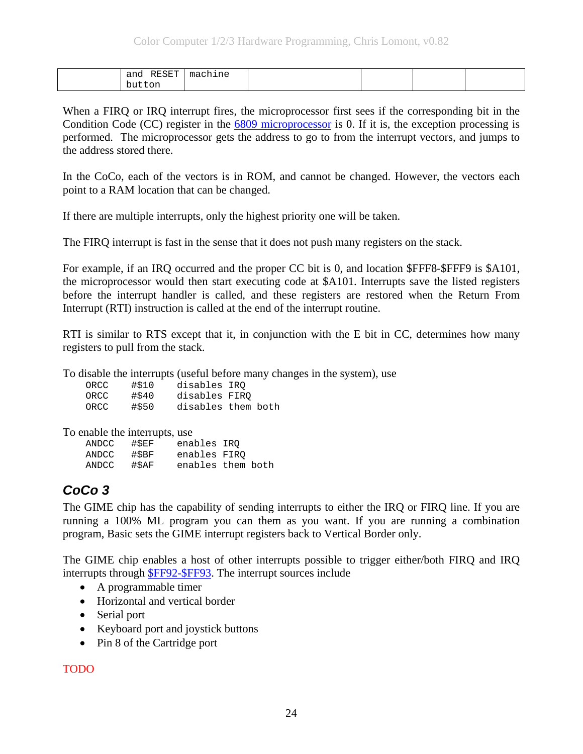<span id="page-23-0"></span>

| RESET<br>and | machine<br>$\mathbf{m}$ |  |  |
|--------------|-------------------------|--|--|
| button       |                         |  |  |

When a FIRQ or IRQ interrupt fires, the microprocessor first sees if the corresponding bit in the Condition Code (CC) register in the [6809 microprocessor](#page-4-0) is 0. If it is, the exception processing is performed. The microprocessor gets the address to go to from the interrupt vectors, and jumps to the address stored there.

In the CoCo, each of the vectors is in ROM, and cannot be changed. However, the vectors each point to a RAM location that can be changed.

If there are multiple interrupts, only the highest priority one will be taken.

The FIRQ interrupt is fast in the sense that it does not push many registers on the stack.

For example, if an IRQ occurred and the proper CC bit is 0, and location \$FFF8-\$FFF9 is \$A101, the microprocessor would then start executing code at \$A101. Interrupts save the listed registers before the interrupt handler is called, and these registers are restored when the Return From Interrupt (RTI) instruction is called at the end of the interrupt routine.

RTI is similar to RTS except that it, in conjunction with the E bit in CC, determines how many registers to pull from the stack.

To disable the interrupts (useful before many changes in the system), use

| ORCC | #\$10 | disables IRO       |
|------|-------|--------------------|
| ORCC | #\$40 | disables FIRO      |
| ORCC | #\$50 | disables them both |

To enable the interrupts, use

| ANDCC | #SEF  | enables IRO  |                   |  |
|-------|-------|--------------|-------------------|--|
| ANDCC | #\$BF | enables FIRO |                   |  |
| ANDCC | #\$AF |              | enables them both |  |

## *CoCo 3*

The GIME chip has the capability of sending interrupts to either the IRQ or FIRQ line. If you are running a 100% ML program you can them as you want. If you are running a combination program, Basic sets the GIME interrupt registers back to Vertical Border only.

The GIME chip enables a host of other interrupts possible to trigger either/both FIRQ and IRQ interrupts through [\\$FF92-\\$FF93.](#page-60-0) The interrupt sources include

- A programmable timer
- Horizontal and vertical border
- Serial port
- Keyboard port and joystick buttons
- Pin 8 of the Cartridge port

TODO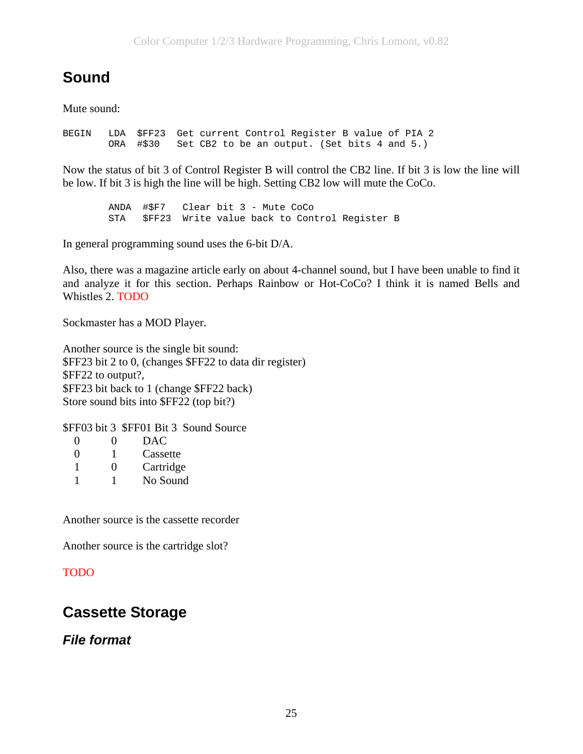# <span id="page-24-0"></span>**Sound**

Mute sound:

BEGIN LDA \$FF23 Get current Control Register B value of PIA 2 ORA #\$30 Set CB2 to be an output. (Set bits 4 and 5.)

Now the status of bit 3 of Control Register B will control the CB2 line. If bit 3 is low the line will be low. If bit 3 is high the line will be high. Setting CB2 low will mute the CoCo.

 ANDA #\$F7 Clear bit 3 - Mute CoCo STA \$FF23 Write value back to Control Register B

In general programming sound uses the 6-bit D/A.

Also, there was a magazine article early on about 4-channel sound, but I have been unable to find it and analyze it for this section. Perhaps Rainbow or Hot-CoCo? I think it is named Bells and Whistles 2. TODO

Sockmaster has a MOD Player.

Another source is the single bit sound: \$FF23 bit 2 to 0, (changes \$FF22 to data dir register) \$FF22 to output?, \$FF23 bit back to 1 (change \$FF22 back) Store sound bits into \$FF22 (top bit?)

\$FF03 bit 3 \$FF01 Bit 3 Sound Source

| $\mathbf{\Omega}$ | $\mathbf{\Omega}$ | DAC       |
|-------------------|-------------------|-----------|
| ∩                 |                   | Cassette  |
|                   | $\mathbf{\Omega}$ | Cartridge |
|                   |                   | No Sound  |

Another source is the cassette recorder

Another source is the cartridge slot?

#### TODO

## **Cassette Storage**

### *File format*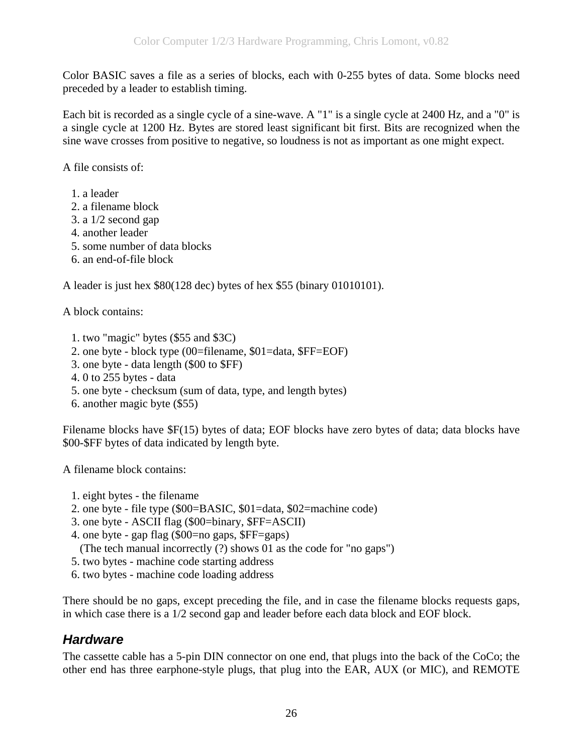<span id="page-25-0"></span>Color BASIC saves a file as a series of blocks, each with 0-255 bytes of data. Some blocks need preceded by a leader to establish timing.

Each bit is recorded as a single cycle of a sine-wave. A "1" is a single cycle at 2400 Hz, and a "0" is a single cycle at 1200 Hz. Bytes are stored least significant bit first. Bits are recognized when the sine wave crosses from positive to negative, so loudness is not as important as one might expect.

A file consists of:

- 1. a leader
- 2. a filename block
- 3. a 1/2 second gap
- 4. another leader
- 5. some number of data blocks
- 6. an end-of-file block

A leader is just hex \$80(128 dec) bytes of hex \$55 (binary 01010101).

A block contains:

- 1. two "magic" bytes (\$55 and \$3C)
- 2. one byte block type (00=filename, \$01=data, \$FF=EOF)
- 3. one byte data length (\$00 to \$FF)
- 4. 0 to 255 bytes data
- 5. one byte checksum (sum of data, type, and length bytes)
- 6. another magic byte (\$55)

Filename blocks have \$F(15) bytes of data; EOF blocks have zero bytes of data; data blocks have \$00-\$FF bytes of data indicated by length byte.

A filename block contains:

- 1. eight bytes the filename
- 2. one byte file type (\$00=BASIC, \$01=data, \$02=machine code)
- 3. one byte ASCII flag (\$00=binary, \$FF=ASCII)
- 4. one byte gap flag (\$00=no gaps, \$FF=gaps)
- (The tech manual incorrectly (?) shows 01 as the code for "no gaps")
- 5. two bytes machine code starting address
- 6. two bytes machine code loading address

There should be no gaps, except preceding the file, and in case the filename blocks requests gaps, in which case there is a 1/2 second gap and leader before each data block and EOF block.

## *Hardware*

The cassette cable has a 5-pin DIN connector on one end, that plugs into the back of the CoCo; the other end has three earphone-style plugs, that plug into the EAR, AUX (or MIC), and REMOTE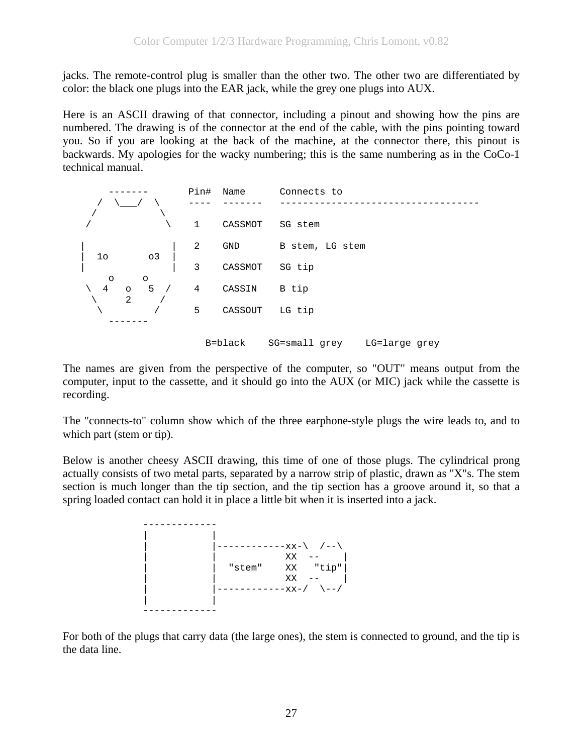jacks. The remote-control plug is smaller than the other two. The other two are differentiated by color: the black one plugs into the EAR jack, while the grey one plugs into AUX.

Here is an ASCII drawing of that connector, including a pinout and showing how the pins are numbered. The drawing is of the connector at the end of the cable, with the pins pointing toward you. So if you are looking at the back of the machine, at the connector there, this pinout is backwards. My apologies for the wacky numbering; this is the same numbering as in the CoCo-1 technical manual.



The names are given from the perspective of the computer, so "OUT" means output from the computer, input to the cassette, and it should go into the AUX (or MIC) jack while the cassette is recording.

The "connects-to" column show which of the three earphone-style plugs the wire leads to, and to which part (stem or tip).

Below is another cheesy ASCII drawing, this time of one of those plugs. The cylindrical prong actually consists of two metal parts, separated by a narrow strip of plastic, drawn as "X"s. The stem section is much longer than the tip section, and the tip section has a groove around it, so that a spring loaded contact can hold it in place a little bit when it is inserted into a jack.



For both of the plugs that carry data (the large ones), the stem is connected to ground, and the tip is the data line.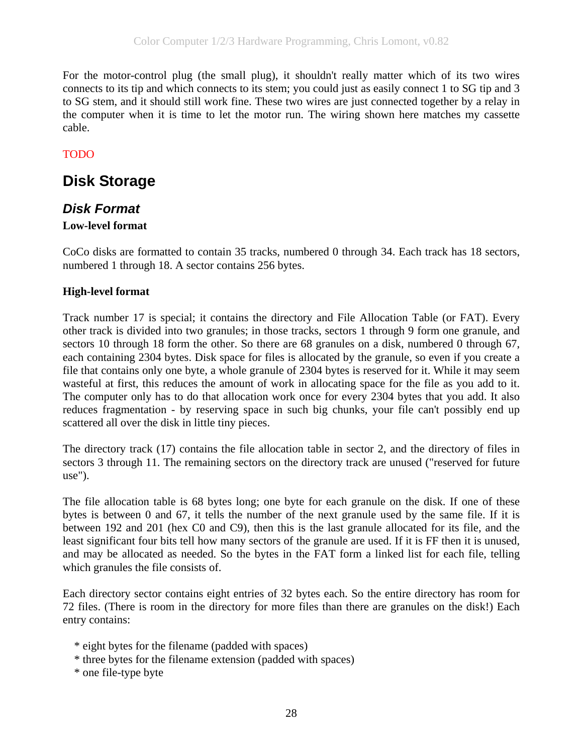<span id="page-27-0"></span>For the motor-control plug (the small plug), it shouldn't really matter which of its two wires connects to its tip and which connects to its stem; you could just as easily connect 1 to SG tip and 3 to SG stem, and it should still work fine. These two wires are just connected together by a relay in the computer when it is time to let the motor run. The wiring shown here matches my cassette cable.

### TODO

# **Disk Storage**

## *Disk Format*

### **Low-level format**

CoCo disks are formatted to contain 35 tracks, numbered 0 through 34. Each track has 18 sectors, numbered 1 through 18. A sector contains 256 bytes.

### **High-level format**

Track number 17 is special; it contains the directory and File Allocation Table (or FAT). Every other track is divided into two granules; in those tracks, sectors 1 through 9 form one granule, and sectors 10 through 18 form the other. So there are 68 granules on a disk, numbered 0 through 67, each containing 2304 bytes. Disk space for files is allocated by the granule, so even if you create a file that contains only one byte, a whole granule of 2304 bytes is reserved for it. While it may seem wasteful at first, this reduces the amount of work in allocating space for the file as you add to it. The computer only has to do that allocation work once for every 2304 bytes that you add. It also reduces fragmentation - by reserving space in such big chunks, your file can't possibly end up scattered all over the disk in little tiny pieces.

The directory track (17) contains the file allocation table in sector 2, and the directory of files in sectors 3 through 11. The remaining sectors on the directory track are unused ("reserved for future use").

The file allocation table is 68 bytes long; one byte for each granule on the disk. If one of these bytes is between 0 and 67, it tells the number of the next granule used by the same file. If it is between 192 and 201 (hex C0 and C9), then this is the last granule allocated for its file, and the least significant four bits tell how many sectors of the granule are used. If it is FF then it is unused, and may be allocated as needed. So the bytes in the FAT form a linked list for each file, telling which granules the file consists of.

Each directory sector contains eight entries of 32 bytes each. So the entire directory has room for 72 files. (There is room in the directory for more files than there are granules on the disk!) Each entry contains:

- \* eight bytes for the filename (padded with spaces)
- \* three bytes for the filename extension (padded with spaces)

\* one file-type byte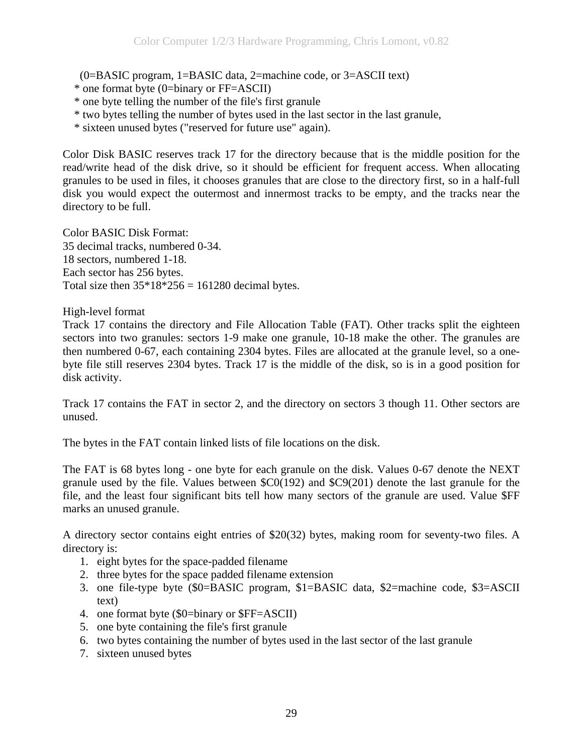(0=BASIC program, 1=BASIC data, 2=machine code, or 3=ASCII text)

- \* one format byte (0=binary or FF=ASCII)
- \* one byte telling the number of the file's first granule
- \* two bytes telling the number of bytes used in the last sector in the last granule,
- \* sixteen unused bytes ("reserved for future use" again).

Color Disk BASIC reserves track 17 for the directory because that is the middle position for the read/write head of the disk drive, so it should be efficient for frequent access. When allocating granules to be used in files, it chooses granules that are close to the directory first, so in a half-full disk you would expect the outermost and innermost tracks to be empty, and the tracks near the directory to be full.

Color BASIC Disk Format: 35 decimal tracks, numbered 0-34. 18 sectors, numbered 1-18. Each sector has 256 bytes. Total size then  $35*18*256 = 161280$  decimal bytes.

High-level format

Track 17 contains the directory and File Allocation Table (FAT). Other tracks split the eighteen sectors into two granules: sectors 1-9 make one granule, 10-18 make the other. The granules are then numbered 0-67, each containing 2304 bytes. Files are allocated at the granule level, so a onebyte file still reserves 2304 bytes. Track 17 is the middle of the disk, so is in a good position for disk activity.

Track 17 contains the FAT in sector 2, and the directory on sectors 3 though 11. Other sectors are unused.

The bytes in the FAT contain linked lists of file locations on the disk.

The FAT is 68 bytes long - one byte for each granule on the disk. Values 0-67 denote the NEXT granule used by the file. Values between \$C0(192) and \$C9(201) denote the last granule for the file, and the least four significant bits tell how many sectors of the granule are used. Value \$FF marks an unused granule.

A directory sector contains eight entries of \$20(32) bytes, making room for seventy-two files. A directory is:

- 1. eight bytes for the space-padded filename
- 2. three bytes for the space padded filename extension
- 3. one file-type byte (\$0=BASIC program, \$1=BASIC data, \$2=machine code, \$3=ASCII text)
- 4. one format byte (\$0=binary or \$FF=ASCII)
- 5. one byte containing the file's first granule
- 6. two bytes containing the number of bytes used in the last sector of the last granule
- 7. sixteen unused bytes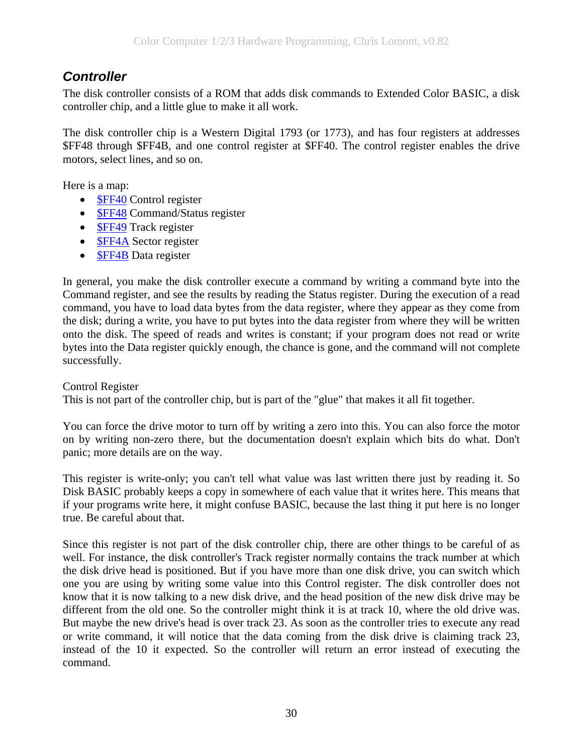## <span id="page-29-0"></span>*Controller*

The disk controller consists of a ROM that adds disk commands to Extended Color BASIC, a disk controller chip, and a little glue to make it all work.

The disk controller chip is a Western Digital 1793 (or 1773), and has four registers at addresses \$FF48 through \$FF4B, and one control register at \$FF40. The control register enables the drive motors, select lines, and so on.

Here is a map:

- **[\\$FF40](#page-49-0)** Control register
- **[\\$FF48](#page-50-0) Command/Status register**
- **[\\$FF49](#page-52-0)** Track register
- **[\\$FF4A](#page-52-0) Sector register**
- **[\\$FF4B](#page-52-0)** Data register

In general, you make the disk controller execute a command by writing a command byte into the Command register, and see the results by reading the Status register. During the execution of a read command, you have to load data bytes from the data register, where they appear as they come from the disk; during a write, you have to put bytes into the data register from where they will be written onto the disk. The speed of reads and writes is constant; if your program does not read or write bytes into the Data register quickly enough, the chance is gone, and the command will not complete successfully.

#### Control Register

This is not part of the controller chip, but is part of the "glue" that makes it all fit together.

You can force the drive motor to turn off by writing a zero into this. You can also force the motor on by writing non-zero there, but the documentation doesn't explain which bits do what. Don't panic; more details are on the way.

This register is write-only; you can't tell what value was last written there just by reading it. So Disk BASIC probably keeps a copy in somewhere of each value that it writes here. This means that if your programs write here, it might confuse BASIC, because the last thing it put here is no longer true. Be careful about that.

Since this register is not part of the disk controller chip, there are other things to be careful of as well. For instance, the disk controller's Track register normally contains the track number at which the disk drive head is positioned. But if you have more than one disk drive, you can switch which one you are using by writing some value into this Control register. The disk controller does not know that it is now talking to a new disk drive, and the head position of the new disk drive may be different from the old one. So the controller might think it is at track 10, where the old drive was. But maybe the new drive's head is over track 23. As soon as the controller tries to execute any read or write command, it will notice that the data coming from the disk drive is claiming track 23, instead of the 10 it expected. So the controller will return an error instead of executing the command.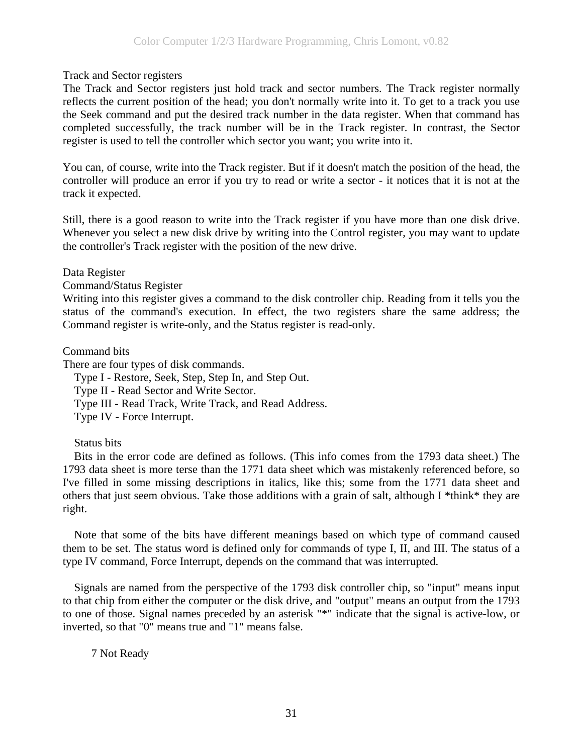Track and Sector registers

The Track and Sector registers just hold track and sector numbers. The Track register normally reflects the current position of the head; you don't normally write into it. To get to a track you use the Seek command and put the desired track number in the data register. When that command has completed successfully, the track number will be in the Track register. In contrast, the Sector register is used to tell the controller which sector you want; you write into it.

You can, of course, write into the Track register. But if it doesn't match the position of the head, the controller will produce an error if you try to read or write a sector - it notices that it is not at the track it expected.

Still, there is a good reason to write into the Track register if you have more than one disk drive. Whenever you select a new disk drive by writing into the Control register, you may want to update the controller's Track register with the position of the new drive.

Data Register

Command/Status Register

Writing into this register gives a command to the disk controller chip. Reading from it tells you the status of the command's execution. In effect, the two registers share the same address; the Command register is write-only, and the Status register is read-only.

Command bits

There are four types of disk commands.

Type I - Restore, Seek, Step, Step In, and Step Out.

Type II - Read Sector and Write Sector.

Type III - Read Track, Write Track, and Read Address.

Type IV - Force Interrupt.

Status bits

 Bits in the error code are defined as follows. (This info comes from the 1793 data sheet.) The 1793 data sheet is more terse than the 1771 data sheet which was mistakenly referenced before, so I've filled in some missing descriptions in italics, like this; some from the 1771 data sheet and others that just seem obvious. Take those additions with a grain of salt, although I \*think\* they are right.

 Note that some of the bits have different meanings based on which type of command caused them to be set. The status word is defined only for commands of type I, II, and III. The status of a type IV command, Force Interrupt, depends on the command that was interrupted.

 Signals are named from the perspective of the 1793 disk controller chip, so "input" means input to that chip from either the computer or the disk drive, and "output" means an output from the 1793 to one of those. Signal names preceded by an asterisk "\*" indicate that the signal is active-low, or inverted, so that "0" means true and "1" means false.

7 Not Ready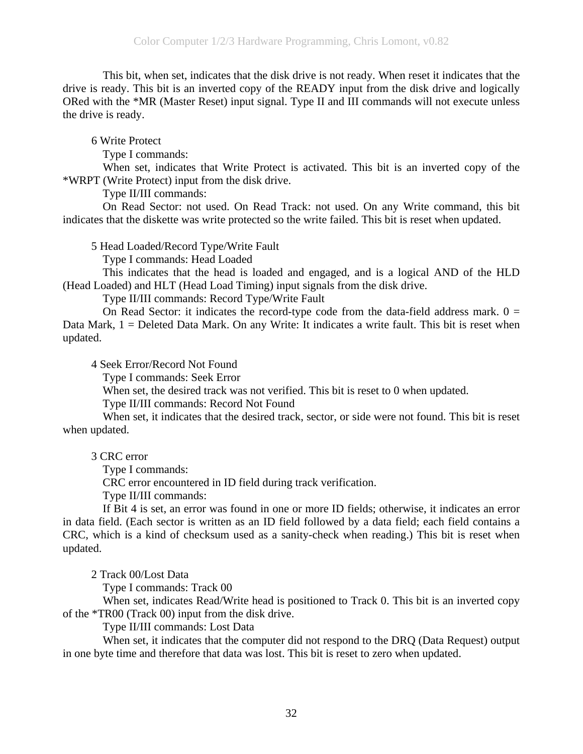This bit, when set, indicates that the disk drive is not ready. When reset it indicates that the drive is ready. This bit is an inverted copy of the READY input from the disk drive and logically ORed with the \*MR (Master Reset) input signal. Type II and III commands will not execute unless the drive is ready.

6 Write Protect

Type I commands:

 When set, indicates that Write Protect is activated. This bit is an inverted copy of the \*WRPT (Write Protect) input from the disk drive.

Type II/III commands:

 On Read Sector: not used. On Read Track: not used. On any Write command, this bit indicates that the diskette was write protected so the write failed. This bit is reset when updated.

5 Head Loaded/Record Type/Write Fault

Type I commands: Head Loaded

 This indicates that the head is loaded and engaged, and is a logical AND of the HLD (Head Loaded) and HLT (Head Load Timing) input signals from the disk drive.

Type II/III commands: Record Type/Write Fault

On Read Sector: it indicates the record-type code from the data-field address mark.  $0 =$ Data Mark, 1 = Deleted Data Mark. On any Write: It indicates a write fault. This bit is reset when updated.

4 Seek Error/Record Not Found

Type I commands: Seek Error

When set, the desired track was not verified. This bit is reset to 0 when updated.

Type II/III commands: Record Not Found

 When set, it indicates that the desired track, sector, or side were not found. This bit is reset when updated.

3 CRC error

Type I commands:

CRC error encountered in ID field during track verification.

Type II/III commands:

 If Bit 4 is set, an error was found in one or more ID fields; otherwise, it indicates an error in data field. (Each sector is written as an ID field followed by a data field; each field contains a CRC, which is a kind of checksum used as a sanity-check when reading.) This bit is reset when updated.

2 Track 00/Lost Data

Type I commands: Track 00

 When set, indicates Read/Write head is positioned to Track 0. This bit is an inverted copy of the \*TR00 (Track 00) input from the disk drive.

Type II/III commands: Lost Data

 When set, it indicates that the computer did not respond to the DRQ (Data Request) output in one byte time and therefore that data was lost. This bit is reset to zero when updated.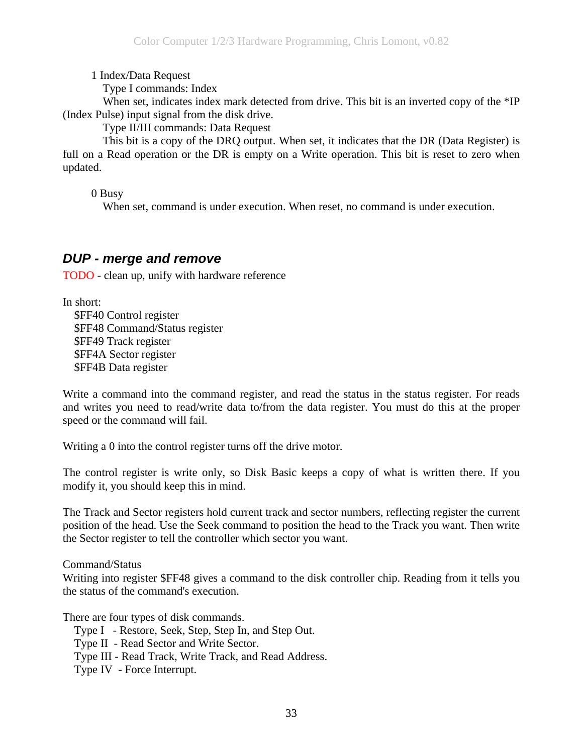1 Index/Data Request

Type I commands: Index

<span id="page-32-0"></span>When set, indicates index mark detected from drive. This bit is an inverted copy of the \*IP (Index Pulse) input signal from the disk drive.

Type II/III commands: Data Request

 This bit is a copy of the DRQ output. When set, it indicates that the DR (Data Register) is full on a Read operation or the DR is empty on a Write operation. This bit is reset to zero when updated.

0 Busy

When set, command is under execution. When reset, no command is under execution.

### *DUP - merge and remove*

TODO - clean up, unify with hardware reference

In short:

 \$FF40 Control register \$FF48 Command/Status register \$FF49 Track register \$FF4A Sector register \$FF4B Data register

Write a command into the command register, and read the status in the status register. For reads and writes you need to read/write data to/from the data register. You must do this at the proper speed or the command will fail.

Writing a 0 into the control register turns off the drive motor.

The control register is write only, so Disk Basic keeps a copy of what is written there. If you modify it, you should keep this in mind.

The Track and Sector registers hold current track and sector numbers, reflecting register the current position of the head. Use the Seek command to position the head to the Track you want. Then write the Sector register to tell the controller which sector you want.

Command/Status

Writing into register \$FF48 gives a command to the disk controller chip. Reading from it tells you the status of the command's execution.

There are four types of disk commands.

Type I - Restore, Seek, Step, Step In, and Step Out.

Type II - Read Sector and Write Sector.

Type III - Read Track, Write Track, and Read Address.

Type IV - Force Interrupt.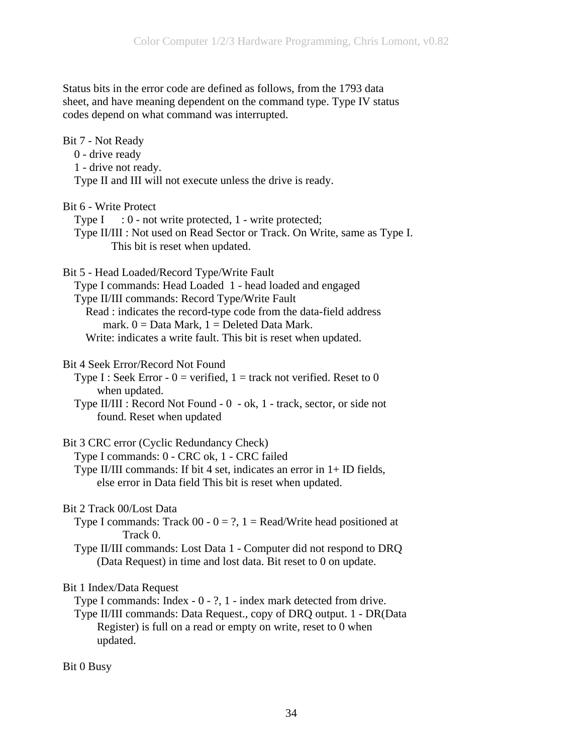Status bits in the error code are defined as follows, from the 1793 data sheet, and have meaning dependent on the command type. Type IV status codes depend on what command was interrupted.

| Bit 7 - Not Ready<br>$0$ - drive ready<br>1 - drive not ready.<br>Type II and III will not execute unless the drive is ready.                                                                                                                                                                                                                         |
|-------------------------------------------------------------------------------------------------------------------------------------------------------------------------------------------------------------------------------------------------------------------------------------------------------------------------------------------------------|
| Bit 6 - Write Protect<br>Type $I : 0$ - not write protected, $1$ - write protected;<br>Type II/III : Not used on Read Sector or Track. On Write, same as Type I.<br>This bit is reset when updated.                                                                                                                                                   |
| Bit 5 - Head Loaded/Record Type/Write Fault<br>Type I commands: Head Loaded 1 - head loaded and engaged<br>Type II/III commands: Record Type/Write Fault<br>Read : indicates the record-type code from the data-field address<br>mark. $0 = Data Mark$ , $1 = Deleted Data Mark$ .<br>Write: indicates a write fault. This bit is reset when updated. |
| Bit 4 Seek Error/Record Not Found<br>Type I : Seek Error - $0 =$ verified, $1 =$ track not verified. Reset to 0<br>when updated.<br>Type II/III : Record Not Found - 0 - ok, 1 - track, sector, or side not<br>found. Reset when updated                                                                                                              |
| Bit 3 CRC error (Cyclic Redundancy Check)<br>Type I commands: 0 - CRC ok, 1 - CRC failed<br>Type II/III commands: If bit 4 set, indicates an error in 1+ ID fields,<br>else error in Data field This bit is reset when updated.                                                                                                                       |
| Bit 2 Track 00/Lost Data<br>Type I commands: Track $00 - 0 = ?$ , $1 = Read/W$ rite head positioned at<br>Track 0.<br>Type II/III commands: Lost Data 1 - Computer did not respond to DRQ<br>(Data Request) in time and lost data. Bit reset to 0 on update.                                                                                          |
| Bit 1 Index/Data Request<br>Type I commands: Index $-0 - ?$ , 1 - index mark detected from drive.<br>Type II/III commands: Data Request., copy of DRQ output. 1 - DR(Data<br>Register) is full on a read or empty on write, reset to 0 when<br>updated.                                                                                               |
| Bit 0 Busy                                                                                                                                                                                                                                                                                                                                            |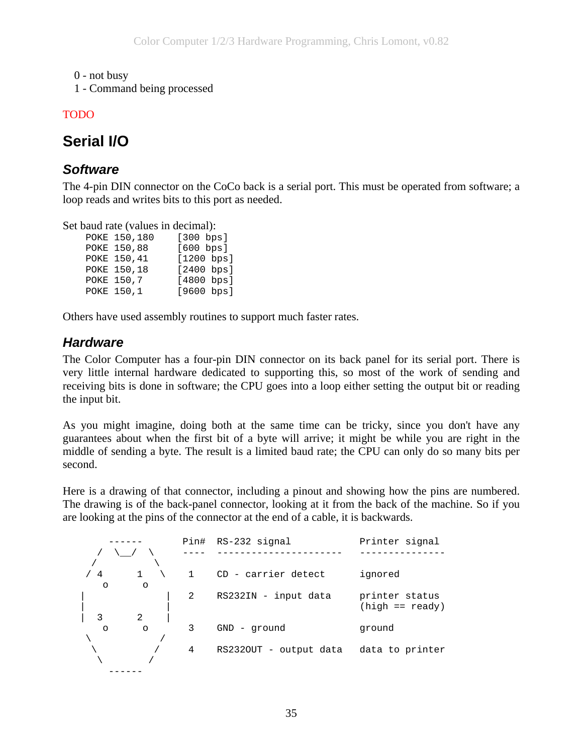<span id="page-34-0"></span>0 - not busy

1 - Command being processed

### TODO

# **Serial I/O**

## *Software*

The 4-pin DIN connector on the CoCo back is a serial port. This must be operated from software; a loop reads and writes bits to this port as needed.

Set baud rate (values in decimal):

| POKE 150,180 | [300 bps]  |
|--------------|------------|
| POKE 150,88  | [600 bps]  |
| POKE 150,41  | [1200 bps] |
| POKE 150,18  | [2400 bps] |
| POKE 150,7   | [4800 bps] |
| POKE 150,1   | [9600 bps] |

Others have used assembly routines to support much faster rates.

## *Hardware*

The Color Computer has a four-pin DIN connector on its back panel for its serial port. There is very little internal hardware dedicated to supporting this, so most of the work of sending and receiving bits is done in software; the CPU goes into a loop either setting the output bit or reading the input bit.

As you might imagine, doing both at the same time can be tricky, since you don't have any guarantees about when the first bit of a byte will arrive; it might be while you are right in the middle of sending a byte. The result is a limited baud rate; the CPU can only do so many bits per second.

Here is a drawing of that connector, including a pinout and showing how the pins are numbered. The drawing is of the back-panel connector, looking at it from the back of the machine. So if you are looking at the pins of the connector at the end of a cable, it is backwards.

|               |         |              | Pin# RS-232 signal     | Printer signal                      |
|---------------|---------|--------------|------------------------|-------------------------------------|
|               |         |              |                        |                                     |
| /4<br>$\circ$ | $\circ$ | $\mathbf{1}$ | CD - carrier detect    | ignored                             |
|               |         | 2            | RS232IN - input data   | printer status<br>$(high == ready)$ |
| 3             | 2       |              |                        |                                     |
| $\Omega$      | $\circ$ | 3            | $GND -$ qround         | ground                              |
|               |         |              |                        |                                     |
|               |         | 4            | RS2320UT - output data | data to printer                     |
|               |         |              |                        |                                     |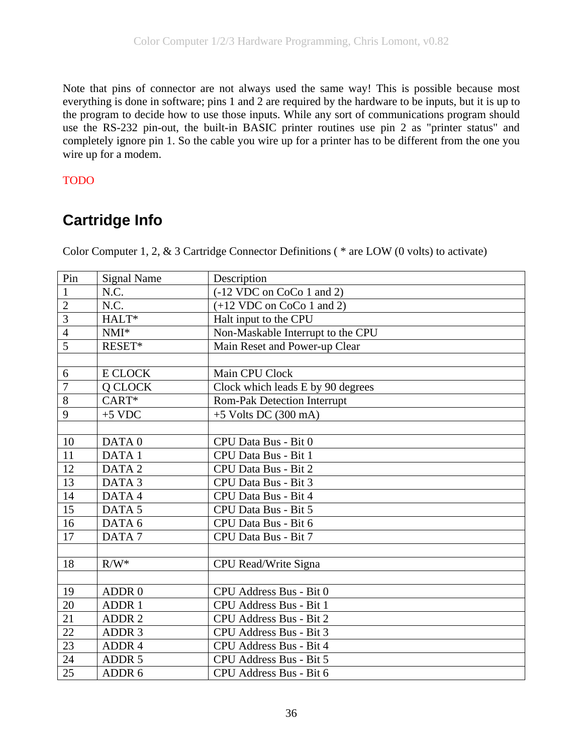<span id="page-35-0"></span>Note that pins of connector are not always used the same way! This is possible because most everything is done in software; pins 1 and 2 are required by the hardware to be inputs, but it is up to the program to decide how to use those inputs. While any sort of communications program should use the RS-232 pin-out, the built-in BASIC printer routines use pin 2 as "printer status" and completely ignore pin 1. So the cable you wire up for a printer has to be different from the one you wire up for a modem.

### TODO

# **Cartridge Info**

Color Computer 1, 2, & 3 Cartridge Connector Definitions ( \* are LOW (0 volts) to activate)

| Pin            | <b>Signal Name</b> | Description                       |
|----------------|--------------------|-----------------------------------|
| $\mathbf{1}$   | N.C.               | (-12 VDC on CoCo 1 and 2)         |
| $\overline{2}$ | N.C.               | $(+12$ VDC on CoCo 1 and 2)       |
| $\overline{3}$ | $HALT*$            | Halt input to the CPU             |
| $\overline{4}$ | NMI*               | Non-Maskable Interrupt to the CPU |
| $\overline{5}$ | RESET*             | Main Reset and Power-up Clear     |
|                |                    |                                   |
| 6              | <b>E CLOCK</b>     | Main CPU Clock                    |
| $\overline{7}$ | Q CLOCK            | Clock which leads E by 90 degrees |
| 8              | CART*              | Rom-Pak Detection Interrupt       |
| 9              | $+5$ VDC           | $+5$ Volts DC (300 mA)            |
|                |                    |                                   |
| 10             | DATA <sub>0</sub>  | CPU Data Bus - Bit 0              |
| 11             | DATA <sub>1</sub>  | CPU Data Bus - Bit 1              |
| 12             | DATA <sub>2</sub>  | CPU Data Bus - Bit 2              |
| 13             | DATA <sub>3</sub>  | CPU Data Bus - Bit 3              |
| 14             | DATA4              | CPU Data Bus - Bit 4              |
| 15             | DATA <sub>5</sub>  | CPU Data Bus - Bit 5              |
| 16             | DATA 6             | CPU Data Bus - Bit 6              |
| 17             | DATA <sub>7</sub>  | CPU Data Bus - Bit 7              |
|                |                    |                                   |
| 18             | $R/W^*$            | CPU Read/Write Signa              |
|                |                    |                                   |
| 19             | ADDR 0             | CPU Address Bus - Bit 0           |
| 20             | ADDR 1             | CPU Address Bus - Bit 1           |
| 21             | ADDR <sub>2</sub>  | CPU Address Bus - Bit 2           |
| 22             | ADDR <sub>3</sub>  | CPU Address Bus - Bit 3           |
| 23             | ADDR 4             | CPU Address Bus - Bit 4           |
| 24             | ADDR <sub>5</sub>  | CPU Address Bus - Bit 5           |
| 25             | ADDR 6             | CPU Address Bus - Bit 6           |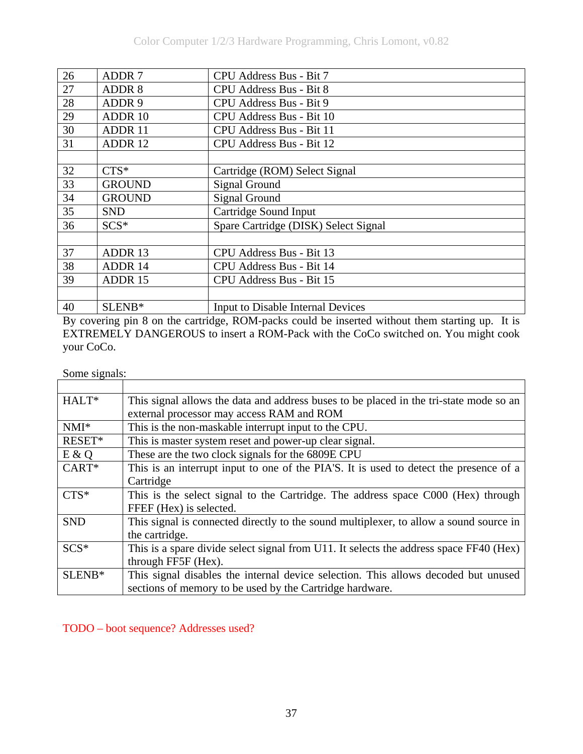| 26 | <b>ADDR7</b>  | CPU Address Bus - Bit 7              |
|----|---------------|--------------------------------------|
| 27 | ADDR 8        | CPU Address Bus - Bit 8              |
| 28 | ADDR 9        | CPU Address Bus - Bit 9              |
| 29 | ADDR 10       | CPU Address Bus - Bit 10             |
| 30 | ADDR 11       | CPU Address Bus - Bit 11             |
| 31 | ADDR 12       | CPU Address Bus - Bit 12             |
|    |               |                                      |
| 32 | $CTS*$        | Cartridge (ROM) Select Signal        |
| 33 | <b>GROUND</b> | <b>Signal Ground</b>                 |
| 34 | <b>GROUND</b> | <b>Signal Ground</b>                 |
| 35 | <b>SND</b>    | Cartridge Sound Input                |
| 36 | $SCS^*$       | Spare Cartridge (DISK) Select Signal |
|    |               |                                      |
| 37 | ADDR 13       | CPU Address Bus - Bit 13             |
| 38 | ADDR 14       | CPU Address Bus - Bit 14             |
| 39 | ADDR 15       | CPU Address Bus - Bit 15             |
|    |               |                                      |
| 40 | SLENB*        | Input to Disable Internal Devices    |

By covering pin 8 on the cartridge, ROM-packs could be inserted without them starting up. It is EXTREMELY DANGEROUS to insert a ROM-Pack with the CoCo switched on. You might cook your CoCo.

<u> 1980 - Johann Stoff, deutscher Stoffen und der Stoffen und der Stoffen und der Stoffen und der Stoffen und de</u>

Some signals:

| HALT*      | This signal allows the data and address buses to be placed in the tri-state mode so an |
|------------|----------------------------------------------------------------------------------------|
|            | external processor may access RAM and ROM                                              |
| $NMI^*$    | This is the non-maskable interrupt input to the CPU.                                   |
| RESET*     | This is master system reset and power-up clear signal.                                 |
| E & Q      | These are the two clock signals for the 6809E CPU                                      |
| $CART^*$   | This is an interrupt input to one of the PIA'S. It is used to detect the presence of a |
|            | Cartridge                                                                              |
| $CTS*$     | This is the select signal to the Cartridge. The address space C000 (Hex) through       |
|            | FFEF (Hex) is selected.                                                                |
| <b>SND</b> | This signal is connected directly to the sound multiplexer, to allow a sound source in |
|            | the cartridge.                                                                         |
| $SCS*$     | This is a spare divide select signal from U11. It selects the address space FF40 (Hex) |
|            | through FF5F (Hex).                                                                    |
| SLENB*     | This signal disables the internal device selection. This allows decoded but unused     |
|            | sections of memory to be used by the Cartridge hardware.                               |

TODO – boot sequence? Addresses used?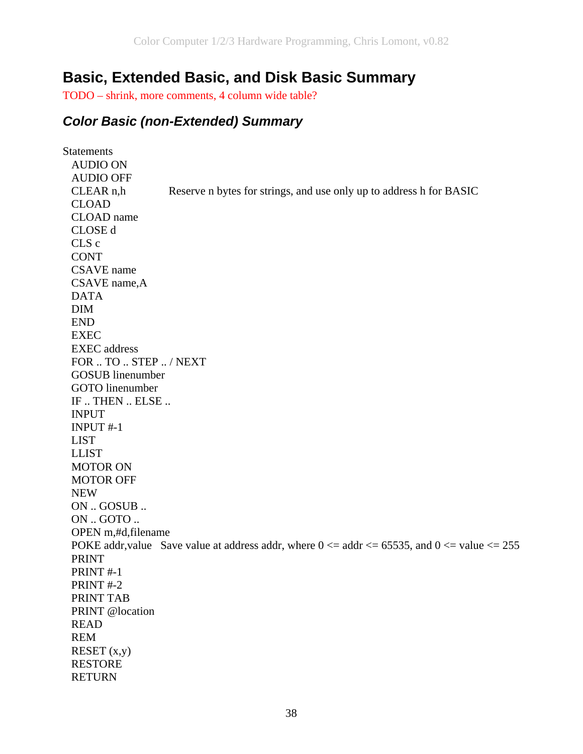## **Basic, Extended Basic, and Disk Basic Summary**

TODO – shrink, more comments, 4 column wide table?

#### *Color Basic (non-Extended) Summary*

**Statements**  AUDIO ON AUDIO OFF CLEAR n,h Reserve n bytes for strings, and use only up to address h for BASIC CLOAD CLOAD name CLOSE d CLS c **CONT**  CSAVE name CSAVE name,A DATA DIM END EXEC EXEC address FOR .. TO .. STEP .. / NEXT GOSUB linenumber GOTO linenumber IF .. THEN .. ELSE .. INPUT INPUT #-1 LIST LLIST MOTOR ON MOTOR OFF NEW ON .. GOSUB .. ON .. GOTO .. OPEN m,#d,filename POKE addr, value Save value at address addr, where  $0 \le a$  addr $\le = 65535$ , and  $0 \le a$  value  $\le = 255$  PRINT PRINT #-1 PRINT #-2 PRINT TAB PRINT @location READ REM  $RESET(x,y)$  RESTORE **RETURN**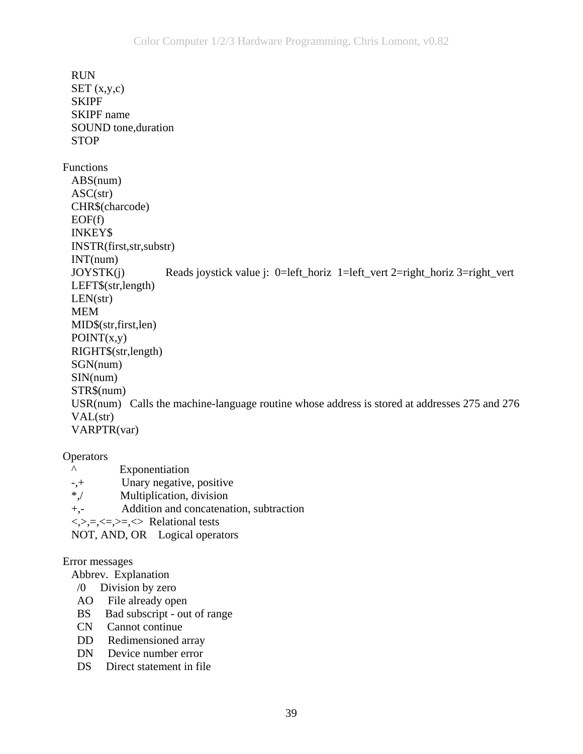RUN  $SET(x,y,c)$  SKIPF SKIPF name SOUND tone,duration **STOP** Functions ABS(num) ASC(str) CHR\$(charcode)  $EOF(f)$  INKEY\$ INSTR(first,str,substr) INT(num) JOYSTK(j) Reads joystick value j: 0=left\_horiz 1=left\_vert 2=right\_horiz 3=right\_vert LEFT\$(str,length)  $LEN(str)$  MEM MID\$(str,first,len)  $POINT(x,y)$  RIGHT\$(str,length) SGN(num) SIN(num) STR\$(num) USR(num) Calls the machine-language routine whose address is stored at addresses 275 and 276 VAL(str) VARPTR(var)

#### **Operators**

- ^ Exponentiation -,+ Unary negative, positive \*,/ Multiplication, division +,- Addition and concatenation, subtraction
- $\langle \rangle$ , =,  $\langle \rangle$ =,  $\rangle$ =,  $\langle \rangle$  Relational tests
- NOT, AND, OR Logical operators

#### Error messages

#### Abbrev. Explanation

- /0 Division by zero
- AO File already open
- BS Bad subscript out of range
- CN Cannot continue
- DD Redimensioned array
- DN Device number error
- DS Direct statement in file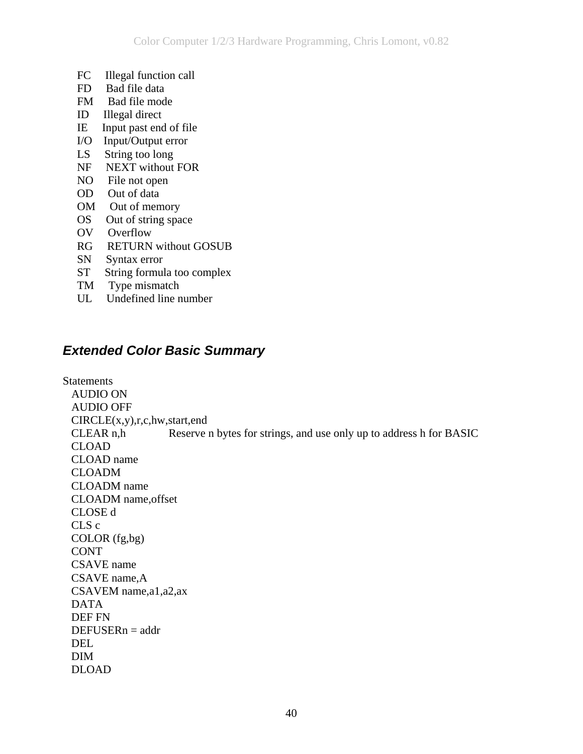- FC Illegal function call
- FD Bad file data
- FM Bad file mode
- ID Illegal direct
- IE Input past end of file
- I/O Input/Output error
- LS String too long
- NF NEXT without FOR
- NO File not open
- OD Out of data
- OM Out of memory
- OS Out of string space
- OV Overflow
- RG RETURN without GOSUB
- SN Syntax error
- ST String formula too complex
- TM Type mismatch
- UL Undefined line number

### *Extended Color Basic Summary*

Statements AUDIO ON AUDIO OFF CIRCLE(x,y),r,c,hw,start,end CLEAR n,h Reserve n bytes for strings, and use only up to address h for BASIC CLOAD CLOAD name CLOADM CLOADM name CLOADM name,offset CLOSE d CLS c COLOR (fg,bg) CONT CSAVE name CSAVE name,A CSAVEM name,a1,a2,ax DATA DEF FN DEFUSERn = addr DEL DIM DLOAD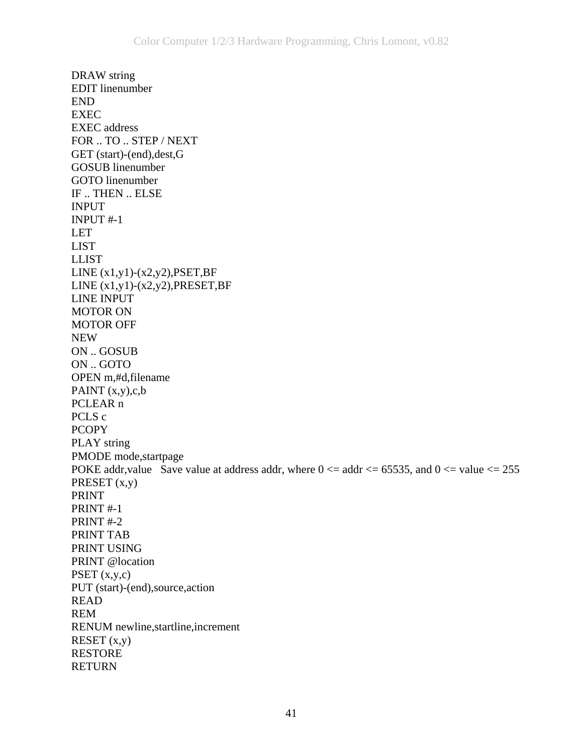DRAW string EDIT linenumber END EXEC EXEC address FOR .. TO .. STEP / NEXT GET (start)-(end),dest,G GOSUB linenumber GOTO linenumber IF .. THEN .. ELSE INPUT INPUT #-1 LET LIST LLIST LINE  $(x1,y1)-(x2,y2)$ , PSET, BF LINE  $(x1,y1)-(x2,y2)$ , PRESET, BF LINE INPUT MOTOR ON MOTOR OFF NEW ON .. GOSUB ON .. GOTO OPEN m,#d,filename PAINT  $(x,y),c,b$  PCLEAR n PCLS c **PCOPY**  PLAY string PMODE mode,startpage POKE addr, value Save value at address addr, where  $0 \le a \, \text{addr} \le 65535$ , and  $0 \le a \, \text{value} \le 255$ PRESET (x,y) PRINT PRINT #-1 PRINT #-2 PRINT TAB PRINT USING PRINT @location PSET  $(x,y,c)$  PUT (start)-(end),source,action READ REM RENUM newline,startline,increment RESET  $(x,y)$  RESTORE RETURN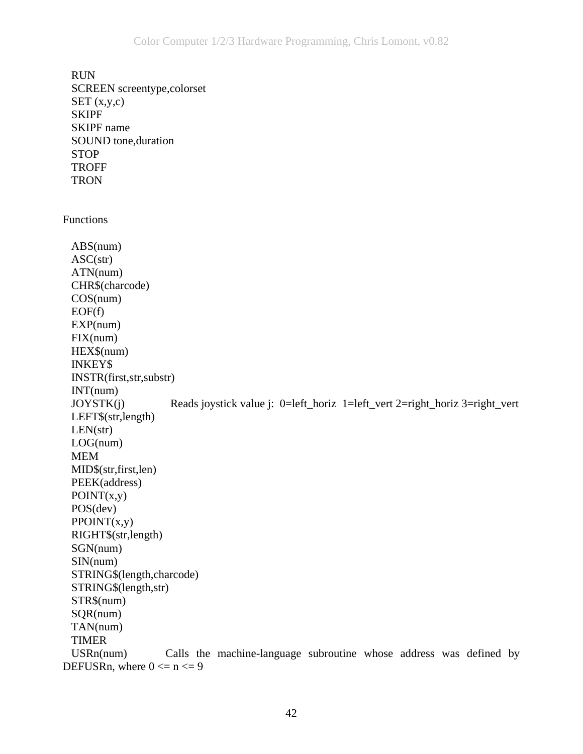RUN SCREEN screentype,colorset  $SET(x,y,c)$  SKIPF SKIPF name SOUND tone,duration STOP TROFF **TRON** Functions ABS(num)  $ASC(str)$  ATN(num) CHR\$(charcode) COS(num)  $EOF(f)$  EXP(num) FIX(num) HEX\$(num) INKEY\$ INSTR(first,str,substr) INT(num) JOYSTK(j) Reads joystick value j: 0=left\_horiz 1=left\_vert 2=right\_horiz 3=right\_vert LEFT\$(str,length)  $LEN(str)$  LOG(num) MEM MID\$(str,first,len) PEEK(address)  $POINT(x,y)$  POS(dev)  $PPOINT(x,y)$  RIGHT\$(str,length) SGN(num) SIN(num) STRING\$(length,charcode) STRING\$(length,str) STR\$(num) SQR(num) TAN(num) TIMER USRn(num) Calls the machine-language subroutine whose address was defined by DEFUSRn, where  $0 \le n \le 9$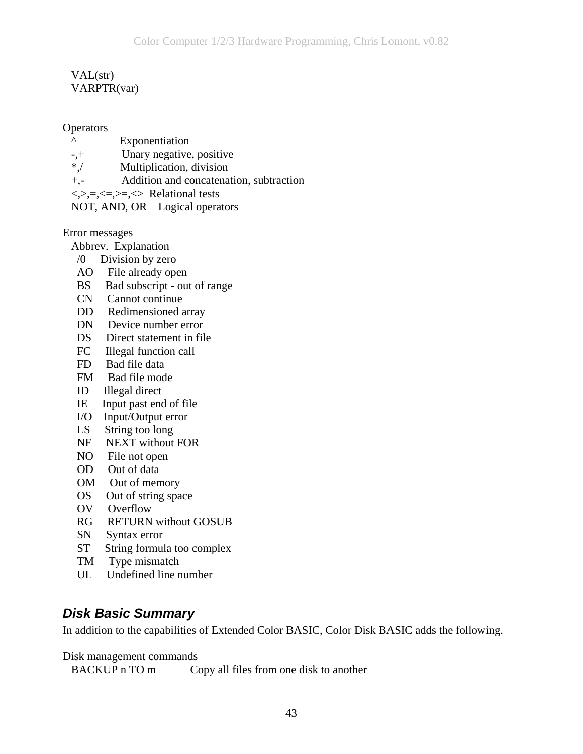#### VAL(str) VARPTR(var)

#### **Operators**

- ^ Exponentiation
- -,+ Unary negative, positive
- \*,/ Multiplication, division
- +,- Addition and concatenation, subtraction
- $\langle \rangle$ , =,  $\langle \rangle$  =,  $\langle \rangle$  Relational tests
- NOT, AND, OR Logical operators

#### Error messages

- Abbrev. Explanation
- /0 Division by zero
- AO File already open
- BS Bad subscript out of range
- CN Cannot continue
- DD Redimensioned array
- DN Device number error
- DS Direct statement in file
- FC Illegal function call
- FD Bad file data
- FM Bad file mode
- ID Illegal direct
- IE Input past end of file
- I/O Input/Output error
- LS String too long
- NF NEXT without FOR
- NO File not open
- OD Out of data
- OM Out of memory
- OS Out of string space
- OV Overflow
- RG RETURN without GOSUB
- SN Syntax error
- ST String formula too complex
- TM Type mismatch
- UL Undefined line number

#### *Disk Basic Summary*

In addition to the capabilities of Extended Color BASIC, Color Disk BASIC adds the following.

Disk management commands

BACKUP n TO m Copy all files from one disk to another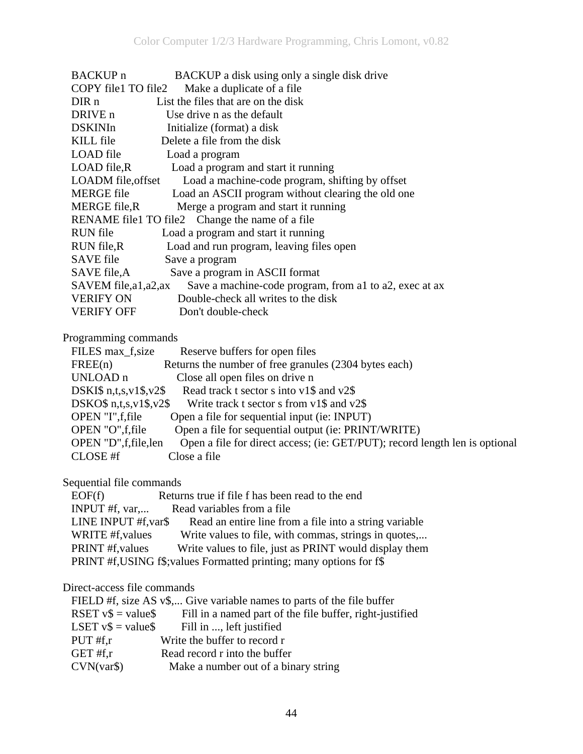| BACKUP n            | BACKUP a disk using only a single disk drive           |
|---------------------|--------------------------------------------------------|
| COPY file1 TO file2 | Make a duplicate of a file.                            |
| DIR n               | List the files that are on the disk                    |
| DRIVE n             | Use drive n as the default                             |
| DSKINIn             | Initialize (format) a disk                             |
| KILL file           | Delete a file from the disk                            |
| LOAD file           | Load a program                                         |
| LOAD file,R         | Load a program and start it running                    |
| LOADM file, offset  | Load a machine-code program, shifting by offset        |
| <b>MERGE</b> file   | Load an ASCII program without clearing the old one     |
| MERGE file,R        | Merge a program and start it running                   |
|                     | RENAME file1 TO file2 Change the name of a file        |
| RUN file            | Load a program and start it running                    |
| RUN file,R          | Load and run program, leaving files open               |
| SAVE file           | Save a program                                         |
| SAVE file,A         | Save a program in ASCII format                         |
| SAVEM file,a1,a2,ax | Save a machine-code program, from al to a2, exec at ax |
| <b>VERIFY ON</b>    | Double-check all writes to the disk                    |
| VERIFY OFF          | Don't double-check                                     |

#### Programming commands

| FILES max_f, size<br>Reserve buffers for open files                                                   |
|-------------------------------------------------------------------------------------------------------|
| Returns the number of free granules (2304 bytes each)<br>FREE(n)                                      |
| UNLOAD <sub>n</sub><br>Close all open files on drive n                                                |
| Read track t sector s into v1\$ and v2\$<br>DSKI $$n,t,s,v1$,v2$$                                     |
| DSKO $$n,t,s,v1$,v2$$<br>Write track t sector s from $v1\$ and $v2\$                                  |
| OPEN "I", f, file<br>Open a file for sequential input (ie: INPUT)                                     |
| Open a file for sequential output (ie: PRINT/WRITE)<br>OPEN "O", f, file                              |
| OPEN "D", f, file, len<br>Open a file for direct access; (ie: GET/PUT); record length len is optional |
| CLOSE #f<br>Close a file                                                                              |

#### Sequential file commands

| EOF(f)                  | Returns true if file f has been read to the end                      |
|-------------------------|----------------------------------------------------------------------|
| INPUT #f, $var$         | Read variables from a file.                                          |
| LINE INPUT #f, var\$    | Read an entire line from a file into a string variable               |
| WRITE #f, values        | Write values to file, with commas, strings in quotes,                |
| <b>PRINT</b> #f, values | Write values to file, just as PRINT would display them               |
|                         | PRINT #f, USING f\$; values Formatted printing; many options for f\$ |

#### Direct-access file commands

|                       | FIELD #f, size AS v\$, Give variable names to parts of the file buffer |
|-----------------------|------------------------------------------------------------------------|
| RSET $v\$ = value\$   | Fill in a named part of the file buffer, right-justified               |
| LSET $v\$ = value $\$ | Fill in , left justified                                               |
| PUT $#f,r$            | Write the buffer to record r                                           |
| GET #f, $r$           | Read record r into the buffer                                          |
| CVN(var\$)            | Make a number out of a binary string                                   |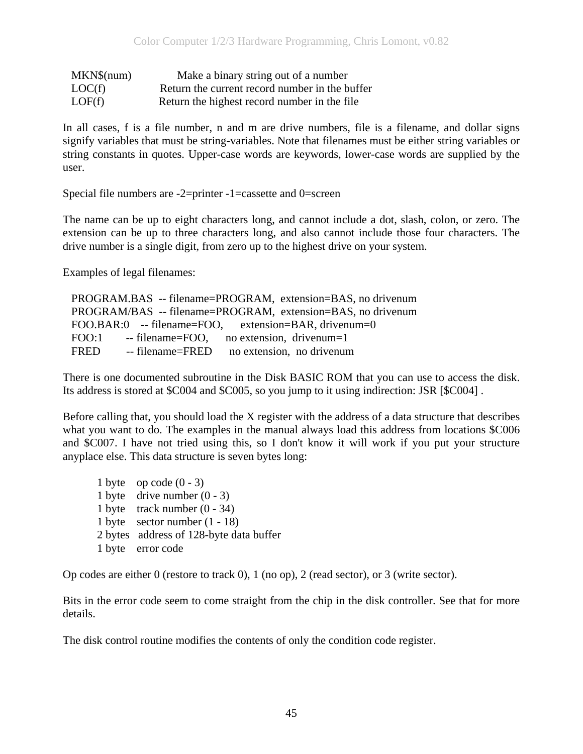| MKN\$(num) | Make a binary string out of a number           |
|------------|------------------------------------------------|
| LOC(f)     | Return the current record number in the buffer |
| LOF(f)     | Return the highest record number in the file   |

In all cases, f is a file number, n and m are drive numbers, file is a filename, and dollar signs signify variables that must be string-variables. Note that filenames must be either string variables or string constants in quotes. Upper-case words are keywords, lower-case words are supplied by the user.

Special file numbers are -2=printer -1=cassette and 0=screen

The name can be up to eight characters long, and cannot include a dot, slash, colon, or zero. The extension can be up to three characters long, and also cannot include those four characters. The drive number is a single digit, from zero up to the highest drive on your system.

Examples of legal filenames:

 PROGRAM.BAS -- filename=PROGRAM, extension=BAS, no drivenum PROGRAM/BAS -- filename=PROGRAM, extension=BAS, no drivenum FOO.BAR:0 -- filename=FOO, extension=BAR, drivenum=0 FOO:1 -- filename=FOO, no extension, drivenum=1 FRED -- filename=FRED no extension, no drivenum

There is one documented subroutine in the Disk BASIC ROM that you can use to access the disk. Its address is stored at \$C004 and \$C005, so you jump to it using indirection: JSR [\$C004] .

Before calling that, you should load the X register with the address of a data structure that describes what you want to do. The examples in the manual always load this address from locations \$C006 and \$C007. I have not tried using this, so I don't know it will work if you put your structure anyplace else. This data structure is seven bytes long:

1 byte op code  $(0 - 3)$ 1 byte drive number  $(0 - 3)$  1 byte track number (0 - 34) 1 byte sector number (1 - 18) 2 bytes address of 128-byte data buffer 1 byte error code

Op codes are either 0 (restore to track 0), 1 (no op), 2 (read sector), or 3 (write sector).

Bits in the error code seem to come straight from the chip in the disk controller. See that for more details.

The disk control routine modifies the contents of only the condition code register.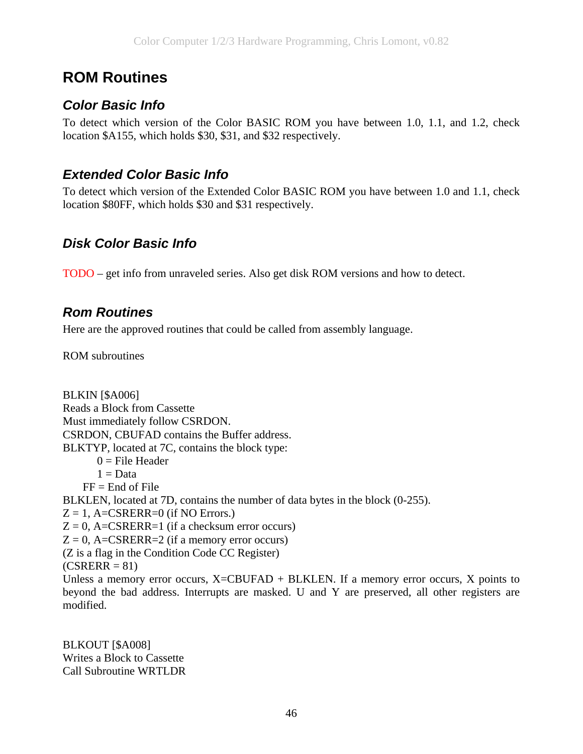# **ROM Routines**

## *Color Basic Info*

To detect which version of the Color BASIC ROM you have between 1.0, 1.1, and 1.2, check location \$A155, which holds \$30, \$31, and \$32 respectively.

#### *Extended Color Basic Info*

To detect which version of the Extended Color BASIC ROM you have between 1.0 and 1.1, check location \$80FF, which holds \$30 and \$31 respectively.

#### *Disk Color Basic Info*

TODO – get info from unraveled series. Also get disk ROM versions and how to detect.

#### *Rom Routines*

Here are the approved routines that could be called from assembly language.

ROM subroutines

BLKIN [\$A006] Reads a Block from Cassette Must immediately follow CSRDON. CSRDON, CBUFAD contains the Buffer address. BLKTYP, located at 7C, contains the block type:  $0 =$ File Header  $1 = Data$  $FF =$  End of File BLKLEN, located at 7D, contains the number of data bytes in the block (0-255).  $Z = 1$ , A=CSRERR=0 (if NO Errors.)  $Z = 0$ , A=CSRERR=1 (if a checksum error occurs)  $Z = 0$ , A=CSRERR=2 (if a memory error occurs) (Z is a flag in the Condition Code CC Register)  $(CSRERR = 81)$ Unless a memory error occurs,  $X=CBUFAD + BLKLEN$ . If a memory error occurs, X points to beyond the bad address. Interrupts are masked. U and Y are preserved, all other registers are modified.

BLKOUT [\$A008] Writes a Block to Cassette Call Subroutine WRTLDR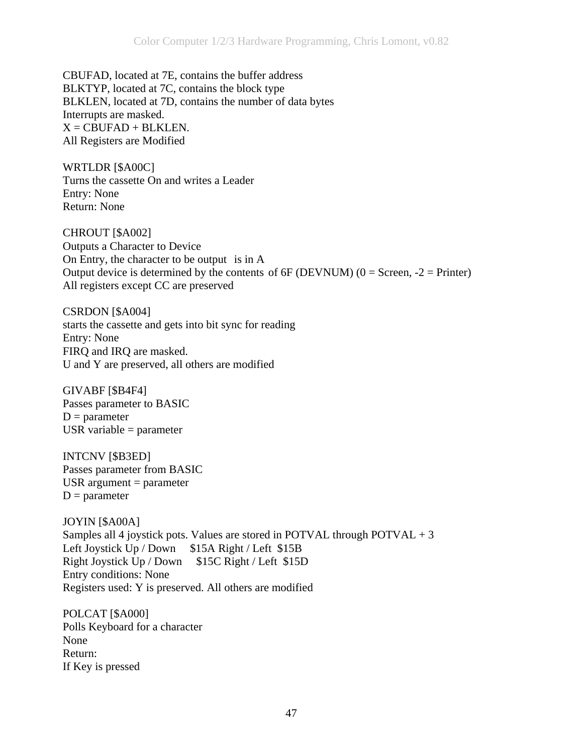CBUFAD, located at 7E, contains the buffer address BLKTYP, located at 7C, contains the block type BLKLEN, located at 7D, contains the number of data bytes Interrupts are masked.  $X =$ CBUFAD + BLKLEN. All Registers are Modified

WRTLDR [\$A00C] Turns the cassette On and writes a Leader Entry: None Return: None

CHROUT [\$A002] Outputs a Character to Device On Entry, the character to be output is in A Output device is determined by the contents of  $6F$  (DEVNUM) ( $0 =$  Screen,  $-2 =$  Printer) All registers except CC are preserved

CSRDON [\$A004] starts the cassette and gets into bit sync for reading Entry: None FIRQ and IRQ are masked. U and Y are preserved, all others are modified

GIVABF [\$B4F4] Passes parameter to BASIC  $D = parameter$ USR variable  $=$  parameter

INTCNV [\$B3ED] Passes parameter from BASIC USR argument  $=$  parameter  $D = parameter$ 

JOYIN [\$A00A] Samples all 4 joystick pots. Values are stored in POTVAL through POTVAL  $+3$ Left Joystick Up / Down \$15A Right / Left \$15B Right Joystick Up / Down \$15C Right / Left \$15D Entry conditions: None Registers used: Y is preserved. All others are modified

POLCAT [\$A000] Polls Keyboard for a character None Return: If Key is pressed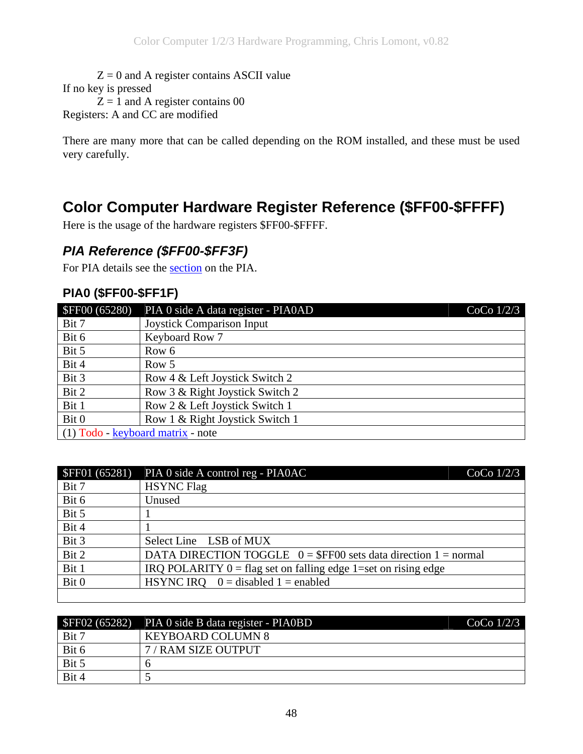$Z = 0$  and A register contains ASCII value If no key is pressed  $Z = 1$  and A register contains 00 Registers: A and CC are modified

There are many more that can be called depending on the ROM installed, and these must be used very carefully.

# **Color Computer Hardware Register Reference (\$FF00-\$FFFF)**

Here is the usage of the hardware registers \$FF00-\$FFFF.

### *PIA Reference (\$FF00-\$FF3F)*

For PIA details see the [section](#page-6-0) on the PIA.

#### **PIA0 (\$FF00-\$FF1F)**

| <b>\$FF00 (65280)</b>             | PIA 0 side A data register - PIA0AD | CoCo $1/2/3$ |
|-----------------------------------|-------------------------------------|--------------|
| Bit 7                             | <b>Joystick Comparison Input</b>    |              |
| Bit 6                             | Keyboard Row 7                      |              |
| Bit 5                             | Row 6                               |              |
| Bit 4                             | Row 5                               |              |
| Bit 3                             | Row 4 & Left Joystick Switch 2      |              |
| Bit 2                             | Row 3 & Right Joystick Switch 2     |              |
| Bit 1                             | Row 2 & Left Joystick Switch 1      |              |
| Bit 0                             | Row 1 & Right Joystick Switch 1     |              |
| (1) Todo - keyboard matrix - note |                                     |              |

| <b>\$FF01 (65281)</b> | PIA 0 side A control reg - PIA0AC<br>CoCo $1/2/3$                |
|-----------------------|------------------------------------------------------------------|
| Bit 7                 | <b>HSYNC Flag</b>                                                |
| Bit 6                 | Unused                                                           |
| Bit 5                 |                                                                  |
| Bit 4                 |                                                                  |
| Bit 3                 | Select Line LSB of MUX                                           |
| Bit 2                 | DATA DIRECTION TOGGLE $0 = $FF00$ sets data direction 1 = normal |
| Bit 1                 | IRQ POLARITY $0 = flag$ set on falling edge 1=set on rising edge |
| Bit 0                 | HSYNC IRQ $0 =$ disabled 1 = enabled                             |

| SFF02 (65282) | PIA 0 side B data register - PIA0BD | CoCo $1/2/3$ |
|---------------|-------------------------------------|--------------|
| Bit 7         | <b>KEYBOARD COLUMN 8</b>            |              |
| Bit 6         | 7 / RAM SIZE OUTPUT                 |              |
| Bit 5         |                                     |              |
| Bit 4         |                                     |              |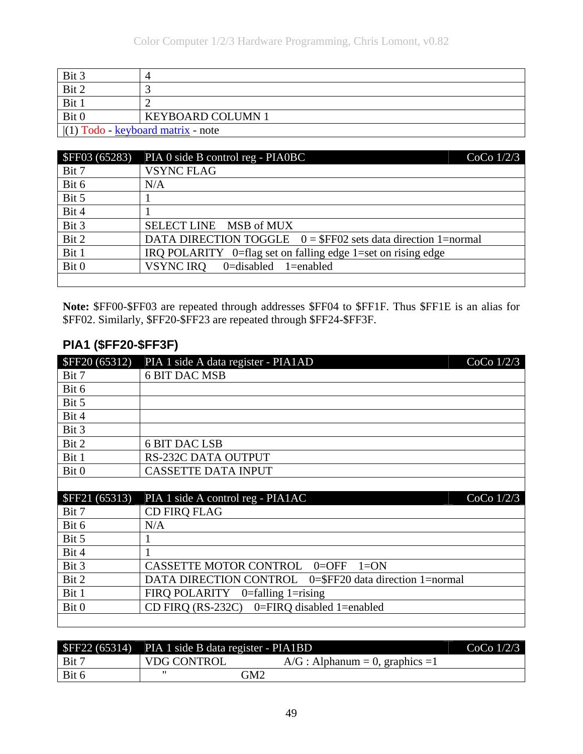| Bit 3                                                       |                          |
|-------------------------------------------------------------|--------------------------|
| Bit 2                                                       |                          |
| Bit 1                                                       |                          |
| Bit 0                                                       | <b>KEYBOARD COLUMN 1</b> |
| $ (1) \text{ Todo} - \text{keyboard matrix} - \text{note} $ |                          |

| <b>\$FF03 (65283)</b> | PIA 0 side B control reg - PIA0BC<br>CoCo $1/2/3$               |
|-----------------------|-----------------------------------------------------------------|
| Bit 7                 | <b>VSYNC FLAG</b>                                               |
| Bit 6                 | N/A                                                             |
| Bit 5                 |                                                                 |
| Bit 4                 |                                                                 |
| Bit 3                 | SELECT LINE MSB of MUX                                          |
| Bit 2                 | DATA DIRECTION TOGGLE $0 = $FF02$ sets data direction 1=normal  |
| Bit 1                 | IRQ POLARITY $0$ =flag set on falling edge 1=set on rising edge |
| Bit 0                 | <b>VSYNC IRQ</b><br>0=disabled 1=enabled                        |
|                       |                                                                 |

**Note:** \$FF00-\$FF03 are repeated through addresses \$FF04 to \$FF1F. Thus \$FF1E is an alias for \$FF02. Similarly, \$FF20-\$FF23 are repeated through \$FF24-\$FF3F.

#### **PIA1 (\$FF20-\$FF3F)**

| <b>\$FF20 (65312)</b> | PIA 1 side A data register - PIA1AD | CoCo $1/2/3$ |
|-----------------------|-------------------------------------|--------------|
| Bit 7                 | <b>6 BIT DAC MSB</b>                |              |
| Bit 6                 |                                     |              |
| Bit 5                 |                                     |              |
| Bit 4                 |                                     |              |
| Bit 3                 |                                     |              |
| Bit 2                 | <b>6 BIT DAC LSB</b>                |              |
| Bit 1                 | <b>RS-232C DATA OUTPUT</b>          |              |
| Bit 0                 | <b>CASSETTE DATA INPUT</b>          |              |
|                       |                                     |              |
| <b>\$FF21 (65313)</b> | PIA 1 side A control reg - PIA1AC   | CoCo $1/2/3$ |
| Bit 7                 | <b>CD FIRQ FLAG</b>                 |              |
| Bit 6                 | N/A                                 |              |

| Bit 5 |                                                         |
|-------|---------------------------------------------------------|
| Bit 4 |                                                         |
| Bit 3 | CASSETTE MOTOR CONTROL 0=OFF 1=ON                       |
| Bit 2 | DATA DIRECTION CONTROL 0=\$FF20 data direction 1=normal |
| Bit 1 | FIRQ POLARITY $0$ =falling 1=rising                     |
| Bit 0 | CD FIRQ $(RS-232C)$ 0=FIRQ disabled 1=enabled           |
|       |                                                         |

|       | \$FF22 (65314) PIA 1 side B data register - PIA1BD |                                    | CoCo $1/2/3$ |
|-------|----------------------------------------------------|------------------------------------|--------------|
| Bit 7 | <b>VDG CONTROL</b>                                 | $A/G$ : Alphanum = 0, graphics = 1 |              |
| Bit 6 |                                                    | GM2                                |              |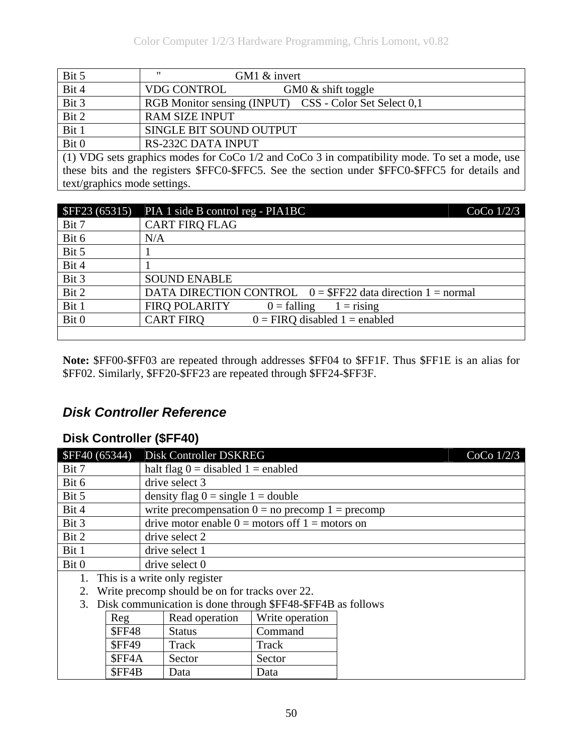| Bit 5 | $^{\prime\prime}$<br>GM1 & invert                      |  |
|-------|--------------------------------------------------------|--|
| Bit 4 | <b>VDG CONTROL</b><br>GM0 $\&$ shift toggle            |  |
| Bit 3 | RGB Monitor sensing (INPUT) CSS - Color Set Select 0,1 |  |
| Bit 2 | <b>RAM SIZE INPUT</b>                                  |  |
| Bit 1 | SINGLE BIT SOUND OUTPUT                                |  |
| Bit 0 | <b>RS-232C DATA INPUT</b>                              |  |

(1) VDG sets graphics modes for CoCo 1/2 and CoCo 3 in compatibility mode. To set a mode, use these bits and the registers \$FFC0-\$FFC5. See the section under \$FFC0-\$FFC5 for details and text/graphics mode settings.

| SFF23(65315) | CoCo $1/2/3$<br>PIA 1 side B control reg - PIA1BC             |
|--------------|---------------------------------------------------------------|
| Bit 7        | <b>CART FIRQ FLAG</b>                                         |
| Bit 6        | N/A                                                           |
| Bit 5        |                                                               |
| Bit 4        |                                                               |
| Bit 3        | <b>SOUND ENABLE</b>                                           |
| Bit 2        | DATA DIRECTION CONTROL $0 = \$FF22$ data direction 1 = normal |
| Bit 1        | <b>FIRO POLARITY</b><br>$0 = falling$<br>$1 =$ rising         |
| Bit 0        | <b>CART FIRQ</b><br>$0 = FIRQ$ disabled $1 =$ enabled         |
|              |                                                               |

**Note:** \$FF00-\$FF03 are repeated through addresses \$FF04 to \$FF1F. Thus \$FF1E is an alias for \$FF02. Similarly, \$FF20-\$FF23 are repeated through \$FF24-\$FF3F.

### *Disk Controller Reference*

#### **Disk Controller (\$FF40)**

| SFF40(65344) |                                                | Disk Controller DSKREG                                      |                 | CoCo $1/2/3$ |
|--------------|------------------------------------------------|-------------------------------------------------------------|-----------------|--------------|
| Bit 7        |                                                | halt flag $0 =$ disabled $1 =$ enabled                      |                 |              |
| Bit 6        |                                                | drive select 3                                              |                 |              |
| Bit 5        |                                                | density flag $0 = \text{single } 1 = \text{double}$         |                 |              |
| Bit 4        |                                                | write precompensation $0 = no$ precomp $1 = precomp$        |                 |              |
| Bit 3        |                                                | drive motor enable $0 =$ motors of $1 =$ motors on          |                 |              |
| Bit 2        |                                                | drive select 2                                              |                 |              |
| Bit 1        |                                                | drive select 1                                              |                 |              |
| Bit 0        |                                                | drive select 0                                              |                 |              |
| 1.           |                                                | This is a write only register                               |                 |              |
| 2.           | Write precomp should be on for tracks over 22. |                                                             |                 |              |
| 3.           |                                                | Disk communication is done through \$FF48-\$FF4B as follows |                 |              |
|              | Reg                                            | Read operation                                              | Write operation |              |
|              | <b>SFF48</b>                                   | <b>Status</b>                                               | Command         |              |
|              | <b>\$FF49</b>                                  | Track                                                       | Track           |              |
|              | \$FF4A                                         | Sector                                                      | Sector          |              |
|              | \$FF4B                                         | Data                                                        | Data            |              |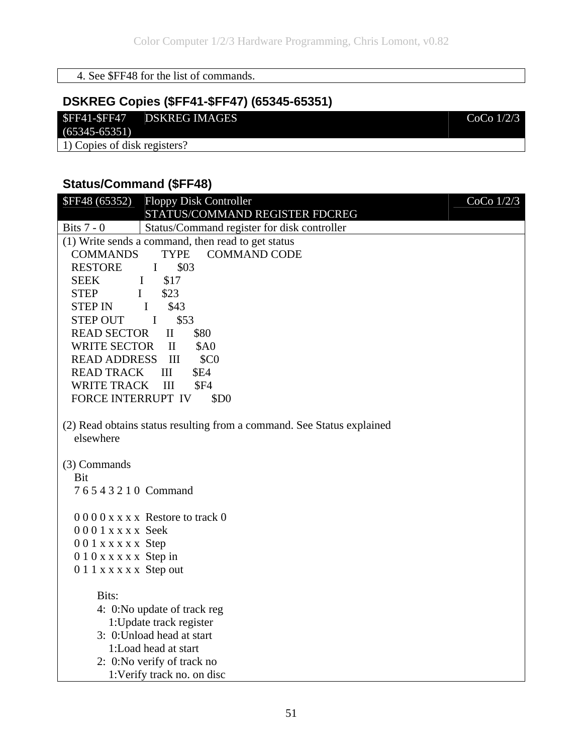#### 4. See \$FF48 for the list of commands.

## **DSKREG Copies (\$FF41-\$FF47) (65345-65351)**

#### \$FF41-\$FF47 DSKREG IMAGES CoCo 1/2/3

 $(65345-65351)$ 

1) Copies of disk registers?

#### **Status/Command (\$FF48)**

| <b>\$FF48 (65352)</b><br><b>Floppy Disk Controller</b>                              | CoCo $1/2/3$ |
|-------------------------------------------------------------------------------------|--------------|
| STATUS/COMMAND REGISTER FDCREG                                                      |              |
| Bits $7 - 0$<br>Status/Command register for disk controller                         |              |
| (1) Write sends a command, then read to get status                                  |              |
| <b>COMMAND CODE</b><br><b>COMMANDS</b><br><b>TYPE</b>                               |              |
| <b>RESTORE</b><br>\$03<br>$\bf{I}$                                                  |              |
| <b>SEEK</b><br>\$17<br>$\bf{I}$                                                     |              |
| \$23<br><b>STEP</b><br>$\mathbf I$                                                  |              |
| <b>STEP IN</b><br>$\mathbf{I}$<br>\$43                                              |              |
| \$53<br>STEP OUT I                                                                  |              |
| <b>READ SECTOR</b><br>\$80<br>$\rm II$                                              |              |
| WRITE SECTOR<br>$\mathbf{I}$<br><b>\$A0</b>                                         |              |
| <b>READ ADDRESS III</b><br>\$C <sub>0</sub>                                         |              |
| <b>READ TRACK</b><br>III<br><b>\$E4</b>                                             |              |
| <b>WRITE TRACK</b><br>III<br><b>\$F4</b>                                            |              |
| FORCE INTERRUPT IV<br>\$D <sub>0</sub>                                              |              |
| (2) Read obtains status resulting from a command. See Status explained<br>elsewhere |              |
| (3) Commands                                                                        |              |
| Bit                                                                                 |              |
| 76543210 Command                                                                    |              |
| $0000xxxx$ Restore to track 0                                                       |              |
| $0001$ x x x x Seek                                                                 |              |
| $001$ x x x x x Step                                                                |              |
| 010 x x x x x Step in                                                               |              |
| 0 1 1 x x x x x Step out                                                            |              |
| Bits:                                                                               |              |
| 4: 0:No update of track reg                                                         |              |
| 1: Update track register                                                            |              |
| 3: 0: Unload head at start                                                          |              |
| 1:Load head at start                                                                |              |
| 2: 0:No verify of track no                                                          |              |
| 1:Verify track no. on disc                                                          |              |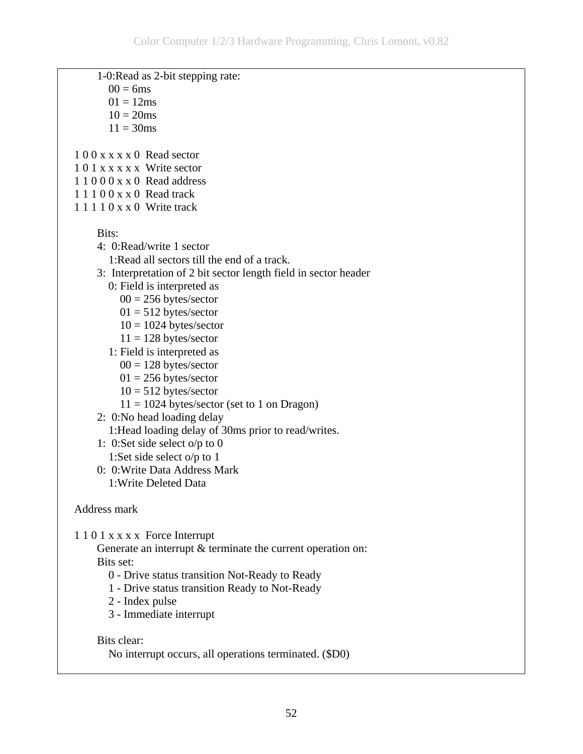1-0:Read as 2-bit stepping rate:  $00 = 6$ ms  $01 = 12$ ms  $10 = 20$ ms  $11 = 30$  ms 1 0 0 x x x x 0 Read sector 1 0 1 x x x x x Write sector 1 1 0 0 0 x x 0 Read address 1 1 1 0 0 x x 0 Read track 1 1 1 1 0 x x 0 Write track Bits: 4: 0:Read/write 1 sector 1:Read all sectors till the end of a track. 3: Interpretation of 2 bit sector length field in sector header 0: Field is interpreted as  $00 = 256$  bytes/sector  $01 = 512$  bytes/sector  $10 = 1024$  bytes/sector  $11 = 128$  bytes/sector 1: Field is interpreted as  $00 = 128$  bytes/sector  $01 = 256$  bytes/sector  $10 = 512$  bytes/sector  $11 = 1024$  bytes/sector (set to 1 on Dragon) 2: 0:No head loading delay 1:Head loading delay of 30ms prior to read/writes. 1: 0:Set side select o/p to 0 1:Set side select o/p to 1 0: 0:Write Data Address Mark 1:Write Deleted Data Address mark 1 1 0 1 x x x x Force Interrupt Generate an interrupt  $&$  terminate the current operation on: Bits set: 0 - Drive status transition Not-Ready to Ready 1 - Drive status transition Ready to Not-Ready 2 - Index pulse 3 - Immediate interrupt Bits clear: No interrupt occurs, all operations terminated. (\$D0)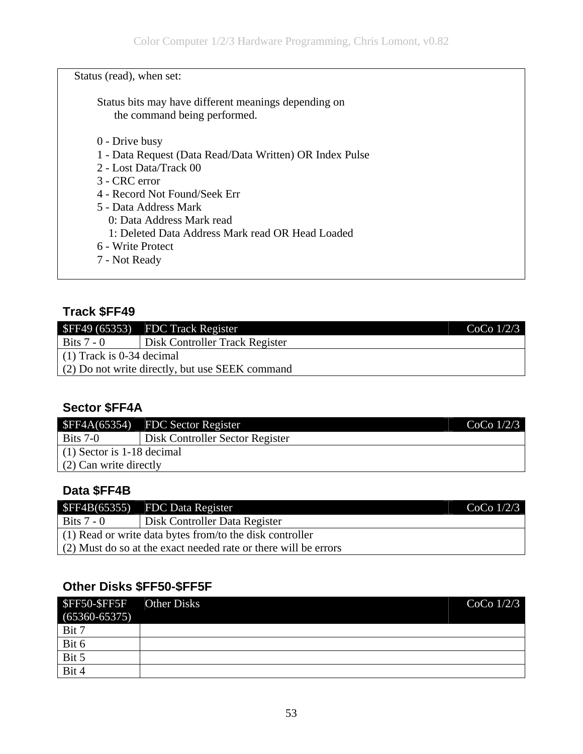Status (read), when set:

 Status bits may have different meanings depending on the command being performed.

- 0 Drive busy
- 1 Data Request (Data Read/Data Written) OR Index Pulse
- 2 Lost Data/Track 00
- 3 CRC error
- 4 Record Not Found/Seek Err
- 5 Data Address Mark
	- 0: Data Address Mark read
	- 1: Deleted Data Address Mark read OR Head Loaded
- 6 Write Protect
- 7 Not Ready

#### **Track \$FF49**

|                                                   | $SFF49(65353)$ FDC Track Register     | CoCo $1/2/3$ |
|---------------------------------------------------|---------------------------------------|--------------|
| Bits $7 - 0$                                      | <b>Disk Controller Track Register</b> |              |
| $(1)$ Track is 0-34 decimal                       |                                       |              |
| $(2)$ Do not write directly, but use SEEK command |                                       |              |

#### **Sector \$FF4A**

| \$FF4A(65354)                | <b>FDC</b> Sector Register      | CoCo $1/2/3$ |
|------------------------------|---------------------------------|--------------|
| Bits $7-0$                   | Disk Controller Sector Register |              |
| $(1)$ Sector is 1-18 decimal |                                 |              |
| $(2)$ Can write directly     |                                 |              |

#### **Data \$FF4B**

|                                                                 | $SFF4B(65355)$ FDC Data Register | $CoCo$ 1/2/3 |
|-----------------------------------------------------------------|----------------------------------|--------------|
| Bits $7 - 0$                                                    | Disk Controller Data Register    |              |
| $(1)$ Read or write data bytes from/to the disk controller      |                                  |              |
| (2) Must do so at the exact needed rate or there will be errors |                                  |              |

#### **Other Disks \$FF50-\$FF5F**

| \$FF50-\$FF5F<br>$(65360 - 65375)$ | <b>Other Disks</b> | $CoCo$ $1/2/3$ |
|------------------------------------|--------------------|----------------|
| Bit 7                              |                    |                |
| Bit 6                              |                    |                |
| Bit 5                              |                    |                |
| Bit 4                              |                    |                |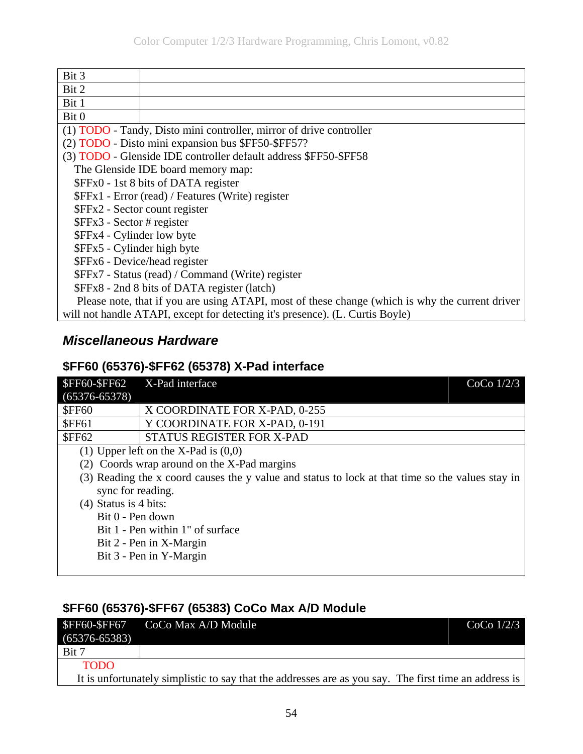| Bit 3                                             |                                                                                                 |  |  |
|---------------------------------------------------|-------------------------------------------------------------------------------------------------|--|--|
| Bit 2                                             |                                                                                                 |  |  |
| Bit 1                                             |                                                                                                 |  |  |
| Bit 0                                             |                                                                                                 |  |  |
|                                                   | (1) TODO - Tandy, Disto mini controller, mirror of drive controller                             |  |  |
|                                                   | (2) TODO - Disto mini expansion bus \$FF50-\$FF57?                                              |  |  |
|                                                   | (3) TODO - Glenside IDE controller default address \$FF50-\$FF58                                |  |  |
|                                                   | The Glenside IDE board memory map:                                                              |  |  |
|                                                   | \$FFx0 - 1st 8 bits of DATA register                                                            |  |  |
|                                                   | \$FFx1 - Error (read) / Features (Write) register                                               |  |  |
|                                                   | \$FFx2 - Sector count register                                                                  |  |  |
| $FFx3 - Sector # register$                        |                                                                                                 |  |  |
| \$FFx4 - Cylinder low byte                        |                                                                                                 |  |  |
| \$FFx5 - Cylinder high byte                       |                                                                                                 |  |  |
|                                                   | \$FFx6 - Device/head register                                                                   |  |  |
| \$FFx7 - Status (read) / Command (Write) register |                                                                                                 |  |  |
|                                                   | \$FFx8 - 2nd 8 bits of DATA register (latch)                                                    |  |  |
|                                                   | Please note, that if you are using ATAPI, most of these change (which is why the current driver |  |  |
|                                                   | will not handle ATAPI, except for detecting it's presence). (L. Curtis Boyle)                   |  |  |

## *Miscellaneous Hardware*

#### **\$FF60 (65376)-\$FF62 (65378) X-Pad interface**

| <b>\$FF60-\$FF62</b><br>$(65376 - 65378)$ | X-Pad interface<br>CoCo $1/2/3$                                                                  |
|-------------------------------------------|--------------------------------------------------------------------------------------------------|
| <b>\$FF60</b>                             | X COORDINATE FOR X-PAD, 0-255                                                                    |
| <b>\$FF61</b>                             | Y COORDINATE FOR X-PAD, 0-191                                                                    |
| <b>\$FF62</b>                             | STATUS REGISTER FOR X-PAD                                                                        |
|                                           | (1) Upper left on the X-Pad is $(0,0)$                                                           |
|                                           | (2) Coords wrap around on the X-Pad margins                                                      |
|                                           | (3) Reading the x coord causes the y value and status to lock at that time so the values stay in |
| sync for reading.                         |                                                                                                  |
| $(4)$ Status is 4 bits:                   |                                                                                                  |
| Bit 0 - Pen down                          |                                                                                                  |
|                                           | Bit 1 - Pen within 1" of surface                                                                 |
|                                           | Bit 2 - Pen in X-Margin                                                                          |
|                                           | Bit 3 - Pen in Y-Margin                                                                          |
|                                           |                                                                                                  |

## **\$FF60 (65376)-\$FF67 (65383) CoCo Max A/D Module**

|                   | $SFF60-SFF67$ $CoCo Max A/D Module$                                                                   | CoCo $1/2/3$ |
|-------------------|-------------------------------------------------------------------------------------------------------|--------------|
| $(65376 - 65383)$ |                                                                                                       |              |
| Bit 7             |                                                                                                       |              |
| <b>TODO</b>       |                                                                                                       |              |
|                   | It is unfortunately simplistic to say that the addresses are as you say. The first time an address is |              |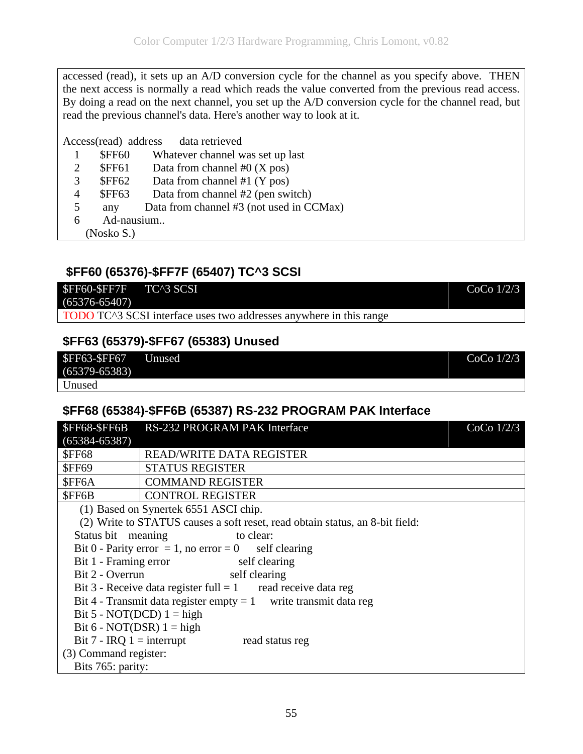<span id="page-54-0"></span>accessed (read), it sets up an A/D conversion cycle for the channel as you specify above. THEN the next access is normally a read which reads the value converted from the previous read access. By doing a read on the next channel, you set up the A/D conversion cycle for the channel read, but read the previous channel's data. Here's another way to look at it.

Access(read) address data retrieved

- 1 \$FF60 Whatever channel was set up last
- 2  $\frac{1}{2}$  \$FF61 Data from channel #0 (X pos)
- 3 \$FF62 Data from channel #1 (Y pos)
- 4 \$FF63 Data from channel #2 (pen switch)
- 5 any Data from channel #3 (not used in CCMax)
- 6 Ad-nausium..

(Nosko S.)

#### **\$FF60 (65376)-\$FF7F (65407) TC^3 SCSI**



## **\$FF63 (65379)-\$FF67 (65383) Unused**

| <b>\$FF63-\$FF67</b> | Unused | CoCo $1/2/3$ |
|----------------------|--------|--------------|
| $(65379 - 65383)$    |        |              |
| <b>Unused</b>        |        |              |

#### **\$FF68 (65384)-\$FF6B (65387) RS-232 PROGRAM PAK Interface**

| <b>\$FF68-\$FF6B</b>                                             | RS-232 PROGRAM PAK Interface                                                 | CoCo $1/2/3$ |
|------------------------------------------------------------------|------------------------------------------------------------------------------|--------------|
| $(65384 - 65387)$                                                |                                                                              |              |
| <b>\$FF68</b>                                                    | READ/WRITE DATA REGISTER                                                     |              |
| <b>SFF69</b>                                                     | <b>STATUS REGISTER</b>                                                       |              |
| \$FF6A                                                           | <b>COMMAND REGISTER</b>                                                      |              |
| \$FF6B                                                           | <b>CONTROL REGISTER</b>                                                      |              |
|                                                                  | (1) Based on Synertek 6551 ASCI chip.                                        |              |
|                                                                  | (2) Write to STATUS causes a soft reset, read obtain status, an 8-bit field: |              |
| Status bit meaning                                               | to clear:                                                                    |              |
|                                                                  | Bit 0 - Parity error = 1, no error = 0 self clearing                         |              |
| Bit 1 - Framing error<br>self clearing                           |                                                                              |              |
| Bit 2 - Overrun                                                  | self clearing                                                                |              |
|                                                                  | Bit 3 - Receive data register full $= 1$ read receive data reg               |              |
| Bit 4 - Transmit data register empty = 1 write transmit data reg |                                                                              |              |
| Bit 5 - NOT(DCD) $1 = high$                                      |                                                                              |              |
| Bit 6 - NOT(DSR) $1 = high$                                      |                                                                              |              |
|                                                                  | Bit 7 - IRQ 1 = interrupt<br>read status reg                                 |              |
| (3) Command register:                                            |                                                                              |              |
| Bits 765: parity:                                                |                                                                              |              |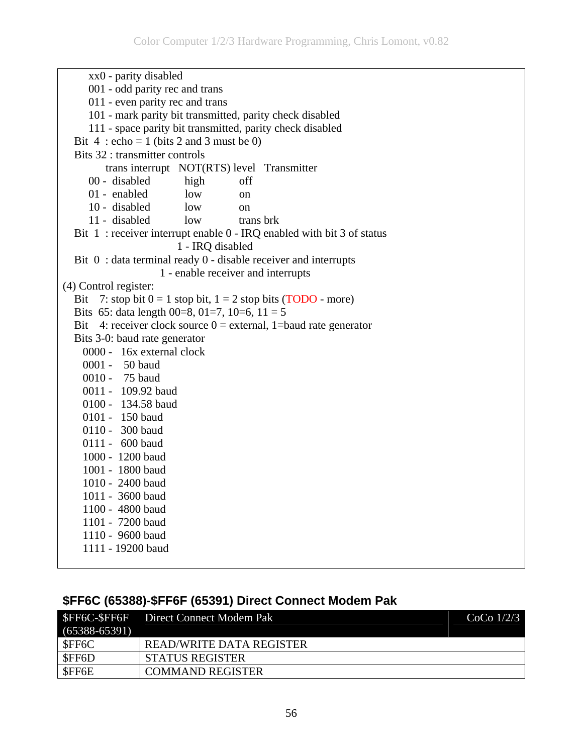| xx0 - parity disabled                                                 |  |
|-----------------------------------------------------------------------|--|
| 001 - odd parity rec and trans                                        |  |
| 011 - even parity rec and trans                                       |  |
| 101 - mark parity bit transmitted, parity check disabled              |  |
| 111 - space parity bit transmitted, parity check disabled             |  |
| Bit 4 : echo = 1 (bits 2 and 3 must be 0)                             |  |
| Bits 32 : transmitter controls                                        |  |
| trans interrupt NOT(RTS) level Transmitter                            |  |
| 00 - disabled<br>high<br>off                                          |  |
| 01 - enabled<br>low<br><sub>on</sub>                                  |  |
| 10 - disabled<br>low<br><sub>on</sub>                                 |  |
| 11 - disabled<br>trans brk<br>low                                     |  |
| Bit 1: receiver interrupt enable 0 - IRQ enabled with bit 3 of status |  |
| 1 - IRQ disabled                                                      |  |
| Bit $0:$ data terminal ready $0$ - disable receiver and interrupts    |  |
| 1 - enable receiver and interrupts                                    |  |
| (4) Control register:                                                 |  |
| Bit 7: stop bit $0 = 1$ stop bit, $1 = 2$ stop bits (TODO - more)     |  |
| Bits 65: data length 00=8, 01=7, 10=6, 11 = 5                         |  |
| Bit 4: receiver clock source $0 =$ external, 1=baud rate generator    |  |
| Bits 3-0: baud rate generator                                         |  |
| 0000 - 16x external clock                                             |  |
| 0001 - 50 baud                                                        |  |
| 0010 - 75 baud                                                        |  |
| 0011 - 109.92 baud                                                    |  |
| 0100 - 134.58 baud                                                    |  |
| 0101 - 150 baud                                                       |  |
| 0110 - 300 baud                                                       |  |
| 0111 - 600 baud                                                       |  |
| 1000 - 1200 baud                                                      |  |
| 1001 - 1800 baud                                                      |  |
| 1010 - 2400 baud                                                      |  |
| 1011 - 3600 baud                                                      |  |
| 1100 - 4800 baud                                                      |  |
| 1101 - 7200 baud                                                      |  |
| 1110 - 9600 baud                                                      |  |
| 1111 - 19200 baud                                                     |  |

## **\$FF6C (65388)-\$FF6F (65391) Direct Connect Modem Pak**

|                   | <b>SFF6C-SFF6F</b> Direct Connect Modem Pak | CoCo $1/2/3$ |
|-------------------|---------------------------------------------|--------------|
| $(65388 - 65391)$ |                                             |              |
| \$FF6C            | <b>READ/WRITE DATA REGISTER</b>             |              |
| \$FF6D            | STATUS REGISTER                             |              |
| \$FF6E            | <b>COMMAND REGISTER</b>                     |              |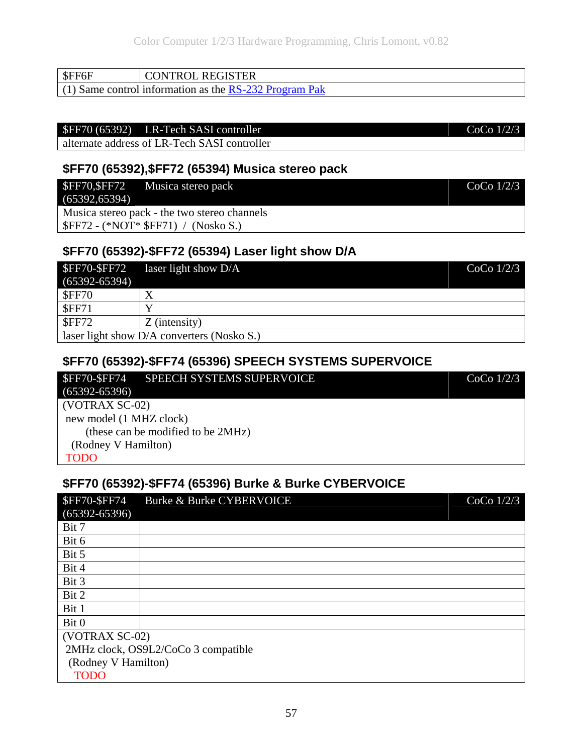57

| $\vert$ SFF6F | CONTROL REGISTER                                         |
|---------------|----------------------------------------------------------|
|               | $(1)$ Same control information as the RS-232 Program Pak |

# \$FF70 (65392) LR-Tech SASI controller CoCo 1/2/3

alternate address of LR-Tech SASI controller

#### **\$FF70 (65392),\$FF72 (65394) Musica stereo pack**

|                | \$FF70, \$FF72 Musica stereo pack            | CoCo $1/2/3$ |
|----------------|----------------------------------------------|--------------|
| (65392, 65394) |                                              |              |
|                | Musica stereo pack - the two stereo channels |              |
|                | $SFF72 - (*NOT* SFF71) / (Nosko S.)$         |              |

#### **\$FF70 (65392)-\$FF72 (65394) Laser light show D/A**

| <b>SFF70-SFF72</b><br>$(65392 - 65394)$    | laser light show $D/A$ | $CoCo$ $1/2/3$ |
|--------------------------------------------|------------------------|----------------|
| <b>SFF70</b>                               | Χ                      |                |
| <b>SFF71</b>                               |                        |                |
| <b>SFF72</b>                               | $Z$ (intensity)        |                |
| laser light show D/A converters (Nosko S.) |                        |                |

#### **\$FF70 (65392)-\$FF74 (65396) SPEECH SYSTEMS SUPERVOICE**

| <b>SFF70-SFF74</b>      | SPEECH SYSTEMS SUPERVOICE          | $CoCo$ $1/2/3$ |
|-------------------------|------------------------------------|----------------|
| $(65392 - 65396)$       |                                    |                |
| $(VOTRAX SC-02)$        |                                    |                |
| new model (1 MHZ clock) |                                    |                |
|                         | (these can be modified to be 2MHz) |                |
| (Rodney V Hamilton)     |                                    |                |
| <b>TODO</b>             |                                    |                |

#### **\$FF70 (65392)-\$FF74 (65396) Burke & Burke CYBERVOICE**

| <b>\$FF70-\$FF74</b> | Burke & Burke CYBERVOICE            | CoCo $1/2/3$ |
|----------------------|-------------------------------------|--------------|
| $(65392 - 65396)$    |                                     |              |
| Bit 7                |                                     |              |
| Bit 6                |                                     |              |
| Bit 5                |                                     |              |
| Bit 4                |                                     |              |
| Bit 3                |                                     |              |
| Bit 2                |                                     |              |
| Bit 1                |                                     |              |
| Bit 0                |                                     |              |
| (VOTRAX SC-02)       |                                     |              |
|                      | 2MHz clock, OS9L2/CoCo 3 compatible |              |
| (Rodney V Hamilton)  |                                     |              |
| <b>TODO</b>          |                                     |              |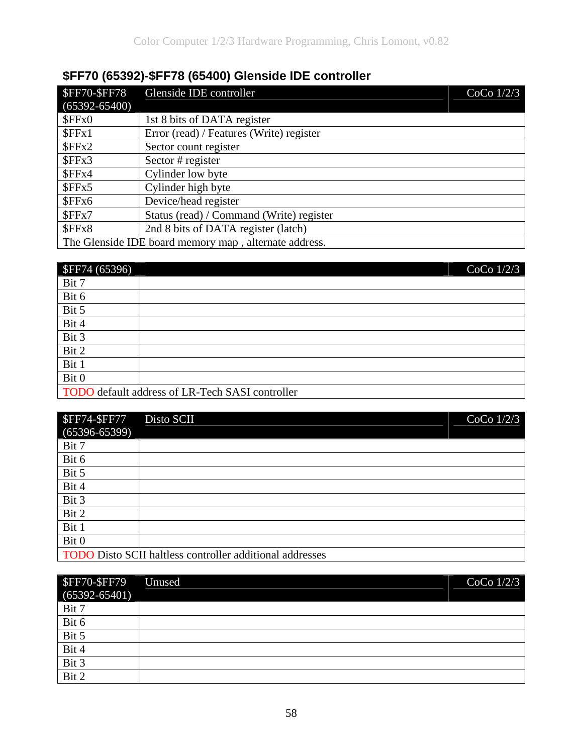# **\$FF70 (65392)-\$FF78 (65400) Glenside IDE controller**

| <b>\$FF70-\$FF78</b> | Glenside IDE controller                               | $CoCo$ $1/2/3$ |
|----------------------|-------------------------------------------------------|----------------|
| $(65392 - 65400)$    |                                                       |                |
| SFFx0                | 1st 8 bits of DATA register                           |                |
| SFFx1                | Error (read) / Features (Write) register              |                |
| SFFx2                | Sector count register                                 |                |
| SFFx3                | Sector # register                                     |                |
| SFFx4                | Cylinder low byte                                     |                |
| SFFx5                | Cylinder high byte                                    |                |
| SFFx6                | Device/head register                                  |                |
| SFFx7                | Status (read) / Command (Write) register              |                |
| \$FFx8               | 2nd 8 bits of DATA register (latch)                   |                |
|                      | The Glenside IDE board memory map, alternate address. |                |

| <b>\$FF74 (65396)</b> | $\overline{\text{CoCo}}$ 1/2/3                  |
|-----------------------|-------------------------------------------------|
| Bit 7                 |                                                 |
| Bit 6                 |                                                 |
| Bit 5                 |                                                 |
| Bit 4                 |                                                 |
| Bit 3                 |                                                 |
| Bit 2                 |                                                 |
| Bit 1                 |                                                 |
| Bit 0                 |                                                 |
|                       | TODO default address of LR-Tech SASI controller |

| <b>\$FF74-\$FF77</b> | $CoCo$ $1/2/3$<br>Disto SCII                             |
|----------------------|----------------------------------------------------------|
| $(65396 - 65399)$    |                                                          |
| Bit 7                |                                                          |
| Bit 6                |                                                          |
| Bit 5                |                                                          |
| Bit 4                |                                                          |
| Bit 3                |                                                          |
| Bit 2                |                                                          |
| Bit 1                |                                                          |
| Bit 0                |                                                          |
|                      | TODO Disto SCII haltless controller additional addresses |

| <b>\$FF70-\$FF79</b><br>$(65392 - 65401)$ | Unused | CoCo $1/2/3$ |
|-------------------------------------------|--------|--------------|
| Bit 7                                     |        |              |
| Bit 6                                     |        |              |
| Bit 5                                     |        |              |
| Bit 4                                     |        |              |
| Bit 3                                     |        |              |
| Bit 2                                     |        |              |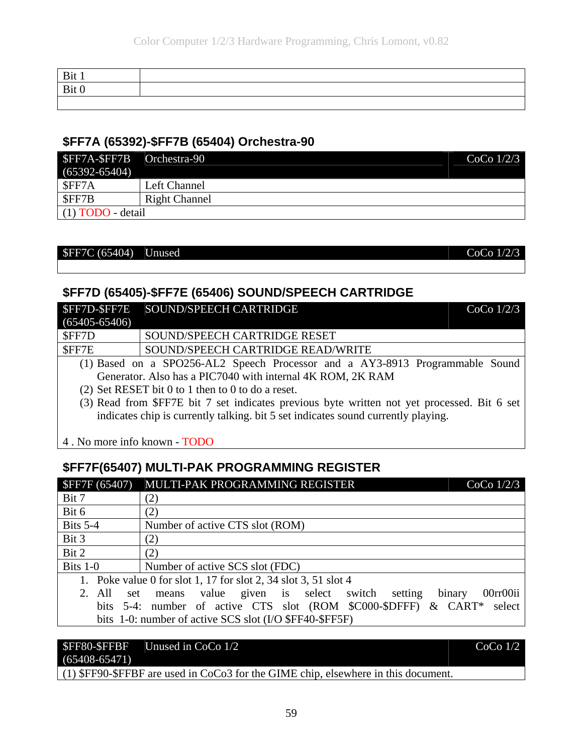#### **\$FF7A (65392)-\$FF7B (65404) Orchestra-90**

| SFF7A-SFF7B Orchestra-90 |                      | CoCo $1/2/3$ |
|--------------------------|----------------------|--------------|
| $(65392 - 65404)$        |                      |              |
| \$FF7A                   | Left Channel         |              |
| \$FF7B                   | <b>Right Channel</b> |              |
| $(1)$ TODO - detail      |                      |              |

#### $SFF7C (65404)$  Unused CoCo 1/2/3

#### **\$FF7D (65405)-\$FF7E (65406) SOUND/SPEECH CARTRIDGE**

|                   | \$FF7D-\$FF7E SOUND/SPEECH CARTRIDGE<br>CoCo $1/2/3$                                        |  |
|-------------------|---------------------------------------------------------------------------------------------|--|
| $(65405 - 65406)$ |                                                                                             |  |
| \$FF7D            | SOUND/SPEECH CARTRIDGE RESET                                                                |  |
| \$FF7E            | SOUND/SPEECH CARTRIDGE READ/WRITE                                                           |  |
|                   | (1) Based on a SPO256-AL2 Speech Processor and a AY3-8913 Programmable Sound                |  |
|                   | Generator. Also has a PIC7040 with internal 4K ROM, 2K RAM                                  |  |
|                   | $(2)$ Set RESET bit 0 to 1 then to 0 to do a reset.                                         |  |
|                   | (3) Read from \$FF7E bit 7 set indicates previous byte written not yet processed. Bit 6 set |  |
|                   |                                                                                             |  |

indicates chip is currently talking. bit 5 set indicates sound currently playing.

4 . No more info known - TODO

#### **\$FF7F(65407) MULTI-PAK PROGRAMMING REGISTER**

| <b>SFF7F</b> (65407)    | MULTI-PAK PROGRAMMING REGISTER<br>$CoCo$ $1/2/3$                          |
|-------------------------|---------------------------------------------------------------------------|
| Bit 7                   | (2)                                                                       |
| Bit 6                   | (2)                                                                       |
| Bits $5-4$              | Number of active CTS slot (ROM)                                           |
| Bit 3                   | (2)                                                                       |
| Bit 2                   | (2)                                                                       |
| Bits $1-0$              | Number of active SCS slot (FDC)                                           |
|                         | 1. Poke value 0 for slot 1, 17 for slot 2, 34 slot 3, 51 slot 4           |
| $2. \text{ All}$<br>set | 00rr00ii<br>value given is select switch<br>setting<br>binary<br>means    |
|                         | bits 5-4: number of active CTS slot (ROM \$C000-\$DFFF) & CART*<br>select |
|                         | bits 1-0: number of active SCS slot (I/O \$FF40-\$FF5F)                   |

#### \$FF80-\$FFBF Unused in CoCo 1/2 CoCo 1/2

(65408-65471)

(1) \$FF90-\$FFBF are used in CoCo3 for the GIME chip, elsewhere in this document.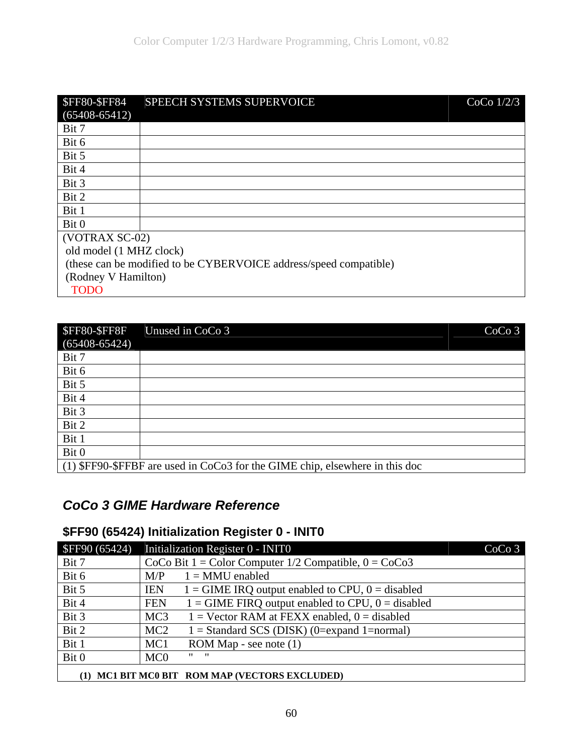| <b>\$FF80-\$FF84</b>    | SPEECH SYSTEMS SUPERVOICE                                         | CoCo $1/2/3$ |
|-------------------------|-------------------------------------------------------------------|--------------|
| $(65408 - 65412)$       |                                                                   |              |
| Bit 7                   |                                                                   |              |
| Bit 6                   |                                                                   |              |
| Bit 5                   |                                                                   |              |
| Bit 4                   |                                                                   |              |
| Bit 3                   |                                                                   |              |
| Bit 2                   |                                                                   |              |
| Bit 1                   |                                                                   |              |
| Bit 0                   |                                                                   |              |
| (VOTRAX SC-02)          |                                                                   |              |
| old model (1 MHZ clock) |                                                                   |              |
|                         | (these can be modified to be CYBERVOICE address/speed compatible) |              |
| (Rodney V Hamilton)     |                                                                   |              |
| <b>TODO</b>             |                                                                   |              |

| <b>\$FF80-\$FF8F</b><br>$(65408 - 65424)$ | CoCo <sub>3</sub><br>Unused in CoCo 3                                        |
|-------------------------------------------|------------------------------------------------------------------------------|
| Bit 7                                     |                                                                              |
| Bit 6                                     |                                                                              |
| Bit 5                                     |                                                                              |
| Bit 4                                     |                                                                              |
| Bit 3                                     |                                                                              |
| Bit 2                                     |                                                                              |
| Bit 1                                     |                                                                              |
| Bit 0                                     |                                                                              |
|                                           | (1) \$FF90-\$FFBF are used in CoCo3 for the GIME chip, elsewhere in this doc |

## *CoCo 3 GIME Hardware Reference*

## **\$FF90 (65424) Initialization Register 0 - INIT0**

| <b>\$FF90 (65424)</b>                      | Initialization Register 0 - INITO                                   | CoCo <sub>3</sub> |
|--------------------------------------------|---------------------------------------------------------------------|-------------------|
| Bit 7                                      | CoCo Bit $1 = Color Computer 1/2$ Compatible, $0 = CoCo3$           |                   |
| Bit 6                                      | $1 = MMU$ enabled<br>M/P                                            |                   |
| Bit 5                                      | <b>IEN</b><br>$1 =$ GIME IRQ output enabled to CPU, $0 =$ disabled  |                   |
| Bit 4                                      | $1 =$ GIME FIRQ output enabled to CPU, $0 =$ disabled<br><b>FEN</b> |                   |
| Bit 3                                      | $1 =$ Vector RAM at FEXX enabled, $0 =$ disabled<br>MC <sub>3</sub> |                   |
| Bit 2                                      | MC <sub>2</sub><br>$1 = Standard SCS (DISK) (0=expand 1=normal)$    |                   |
| Bit 1                                      | MC <sub>1</sub><br>ROM Map - see note (1)                           |                   |
| Bit 0                                      | $\mathbf{u}$ $\mathbf{u}$<br>MC <sub>0</sub>                        |                   |
| MC1 BIT MC0 BIT ROM MAP (VECTORS EXCLUDED) |                                                                     |                   |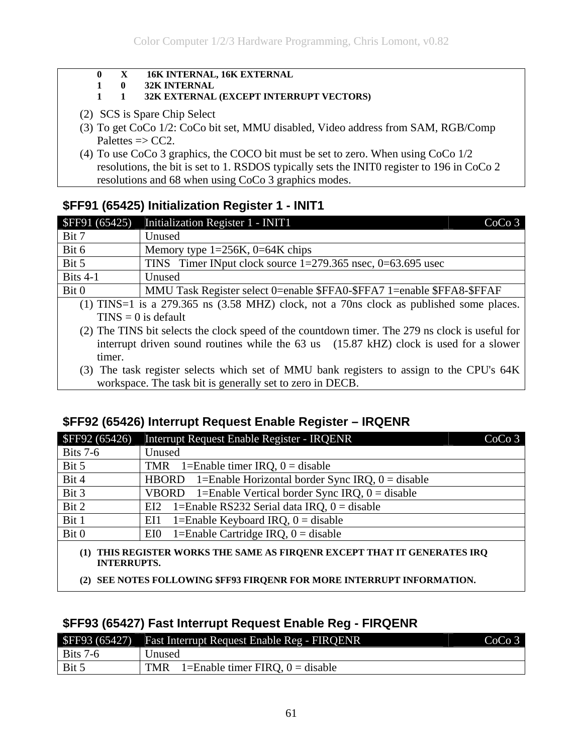- **0 X 16K INTERNAL, 16K EXTERNAL**
- **1 0 32K INTERNAL**

#### **1 1 32K EXTERNAL (EXCEPT INTERRUPT VECTORS)**

- (2) SCS is Spare Chip Select
- (3) To get CoCo 1/2: CoCo bit set, MMU disabled, Video address from SAM, RGB/Comp Palettes  $\Rightarrow$  CC2.
- (4) To use CoCo 3 graphics, the COCO bit must be set to zero. When using CoCo 1/2 resolutions, the bit is set to 1. RSDOS typically sets the INIT0 register to 196 in CoCo 2 resolutions and 68 when using CoCo 3 graphics modes.

### **\$FF91 (65425) Initialization Register 1 - INIT1**

| <b>\$FF91 (65425)</b> | Initialization Register 1 - INIT1<br>CoCo <sub>3</sub>                                      |
|-----------------------|---------------------------------------------------------------------------------------------|
| Bit 7                 | Unused                                                                                      |
| Bit 6                 | Memory type $1=256K$ , $0=64K$ chips                                                        |
| Bit 5                 | TINS Timer INput clock source $1=279.365$ nsec, $0=63.695$ usec                             |
| Bits $4-1$            | Unused                                                                                      |
| Bit 0                 | MMU Task Register select 0=enable \$FFA0-\$FFA7 1=enable \$FFA8-\$FFAF                      |
|                       | $(1)$ TINS=1 is a 279.365 ns $(3.58$ MHZ) clock, not a 70ns clock as published some places. |

 $TINS = 0$  is default

(2) The TINS bit selects the clock speed of the countdown timer. The 279 ns clock is useful for interrupt driven sound routines while the 63 us (15.87 kHZ) clock is used for a slower timer.

(3) The task register selects which set of MMU bank registers to assign to the CPU's 64K workspace. The task bit is generally set to zero in DECB.

### **\$FF92 (65426) Interrupt Request Enable Register – IRQENR**

| SFF92(65426)                                                                                      | <b>Interrupt Request Enable Register - IRQENR</b>                  | CoCo <sub>3</sub> |
|---------------------------------------------------------------------------------------------------|--------------------------------------------------------------------|-------------------|
| <b>Bits 7-6</b>                                                                                   | Unused                                                             |                   |
| Bit 5                                                                                             | TMR 1=Enable timer IRQ, $0 =$ disable                              |                   |
| Bit 4                                                                                             | 1=Enable Horizontal border Sync IRQ, $0 =$ disable<br><b>HBORD</b> |                   |
| Bit 3                                                                                             | VBORD 1=Enable Vertical border Sync IRQ, $0 =$ disable             |                   |
| Bit 2                                                                                             | 1=Enable RS232 Serial data IRQ, $0 =$ disable<br>EI2               |                   |
| Bit 1                                                                                             | 1=Enable Keyboard IRQ, $0 =$ disable<br>EI1                        |                   |
| Bit 0                                                                                             | 1=Enable Cartridge IRQ, $0 =$ disable<br>EI0                       |                   |
| THIS REGISTER WORKS THE SAME AS FIROENR EXCEPT THAT IT GENERATES IRO<br>(1)<br><b>INTERRUPTS.</b> |                                                                    |                   |

**(2) SEE NOTES FOLLOWING \$FF93 FIRQENR FOR MORE INTERRUPT INFORMATION.** 

#### **\$FF93 (65427) Fast Interrupt Request Enable Reg - FIRQENR**

|            | \$FF93 (65427) Fast Interrupt Request Enable Reg - FIRQENR | CoCo 3 |
|------------|------------------------------------------------------------|--------|
| Bits $7-6$ | Unused                                                     |        |
| $ $ Bit 5  | 1=Enable timer FIRQ, $0 =$ disable<br>TMR                  |        |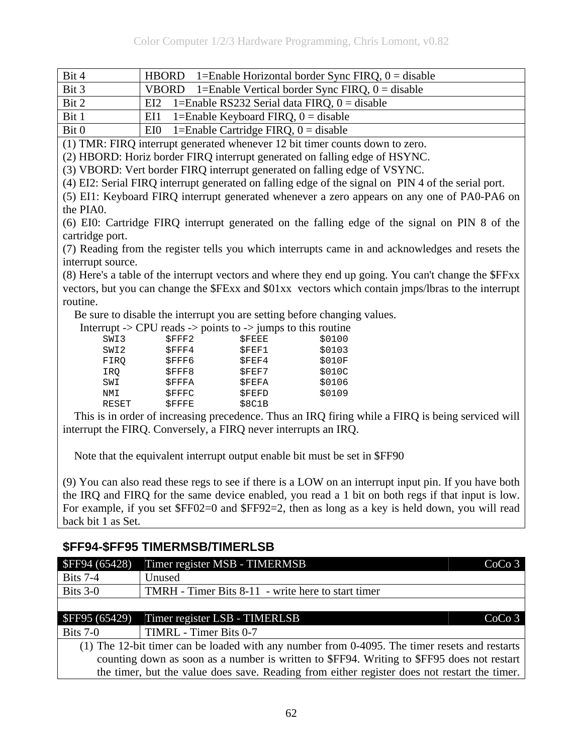Bit 4 HBORD 1=Enable Horizontal border Sync FIRQ, 0 = disable

| Bit 3 | VBORD 1=Enable Vertical border Sync FIRQ, $0 =$ disable |
|-------|---------------------------------------------------------|
| Bit 2 | EI2 1=Enable RS232 Serial data FIRQ, $0 =$ disable      |
| Bit 1 | EI1 1=Enable Keyboard FIRQ, $0 =$ disable               |
|       |                                                         |

Bit 0  $|E10|$  1=Enable Cartridge FIRQ, 0 = disable

(1) TMR: FIRQ interrupt generated whenever 12 bit timer counts down to zero.

(2) HBORD: Horiz border FIRQ interrupt generated on falling edge of HSYNC.

(3) VBORD: Vert border FIRQ interrupt generated on falling edge of VSYNC.

(4) EI2: Serial FIRQ interrupt generated on falling edge of the signal on PIN 4 of the serial port.

(5) EI1: Keyboard FIRQ interrupt generated whenever a zero appears on any one of PA0-PA6 on the PIA0.

(6) EI0: Cartridge FIRQ interrupt generated on the falling edge of the signal on PIN 8 of the cartridge port.

(7) Reading from the register tells you which interrupts came in and acknowledges and resets the interrupt source.

(8) Here's a table of the interrupt vectors and where they end up going. You can't change the \$FFxx vectors, but you can change the \$FExx and \$01xx vectors which contain jmps/lbras to the interrupt routine.

Be sure to disable the interrupt you are setting before changing values.

|      |       | Interrupt -> CPU reads -> points to -> jumps to this routine |        |
|------|-------|--------------------------------------------------------------|--------|
| SWI3 | SFFF2 | SFEEE                                                        | \$0100 |

| SWI3  | SFFF2        | SFEEE        | \$0100 |
|-------|--------------|--------------|--------|
| SWI2  | SFFF4        | SFEF1        | \$0103 |
| FIRO  | SFFF6        | SFEF4        | \$010F |
| IRO   | SFFF8        | SFEF7        | \$010C |
| SWI   | SFFFA        | SFEFA        | \$0106 |
| NMI   | SFFFC        | <b>SFEFD</b> | \$0109 |
| RESET | <b>SFFFE</b> | \$8C1B       |        |
|       |              |              |        |

 This is in order of increasing precedence. Thus an IRQ firing while a FIRQ is being serviced will interrupt the FIRQ. Conversely, a FIRQ never interrupts an IRQ.

Note that the equivalent interrupt output enable bit must be set in \$FF90

(9) You can also read these regs to see if there is a LOW on an interrupt input pin. If you have both the IRQ and FIRQ for the same device enabled, you read a 1 bit on both regs if that input is low. For example, if you set \$FF02=0 and \$FF92=2, then as long as a key is held down, you will read back bit 1 as Set.

#### **\$FF94-\$FF95 TIMERMSB/TIMERLSB**

| <b>SFF94 (65428)</b>                                                                          | Timer register MSB - TIMERMSB<br>CoCo <sub>3</sub> |  |
|-----------------------------------------------------------------------------------------------|----------------------------------------------------|--|
| <b>Bits 7-4</b>                                                                               | Unused                                             |  |
| Bits $3-0$                                                                                    | TMRH - Timer Bits 8-11 - write here to start timer |  |
|                                                                                               |                                                    |  |
| <b>\$FF95 (65429)</b>                                                                         | Timer register LSB - TIMERLSB<br>CoCo <sub>3</sub> |  |
| Bits $7-0$                                                                                    | TIMRL - Timer Bits 0-7                             |  |
| (1) The 12-bit timer can be loaded with any number from 0-4095. The timer resets and restarts |                                                    |  |
| counting down as soon as a number is written to \$FF94. Writing to \$FF95 does not restart    |                                                    |  |
| the timer, but the value does save. Reading from either register does not restart the timer.  |                                                    |  |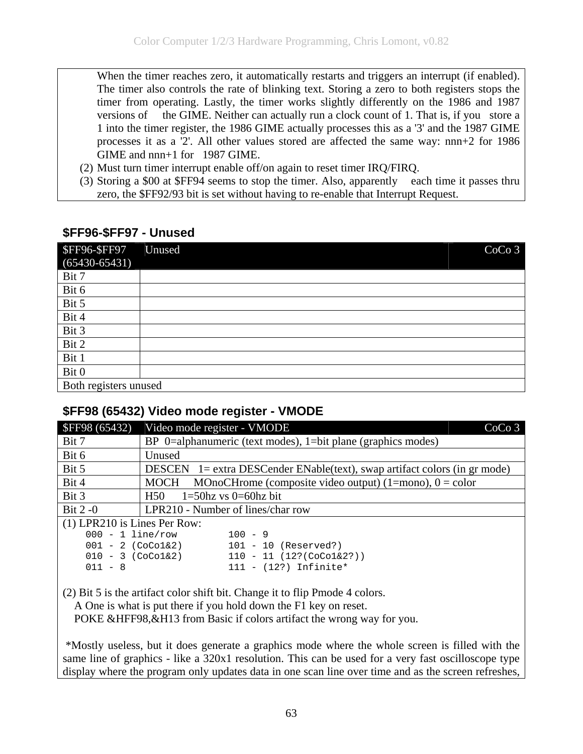When the timer reaches zero, it automatically restarts and triggers an interrupt (if enabled). The timer also controls the rate of blinking text. Storing a zero to both registers stops the timer from operating. Lastly, the timer works slightly differently on the 1986 and 1987 versions of the GIME. Neither can actually run a clock count of 1. That is, if you store a 1 into the timer register, the 1986 GIME actually processes this as a '3' and the 1987 GIME processes it as a '2'. All other values stored are affected the same way: nnn+2 for 1986 GIME and nnn+1 for 1987 GIME.

- (2) Must turn timer interrupt enable off/on again to reset timer IRQ/FIRQ.
- (3) Storing a \$00 at \$FF94 seems to stop the timer. Also, apparently each time it passes thru zero, the \$FF92/93 bit is set without having to re-enable that Interrupt Request.

#### **\$FF96-\$FF97 - Unused**

| <b>\$FF96-\$FF97</b><br>$(65430 - 65431)$ | CoCo <sub>3</sub><br>Unused |
|-------------------------------------------|-----------------------------|
| Bit 7                                     |                             |
| Bit 6                                     |                             |
| Bit 5                                     |                             |
| Bit 4                                     |                             |
| Bit 3                                     |                             |
| Bit 2                                     |                             |
| Bit 1                                     |                             |
| Bit 0                                     |                             |
| Both registers unused                     |                             |

#### **\$FF98 (65432) Video mode register - VMODE**

| SFF98(65432)                   | Video mode register - VMODE<br>CoCo <sub>3</sub>                              |
|--------------------------------|-------------------------------------------------------------------------------|
| Bit 7                          | BP $0$ =alphanumeric (text modes), 1=bit plane (graphics modes)               |
| Bit 6                          | Unused                                                                        |
| Bit 5                          | DESCEN 1= extra DESCender ENable(text), swap artifact colors (in gr mode)     |
| Bit 4                          | MOnoCHrome (composite video output) (1=mono), $0 =$ color<br>MOCH             |
| Bit 3                          | $1=50$ hz vs $0=60$ hz bit<br>H <sub>50</sub>                                 |
| Bit $2-0$                      | LPR210 - Number of lines/char row                                             |
| $(1)$ LPR210 is Lines Per Row: |                                                                               |
| $000 - 1$ line/row             | $100 - 9$                                                                     |
|                                | $101 - 10$ (Reserved?)<br>$001 - 2$ (CoCol&2)                                 |
| $010 - 3$ (CoCo1&2)            | $110 - 11 (12? (Cocol@2?) )$                                                  |
| $011 - 8$                      | $111 - (12?)$ Infinite*                                                       |
|                                | $(2)$ Bit 5 is the extigent color shift bit. Change it to flip Dmode 4 colors |

(2) Bit 5 is the artifact color shift bit. Change it to flip Pmode 4 colors.

A One is what is put there if you hold down the F1 key on reset.

POKE &HFF98,&H13 from Basic if colors artifact the wrong way for you.

 \*Mostly useless, but it does generate a graphics mode where the whole screen is filled with the same line of graphics - like a 320x1 resolution. This can be used for a very fast oscilloscope type display where the program only updates data in one scan line over time and as the screen refreshes,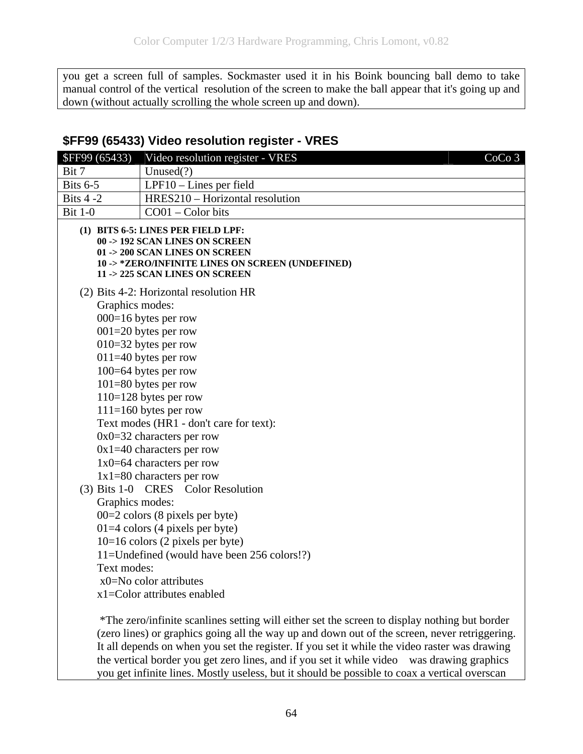you get a screen full of samples. Sockmaster used it in his Boink bouncing ball demo to take manual control of the vertical resolution of the screen to make the ball appear that it's going up and down (without actually scrolling the whole screen up and down).

#### **\$FF99 (65433) Video resolution register - VRES**

| <b>\$FF99 (65433)</b> | Video resolution register - VRES                                                                                                                                                              | CoCo <sub>3</sub> |
|-----------------------|-----------------------------------------------------------------------------------------------------------------------------------------------------------------------------------------------|-------------------|
| Bit 7                 | Unused $(?)$                                                                                                                                                                                  |                   |
| <b>Bits 6-5</b>       | LPF10 - Lines per field                                                                                                                                                                       |                   |
| Bits $4-2$            | HRES210 - Horizontal resolution                                                                                                                                                               |                   |
| <b>Bit 1-0</b>        | CO01 – Color bits                                                                                                                                                                             |                   |
|                       | (1) BITS 6-5: LINES PER FIELD LPF:<br>00 -> 192 SCAN LINES ON SCREEN<br>01 -> 200 SCAN LINES ON SCREEN<br>10 -> *ZERO/INFINITE LINES ON SCREEN (UNDEFINED)<br>11 -> 225 SCAN LINES ON SCREEN  |                   |
|                       | (2) Bits 4-2: Horizontal resolution HR                                                                                                                                                        |                   |
| Graphics modes:       |                                                                                                                                                                                               |                   |
|                       | $000=16$ bytes per row                                                                                                                                                                        |                   |
|                       | $001=20$ bytes per row                                                                                                                                                                        |                   |
|                       | $010=32$ bytes per row                                                                                                                                                                        |                   |
|                       | $011=40$ bytes per row                                                                                                                                                                        |                   |
|                       | $100=64$ bytes per row                                                                                                                                                                        |                   |
|                       | $101 = 80$ bytes per row                                                                                                                                                                      |                   |
|                       | $110=128$ bytes per row                                                                                                                                                                       |                   |
|                       | $111=160$ bytes per row                                                                                                                                                                       |                   |
|                       | Text modes (HR1 - don't care for text):                                                                                                                                                       |                   |
|                       | $0x0=32$ characters per row                                                                                                                                                                   |                   |
|                       | $0x1=40$ characters per row                                                                                                                                                                   |                   |
|                       | $1x0=64$ characters per row<br>$1x1=80$ characters per row                                                                                                                                    |                   |
|                       | (3) Bits 1-0 CRES Color Resolution                                                                                                                                                            |                   |
| Graphics modes:       |                                                                                                                                                                                               |                   |
|                       | $00=2$ colors (8 pixels per byte)                                                                                                                                                             |                   |
|                       | $01=4$ colors (4 pixels per byte)                                                                                                                                                             |                   |
|                       | $10=16$ colors (2 pixels per byte)                                                                                                                                                            |                   |
|                       | 11=Undefined (would have been 256 colors!?)                                                                                                                                                   |                   |
| Text modes:           |                                                                                                                                                                                               |                   |
|                       | $x0=No$ color attributes                                                                                                                                                                      |                   |
|                       | x1=Color attributes enabled                                                                                                                                                                   |                   |
|                       | *The zero/infinite scanlines setting will either set the screen to display nothing but border<br>(zero lines) or graphics going all the way up and down out of the screen, never retriggering |                   |

(zero lines) or graphics going all the way up and down out of the screen, never retriggering. It all depends on when you set the register. If you set it while the video raster was drawing the vertical border you get zero lines, and if you set it while video was drawing graphics you get infinite lines. Mostly useless, but it should be possible to coax a vertical overscan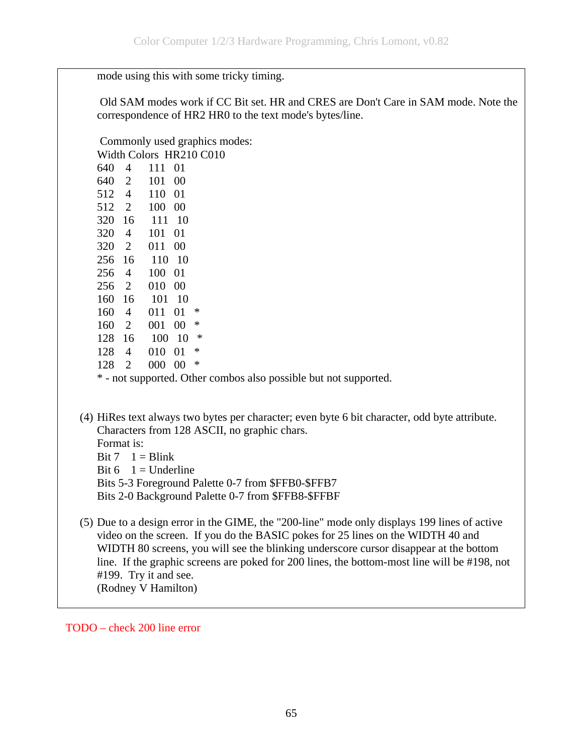mode using this with some tricky timing.

 Old SAM modes work if CC Bit set. HR and CRES are Don't Care in SAM mode. Note the correspondence of HR2 HR0 to the text mode's bytes/line.

Commonly used graphics modes:

Width Colors HR210 C010

| 640 | 4              | 111 | 01     |        |
|-----|----------------|-----|--------|--------|
| 640 | $\overline{2}$ | 101 | $00\,$ |        |
| 512 | $\overline{4}$ | 110 | 01     |        |
| 512 | $\overline{2}$ | 100 | $00\,$ |        |
| 320 | 16             | 111 | 10     |        |
| 320 | 4              | 101 | 01     |        |
| 320 | $\overline{2}$ | 011 | $00\,$ |        |
| 256 | 16             | 110 | 10     |        |
| 256 | $\overline{4}$ | 100 | 01     |        |
| 256 | $\overline{2}$ | 010 | $00\,$ |        |
| 160 | 16             | 101 | 10     |        |
|     |                |     |        |        |
| 160 | $\overline{4}$ | 011 | 01     | ∗      |
| 160 | $\overline{2}$ | 001 | $00\,$ | $\ast$ |
| 128 | 16             | 100 | 10     | $\ast$ |
| 128 | 4              | 010 | 01     | $\ast$ |
| 128 | $\overline{2}$ | 000 | $00\,$ | $\ast$ |

\* - not supported. Other combos also possible but not supported.

(4) HiRes text always two bytes per character; even byte 6 bit character, odd byte attribute. Characters from 128 ASCII, no graphic chars.

Format is:

Bit  $7 \quad 1 = \text{Blink}$ 

Bit  $6 \quad 1 =$  Underline

Bits 5-3 Foreground Palette 0-7 from \$FFB0-\$FFB7

Bits 2-0 Background Palette 0-7 from \$FFB8-\$FFBF

(5) Due to a design error in the GIME, the "200-line" mode only displays 199 lines of active video on the screen. If you do the BASIC pokes for 25 lines on the WIDTH 40 and WIDTH 80 screens, you will see the blinking underscore cursor disappear at the bottom line. If the graphic screens are poked for 200 lines, the bottom-most line will be #198, not #199. Try it and see. (Rodney V Hamilton)

TODO – check 200 line error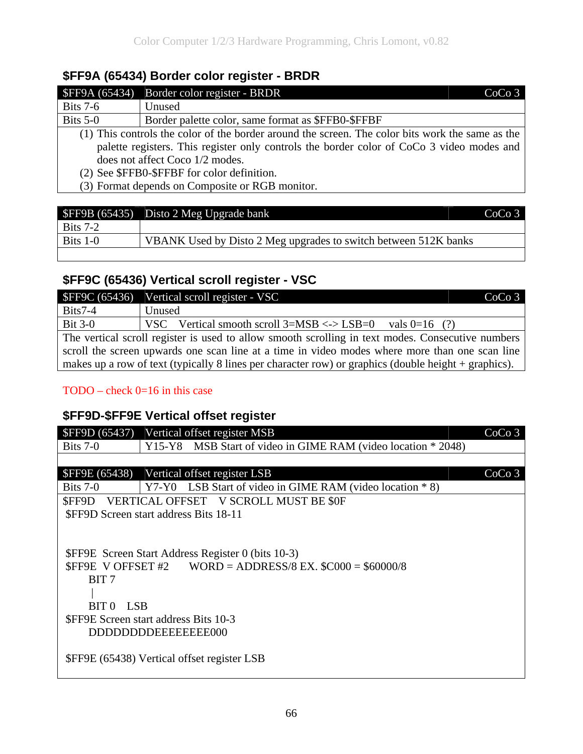#### **\$FF9A (65434) Border color register - BRDR**

| SFF9A (65434)                               | Border color register - BRDR<br>CoCo <sub>3</sub>                                                |  |
|---------------------------------------------|--------------------------------------------------------------------------------------------------|--|
| Bits $7-6$                                  | Unused                                                                                           |  |
| Bits $5-0$                                  | Border palette color, same format as \$FFB0-\$FFBF                                               |  |
|                                             | (1) This controls the color of the border around the screen. The color bits work the same as the |  |
|                                             | palette registers. This register only controls the border color of CoCo 3 video modes and        |  |
| does not affect Coco 1/2 modes.             |                                                                                                  |  |
| (2) See \$FFB0-\$FFBF for color definition. |                                                                                                  |  |
|                                             | (3) Format depends on Composite or RGB monitor.                                                  |  |
|                                             |                                                                                                  |  |

|            | $\blacktriangleright$ SFF9B (65435) Disto 2 Meg Upgrade bank    | CoCo <sub>3</sub> |
|------------|-----------------------------------------------------------------|-------------------|
| Bits $7-2$ |                                                                 |                   |
| Bits $1-0$ | VBANK Used by Disto 2 Meg upgrades to switch between 512K banks |                   |
|            |                                                                 |                   |

## **\$FF9C (65436) Vertical scroll register - VSC**

|                                                                                                   | \$FF9C (65436) Vertical scroll register - VSC<br>CoCo <sub>3</sub>                                     |  |
|---------------------------------------------------------------------------------------------------|--------------------------------------------------------------------------------------------------------|--|
| $Bits7-4$                                                                                         | Unused                                                                                                 |  |
| $Bit 3-0$                                                                                         | VSC Vertical smooth scroll $3=MSB \leq D$<br>vals $0=16$ (?)                                           |  |
| The vertical scroll register is used to allow smooth scrolling in text modes. Consecutive numbers |                                                                                                        |  |
| scroll the screen upwards one scan line at a time in video modes where more than one scan line    |                                                                                                        |  |
|                                                                                                   | makes up a row of text (typically 8 lines per character row) or graphics (double height $+$ graphics). |  |

#### TODO – check 0=16 in this case

# **\$FF9D-\$FF9E Vertical offset register**

| <b>SFF9D (65437)</b>                    | Vertical offset register MSB                                                                                                                                                                                                                       | CoCo <sub>3</sub> |
|-----------------------------------------|----------------------------------------------------------------------------------------------------------------------------------------------------------------------------------------------------------------------------------------------------|-------------------|
| Bits $7-0$                              | MSB Start of video in GIME RAM (video location * 2048)<br>Y15-Y8                                                                                                                                                                                   |                   |
|                                         |                                                                                                                                                                                                                                                    |                   |
| <b>\$FF9E</b> (65438)                   | Vertical offset register LSB                                                                                                                                                                                                                       | CoCo <sub>3</sub> |
| Bits $7-0$                              | LSB Start of video in GIME RAM (video location $* 8$ )<br>Y7-Y0                                                                                                                                                                                    |                   |
| SFF9D                                   | VERTICAL OFFSET V SCROLL MUST BE \$0F                                                                                                                                                                                                              |                   |
|                                         | <b>SFF9D Screen start address Bits 18-11</b>                                                                                                                                                                                                       |                   |
| BIT <sub>7</sub><br>BIT 0<br><b>LSB</b> | <b>\$FF9E</b> Screen Start Address Register 0 (bits 10-3)<br><b>\$FF9E</b> V OFFSET #2 WORD = ADDRESS/8 EX. $$CO00 = $60000/8$<br><b>SFF9E Screen start address Bits 10-3</b><br>DDDDDDDDEEEEEEE000<br>\$FF9E (65438) Vertical offset register LSB |                   |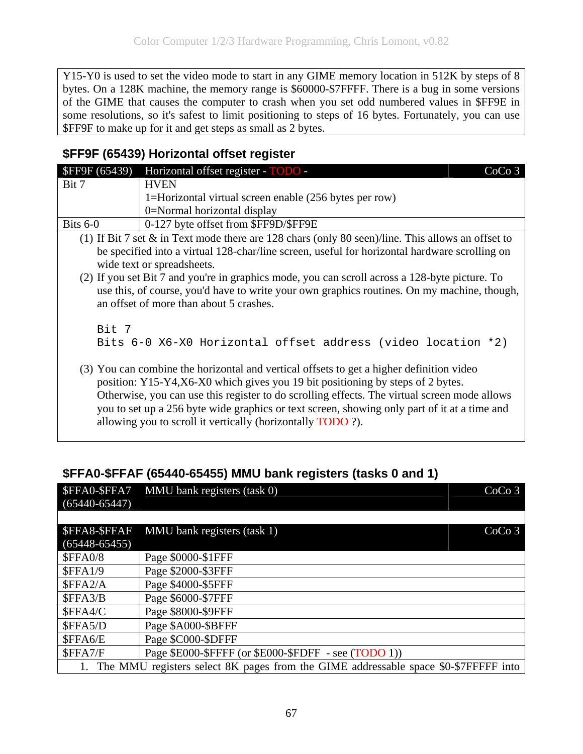Y15-Y0 is used to set the video mode to start in any GIME memory location in 512K by steps of 8 bytes. On a 128K machine, the memory range is \$60000-\$7FFFF. There is a bug in some versions of the GIME that causes the computer to crash when you set odd numbered values in \$FF9E in some resolutions, so it's safest to limit positioning to steps of 16 bytes. Fortunately, you can use \$FF9F to make up for it and get steps as small as 2 bytes.

### **\$FF9F (65439) Horizontal offset register**

| <b>SFF9F</b> (65439) | Horizontal offset register - TODO -<br>CoCo <sub>3</sub>                                                                                                                                                                                                                                                                                                                                                                                 |
|----------------------|------------------------------------------------------------------------------------------------------------------------------------------------------------------------------------------------------------------------------------------------------------------------------------------------------------------------------------------------------------------------------------------------------------------------------------------|
| Bit 7                | <b>HVEN</b>                                                                                                                                                                                                                                                                                                                                                                                                                              |
|                      | 1=Horizontal virtual screen enable (256 bytes per row)                                                                                                                                                                                                                                                                                                                                                                                   |
|                      | 0=Normal horizontal display                                                                                                                                                                                                                                                                                                                                                                                                              |
| Bits $6-0$           | 0-127 byte offset from \$FF9D/\$FF9E                                                                                                                                                                                                                                                                                                                                                                                                     |
|                      | (1) If Bit 7 set $\&$ in Text mode there are 128 chars (only 80 seen)/line. This allows an offset to                                                                                                                                                                                                                                                                                                                                     |
|                      | be specified into a virtual 128-char/line screen, useful for horizontal hardware scrolling on<br>wide text or spreadsheets.                                                                                                                                                                                                                                                                                                              |
|                      | (2) If you set Bit 7 and you're in graphics mode, you can scroll across a 128-byte picture. To<br>use this, of course, you'd have to write your own graphics routines. On my machine, though,<br>an offset of more than about 5 crashes.                                                                                                                                                                                                 |
| Bit 7                | Bits 6-0 X6-X0 Horizontal offset address (video location *2)                                                                                                                                                                                                                                                                                                                                                                             |
|                      | (3) You can combine the horizontal and vertical offsets to get a higher definition video<br>position: Y15-Y4,X6-X0 which gives you 19 bit positioning by steps of 2 bytes.<br>Otherwise, you can use this register to do scrolling effects. The virtual screen mode allows<br>you to set up a 256 byte wide graphics or text screen, showing only part of it at a time and<br>allowing you to scroll it vertically (horizontally TODO?). |

|                    | \$FFA0-\$FFA7 MMU bank registers (task 0)<br>CoCo <sub>3</sub>                      |
|--------------------|-------------------------------------------------------------------------------------|
| $(65440 - 65447)$  |                                                                                     |
|                    |                                                                                     |
| <b>SFFA8-SFFAF</b> | MMU bank registers (task 1)<br>CoCo <sub>3</sub>                                    |
| $(65448 - 65455)$  |                                                                                     |
| <b>\$FFA0/8</b>    | Page \$0000-\$1FFF                                                                  |
| SFFA1/9            | Page \$2000-\$3FFF                                                                  |
| \$FFA2/A           | Page \$4000-\$5FFF                                                                  |
| \$FFA3/B           | Page \$6000-\$7FFF                                                                  |
| \$FFA4/C           | Page \$8000-\$9FFF                                                                  |
| \$FFA5/D           | Page \$A000-\$BFFF                                                                  |
| \$FFA6/E           | Page \$C000-\$DFFF                                                                  |
| \$FFA7/F           | Page \$E000-\$FFFF (or \$E000-\$FDFF - see (TODO 1))                                |
|                    | The MMU registers select 8K pages from the GIME addressable space \$0-\$7FFFFF into |

#### **\$FFA0-\$FFAF (65440-65455) MMU bank registers (tasks 0 and 1)**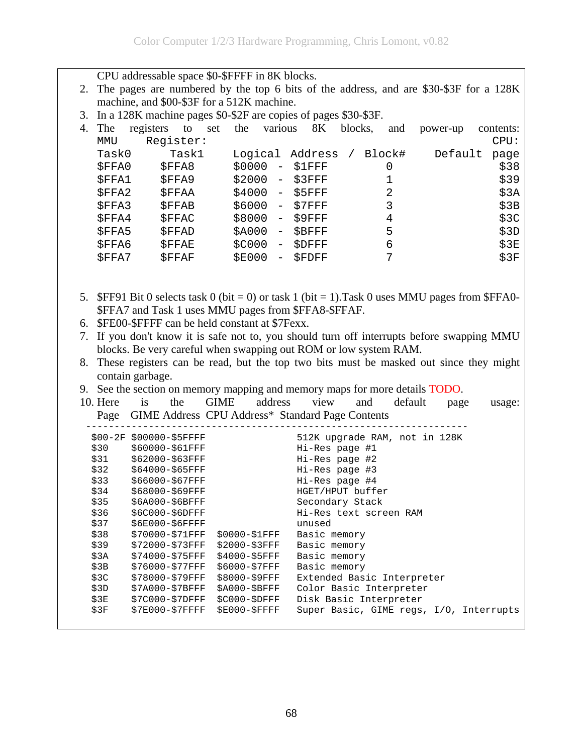CPU addressable space \$0-\$FFFF in 8K blocks. 2. The pages are numbered by the top 6 bits of the address, and are \$30-\$3F for a 128K machine, and \$00-\$3F for a 512K machine. 3. In a 128K machine pages \$0-\$2F are copies of pages \$30-\$3F. 4. The registers to set the various 8K blocks, and power-up contents: MMU Register: CPU: Task0 Task1 Logical Address / Block# Default page \$FFA0 \$FFA8 \$0000 - \$1FFF 0 \$38 \$FFA1 \$FFA9 \$2000 - \$3FFF 1 \$39 \$FFA2 \$FFAA \$4000 - \$5FFF 2 \$3A  $$FFA3$   $$FFAB$   $$6000 - $7FFF$  3  $$3B$ \$FFA4 \$FFAC \$8000 - \$9FFF 4 \$3C \$FFA5 \$FFAD \$A000 - \$BFFF 5 \$3D \$FFA6 \$FFAE \$C000 - \$DFFF 6<br>\$FFA7 \$FFAF \$E000 - \$FDFF 7 \$3F \$FFA7 \$FFAF \$E000 - \$FDFF 7 \$3F 5. \$FF91 Bit 0 selects task 0 (bit = 0) or task 1 (bit = 1). Task 0 uses MMU pages from \$FFA0-\$FFA7 and Task 1 uses MMU pages from \$FFA8-\$FFAF. 6. \$FE00-\$FFFF can be held constant at \$7Fexx. 7. If you don't know it is safe not to, you should turn off interrupts before swapping MMU blocks. Be very careful when swapping out ROM or low system RAM. 8. These registers can be read, but the top two bits must be masked out since they might contain garbage. 9. See the section on memory mapping and memory maps for more details TODO. 10. Here is the GIME address view and default page usage: Page GIME Address CPU Address\* Standard Page Contents ------------------------------------------------------------------- \$00-2F \$00000-\$5FFFF 512K upgrade RAM, not in 128K<br>\$30 \$60000-\$61FFF 513 Hi-Res page #1 \$60000-\$61FFF Hi-Res page #1 \$31 \$62000-\$63FFF Hi-Res page #2 \$32 \$64000-\$65FFF Hi-Res page #3 \$33 \$66000-\$67FFF Hi-Res page #4 \$34 \$68000-\$69FFF HGET/HPUT buffer \$35 \$6A000-\$6BFFF Secondary Stack \$36 \$6C000-\$6DFFF Hi-Res text screen RAM \$37 \$6E000-\$6FFFF unused \$38 \$70000-\$71FFF \$0000-\$1FFF Basic memory \$39 \$72000-\$73FFF \$2000-\$3FFF Basic memory \$3A \$74000-\$75FFF \$4000-\$5FFF Basic memory \$3B \$76000-\$77FFF \$6000-\$7FFF Basic memory<br>\$3C \$78000-\$79FFF \$8000-\$9FFF Extended Bas: \$3C \$78000-\$79FFF \$8000-\$9FFF Extended Basic Interpreter<br>\$3D \$7A000-\$7BFFF \$A000-\$BFFF Color Basic Interpreter \$3D \$7A000-\$7BFFF \$A000-\$BFFF Color Basic Interpreter \$3E \$7C000-\$7DFFF \$C000-\$DFFF Disk Basic Interpreter \$3F \$7E000-\$7FFFF \$E000-\$FFFF Super Basic, GIME regs, I/O, Interrupts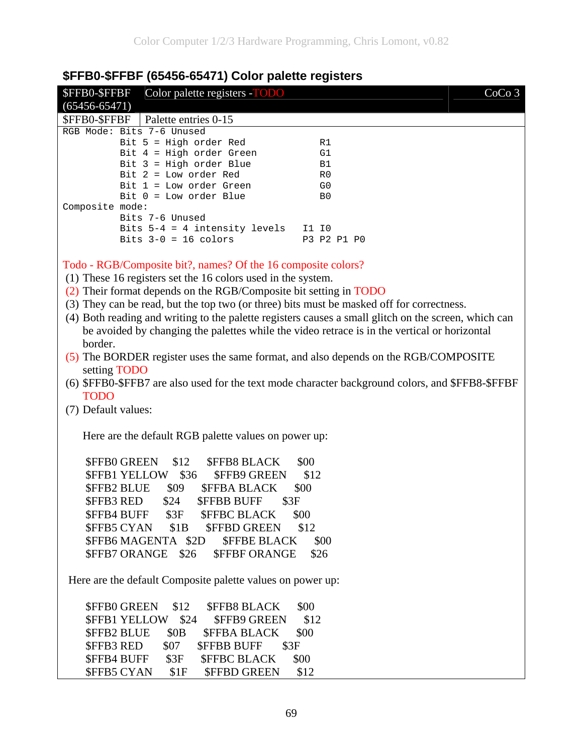| <b>DEL DU-DEL 199490-0947 T) COIOL DAIGLIG LEGISTELS</b>                                             |                   |  |  |  |
|------------------------------------------------------------------------------------------------------|-------------------|--|--|--|
| Color palette registers -TODO<br>\$FFB0-\$FFBF<br>$(65456 - 65471)$                                  | CoCo <sub>3</sub> |  |  |  |
| \$FFB0-\$FFBF<br>Palette entries 0-15                                                                |                   |  |  |  |
| RGB Mode: Bits 7-6 Unused                                                                            |                   |  |  |  |
| Bit 5 = High order Red                                                                               | R1                |  |  |  |
| Bit 4 = High order Green                                                                             | G1                |  |  |  |
| Bit 3 = High order Blue                                                                              | Β1                |  |  |  |
| Bit $2 = Low order Red$                                                                              | R0                |  |  |  |
| $Bit 1 = Low order Green$                                                                            | G <sub>0</sub>    |  |  |  |
| Bit $0 = Low order Blue$                                                                             | B <sub>0</sub>    |  |  |  |
| Composite mode:                                                                                      |                   |  |  |  |
| Bits 7-6 Unused<br>Bits 5-4 = 4 intensity levels I1 I0                                               |                   |  |  |  |
| Bits $3-0 = 16$ colors                                                                               | P3 P2 P1 P0       |  |  |  |
|                                                                                                      |                   |  |  |  |
|                                                                                                      |                   |  |  |  |
| Todo - RGB/Composite bit?, names? Of the 16 composite colors?                                        |                   |  |  |  |
| (1) These 16 registers set the 16 colors used in the system.                                         |                   |  |  |  |
| (2) Their format depends on the RGB/Composite bit setting in TODO                                    |                   |  |  |  |
| (3) They can be read, but the top two (or three) bits must be masked off for correctness.            |                   |  |  |  |
| (4) Both reading and writing to the palette registers causes a small glitch on the screen, which can |                   |  |  |  |
| be avoided by changing the palettes while the video retrace is in the vertical or horizontal         |                   |  |  |  |
| border.                                                                                              |                   |  |  |  |
| (5) The BORDER register uses the same format, and also depends on the RGB/COMPOSITE                  |                   |  |  |  |
| setting TODO                                                                                         |                   |  |  |  |
|                                                                                                      |                   |  |  |  |
| (6) \$FFB0-\$FFB7 are also used for the text mode character background colors, and \$FFB8-\$FFBF     |                   |  |  |  |
| <b>TODO</b>                                                                                          |                   |  |  |  |
| (7) Default values:                                                                                  |                   |  |  |  |
|                                                                                                      |                   |  |  |  |
| Here are the default RGB palette values on power up:                                                 |                   |  |  |  |
|                                                                                                      |                   |  |  |  |
| \$FFB0 GREEN<br>\$12<br><b>\$FFB8 BLACK</b>                                                          | \$00              |  |  |  |
| \$FFB1 YELLOW \$36<br><b>\$FFB9 GREEN</b>                                                            | \$12              |  |  |  |
| <b>\$FFB2 BLUE</b><br>\$09<br><b><i>SFFBA BLACK</i></b>                                              | \$00              |  |  |  |
| \$3F                                                                                                 |                   |  |  |  |
| \$FFB3 RED<br>\$24<br><b>\$FFBB BUFF</b>                                                             |                   |  |  |  |
| \$3F<br><b>\$FFBC BLACK</b><br>\$FFB4 BUFF                                                           | \$00              |  |  |  |
| \$1B<br><b>\$FFBD GREEN</b><br><b>\$FFB5 CYAN</b>                                                    | \$12              |  |  |  |
| \$FFB6 MAGENTA \$2D<br><b><i>SFFBE BLACK</i></b>                                                     | \$00              |  |  |  |
| \$FFB7 ORANGE \$26<br><b>\$FFBF ORANGE</b><br>\$26                                                   |                   |  |  |  |
|                                                                                                      |                   |  |  |  |
| Here are the default Composite palette values on power up:                                           |                   |  |  |  |
|                                                                                                      |                   |  |  |  |
| \$FFB0 GREEN<br>\$12<br><b>\$FFB8 BLACK</b>                                                          | \$00              |  |  |  |
| <b><i>SFFB1 YELLOW</i></b><br>\$24<br><b>\$FFB9 GREEN</b>                                            | \$12              |  |  |  |
| <b>\$FFB2 BLUE</b><br>\$OB<br><b><i>SFFBA BLACK</i></b>                                              | \$00              |  |  |  |
| \$FFB3 RED<br>\$07<br><b><i>SFFBB BUFF</i></b><br>\$3F                                               |                   |  |  |  |
| <b>\$FFB4 BUFF</b><br><b>\$FFBC BLACK</b><br>\$3F                                                    | \$00              |  |  |  |
|                                                                                                      |                   |  |  |  |
| <b>\$FFB5 CYAN</b><br>\$1F<br><b>\$FFBD GREEN</b>                                                    | \$12              |  |  |  |

## **\$FFB0-\$FFBF (65456-65471) Color palette registers**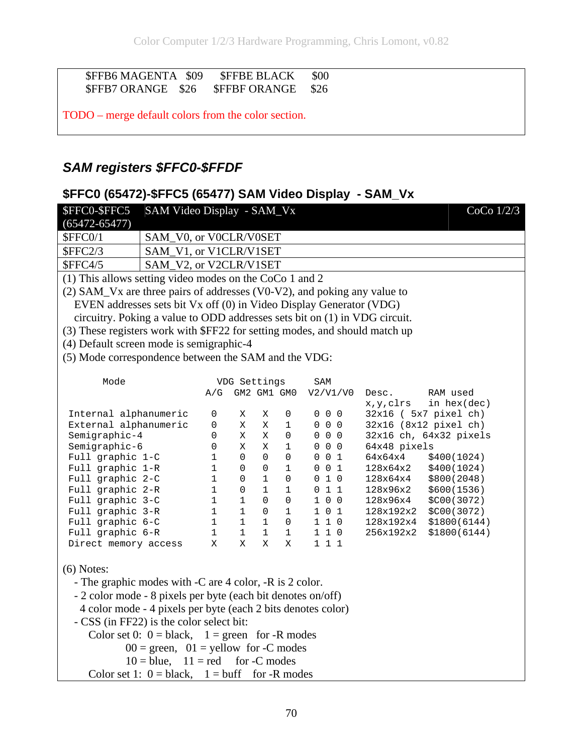#### \$FFB6 MAGENTA \$09 \$FFBE BLACK \$00<br>\$FFB7 ORANGE \$26 \$FFBF ORANGE \$26 \$FFB7 ORANGE \$26 \$FFBF ORANGE \$26

TODO – merge default colors from the color section.

#### *SAM registers \$FFC0-\$FFDF*

#### **\$FFC0 (65472)-\$FFC5 (65477) SAM Video Display - SAM\_Vx**

| \$FFC0-\$FFC5<br>SAM Video Display - SAM_Vx                                 |                                                      |              |               |                         |                                    | CoCo $1/2/3$                           |
|-----------------------------------------------------------------------------|------------------------------------------------------|--------------|---------------|-------------------------|------------------------------------|----------------------------------------|
| $(65472 - 65477)$                                                           |                                                      |              |               |                         |                                    |                                        |
| \$FFC0/1<br>SAM_V0, or V0CLR/V0SET                                          |                                                      |              |               |                         |                                    |                                        |
| SFFC2/3<br>SAM_V1, or V1CLR/V1SET                                           |                                                      |              |               |                         |                                    |                                        |
| SAM_V2, or V2CLR/V1SET<br><b>\$FFC4/5</b>                                   |                                                      |              |               |                         |                                    |                                        |
| (1) This allows setting video modes on the CoCo 1 and 2                     |                                                      |              |               |                         |                                    |                                        |
| (2) SAM_Vx are three pairs of addresses (V0-V2), and poking any value to    |                                                      |              |               |                         |                                    |                                        |
| EVEN addresses sets bit Vx off (0) in Video Display Generator (VDG)         |                                                      |              |               |                         |                                    |                                        |
| circuitry. Poking a value to ODD addresses sets bit on (1) in VDG circuit.  |                                                      |              |               |                         |                                    |                                        |
| (3) These registers work with \$FF22 for setting modes, and should match up |                                                      |              |               |                         |                                    |                                        |
| (4) Default screen mode is semigraphic-4                                    |                                                      |              |               |                         |                                    |                                        |
| (5) Mode correspondence between the SAM and the VDG:                        |                                                      |              |               |                         |                                    |                                        |
|                                                                             |                                                      |              |               |                         |                                    |                                        |
| Mode                                                                        |                                                      |              | VDG Settings  |                         | SAM                                |                                        |
|                                                                             | A/G                                                  |              | GM2 GM1 GM0   |                         | V2/V1/V0                           | RAM used<br>Desc.                      |
|                                                                             |                                                      |              |               |                         |                                    | in $hex(dec)$<br>x,y,clrs              |
| Internal alphanumeric                                                       | 0                                                    | X            | Х             | 0                       | $0\quad 0\quad 0$                  | $32x16$ ( $5x7$ pixel ch)              |
| External alphanumeric                                                       | 0                                                    | Χ            | Χ             | $\mathbf 1$             | $0\quad 0\quad 0$                  | 32x16 (8x12 pixel ch)                  |
| Semigraphic-4                                                               | $\mathbf{0}$                                         | Χ<br>X       | Χ             | $\mathbf 0$             | $0\quad 0\quad 0$                  | 32x16 ch, 64x32 pixels                 |
| Semigraphic-6<br>Full graphic 1-C                                           | 0<br>$\mathbf{1}$                                    | $\Omega$     | X<br>$\Omega$ | $\mathbf 1$<br>$\Omega$ | $0\quad 0\quad 0$<br>$0 \t 0 \t 1$ | 64x48 pixels<br>64x64x4<br>\$400(1024) |
| Full graphic 1-R                                                            | $\mathbf{1}$                                         | $\Omega$     | $\mathbf{0}$  | $\mathbf{1}$            | $0\quad0\quad1$                    | 128x64x2<br>\$400(1024)                |
| Full graphic 2-C                                                            | $\mathbf{1}$                                         | 0            | $\mathbf{1}$  | $\mathbf{0}$            | 010                                | 128x64x4<br>\$800(2048)                |
| Full graphic 2-R                                                            | $\mathbf{1}$                                         | $\Omega$     | $\mathbf{1}$  | $\mathbf{1}$            | 011                                | 128x96x2<br>\$600(1536)                |
| Full graphic 3-C                                                            | $\mathbf{1}$                                         | $\mathbf{1}$ | $\Omega$      | 0                       | 1 0 0                              | 128x96x4<br>\$C00(3072)                |
| Full graphic 3-R                                                            | $\mathbf{1}$                                         | $\mathbf{1}$ | $\mathbf 0$   | $\mathbf{1}$            | 1 0 1                              | 128x192x2<br>\$C00(3072)               |
| Full graphic 6-C                                                            | $\mathbf{1}$                                         | $\mathbf{1}$ | $\mathbf{1}$  | $\Omega$                | 110                                | 128x192x4<br>\$1800(6144)              |
| Full graphic 6-R                                                            | $\mathbf{1}$                                         | $\mathbf{1}$ | $\mathbf{1}$  | $\mathbf{1}$            | 110                                | 256x192x2<br>\$1800(6144)              |
| Direct memory access                                                        | Χ                                                    | X            | X             | X                       | 111                                |                                        |
|                                                                             |                                                      |              |               |                         |                                    |                                        |
| $(6)$ Notes:                                                                |                                                      |              |               |                         |                                    |                                        |
| - The graphic modes with -C are 4 color, -R is 2 color.                     |                                                      |              |               |                         |                                    |                                        |
| - 2 color mode - 8 pixels per byte (each bit denotes on/off)                |                                                      |              |               |                         |                                    |                                        |
| 4 color mode - 4 pixels per byte (each 2 bits denotes color)                |                                                      |              |               |                         |                                    |                                        |
|                                                                             |                                                      |              |               |                         |                                    |                                        |
| - CSS (in FF22) is the color select bit:                                    |                                                      |              |               |                         |                                    |                                        |
| Color set 0: $0 = black$ , $1 = green$ for -R modes                         |                                                      |              |               |                         |                                    |                                        |
| $00 = \text{green}, 01 = \text{yellow}$ for -C modes                        |                                                      |              |               |                         |                                    |                                        |
| $10 = blue$ , $11 = red$<br>for -C modes                                    |                                                      |              |               |                         |                                    |                                        |
|                                                                             | Color set 1: $0 = black$ , $1 = buffer$ for -R modes |              |               |                         |                                    |                                        |
|                                                                             |                                                      |              |               |                         |                                    |                                        |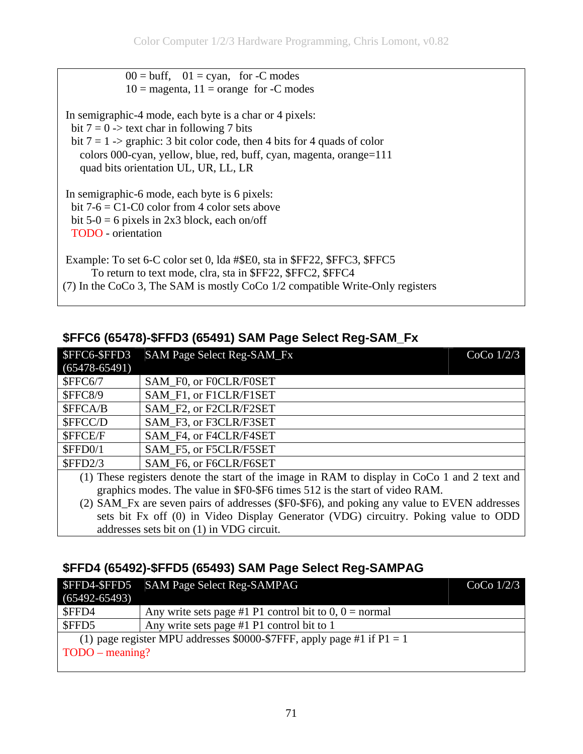$00 = \text{buff}, \quad 01 = \text{cyan}, \quad \text{for } -\text{C} \text{ modes}$  $10 = \text{magenta}, 11 = \text{orange}$  for -C modes

 In semigraphic-4 mode, each byte is a char or 4 pixels: bit  $7 = 0$  -> text char in following 7 bits bit  $7 = 1$  -> graphic: 3 bit color code, then 4 bits for 4 quads of color colors 000-cyan, yellow, blue, red, buff, cyan, magenta, orange=111 quad bits orientation UL, UR, LL, LR

 In semigraphic-6 mode, each byte is 6 pixels: bit  $7-6 = C1-C0$  color from 4 color sets above bit  $5-0 = 6$  pixels in 2x3 block, each on/off TODO - orientation

 Example: To set 6-C color set 0, lda #\$E0, sta in \$FF22, \$FFC3, \$FFC5 To return to text mode, clra, sta in \$FF22, \$FFC2, \$FFC4 (7) In the CoCo 3, The SAM is mostly CoCo 1/2 compatible Write-Only registers

#### **\$FFC6 (65478)-\$FFD3 (65491) SAM Page Select Reg-SAM\_Fx**

| SFFC6-SFFD3       | <b>SAM Page Select Reg-SAM_Fx</b><br>$CoCo$ $1/2/3$                                              |  |
|-------------------|--------------------------------------------------------------------------------------------------|--|
| $(65478 - 65491)$ |                                                                                                  |  |
| SFFC6/7           | SAM F0, or F0CLR/F0SET                                                                           |  |
| <b>\$FFC8/9</b>   | SAM F1, or F1CLR/F1SET                                                                           |  |
| \$FFCA/B          | SAM F2, or F2CLR/F2SET                                                                           |  |
| \$FFCC/D          | SAM F3, or F3CLR/F3SET                                                                           |  |
| \$FFCE/F          | SAM F4, or F4CLR/F4SET                                                                           |  |
| SFFD0/1           | SAM F5, or F5CLR/F5SET                                                                           |  |
| SFFD2/3           | SAM F6, or F6CLR/F6SET                                                                           |  |
|                   | (1) These registers denote the start of the image in RAM to display in $C_0C_0$ 1 and 2 text and |  |

(1) These registers denote the start of the image in RAM to display in CoCo 1 and 2 text and graphics modes. The value in \$F0-\$F6 times 512 is the start of video RAM.

(2) SAM\_Fx are seven pairs of addresses (\$F0-\$F6), and poking any value to EVEN addresses sets bit Fx off (0) in Video Display Generator (VDG) circuitry. Poking value to ODD addresses sets bit on (1) in VDG circuit.

#### **\$FFD4 (65492)-\$FFD5 (65493) SAM Page Select Reg-SAMPAG**

|                   | \$FFD4-\$FFD5 SAM Page Select Reg-SAMPAG                                 | $CoCo$ $1/2/3$ |
|-------------------|--------------------------------------------------------------------------|----------------|
| $(65492 - 65493)$ |                                                                          |                |
| \$FFD4            | Any write sets page #1 P1 control bit to $0, 0$ = normal                 |                |
| \$FFD5            | Any write sets page #1 P1 control bit to 1                               |                |
|                   | (1) page register MPU addresses \$0000-\$7FFF, apply page #1 if $P1 = 1$ |                |
| TODO – meaning?   |                                                                          |                |
|                   |                                                                          |                |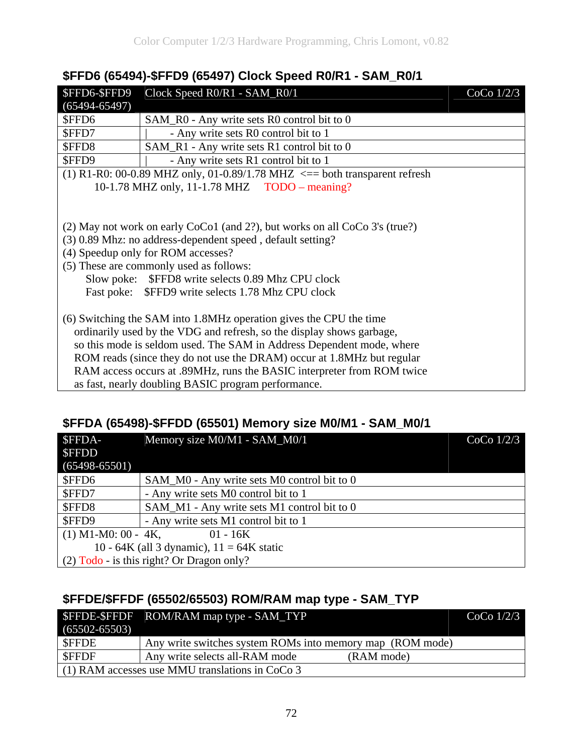#### **\$FFD6 (65494)-\$FFD9 (65497) Clock Speed R0/R1 - SAM\_R0/1**

| \$FFD6-\$FFD9                                                          | Clock Speed R0/R1 - SAM_R0/1                                                    | CoCo $1/2/3$ |  |
|------------------------------------------------------------------------|---------------------------------------------------------------------------------|--------------|--|
| $(65494 - 65497)$                                                      |                                                                                 |              |  |
| \$FFD6                                                                 | SAM_R0 - Any write sets R0 control bit to 0                                     |              |  |
| \$FFD7                                                                 | - Any write sets R0 control bit to 1                                            |              |  |
| \$FFD8                                                                 | SAM_R1 - Any write sets R1 control bit to 0                                     |              |  |
| \$FFD9                                                                 | - Any write sets R1 control bit to 1                                            |              |  |
|                                                                        | (1) R1-R0: 00-0.89 MHZ only, 01-0.89/1.78 MHZ $\leq$ = both transparent refresh |              |  |
|                                                                        | 10-1.78 MHZ only, 11-1.78 MHZ TODO – meaning?                                   |              |  |
|                                                                        |                                                                                 |              |  |
|                                                                        |                                                                                 |              |  |
|                                                                        | (2) May not work on early CoCo1 (and 2?), but works on all CoCo 3's (true?)     |              |  |
|                                                                        | (3) 0.89 Mhz: no address-dependent speed, default setting?                      |              |  |
|                                                                        | (4) Speedup only for ROM accesses?                                              |              |  |
|                                                                        | (5) These are commonly used as follows:                                         |              |  |
|                                                                        | Slow poke: \$FFD8 write selects 0.89 Mhz CPU clock                              |              |  |
|                                                                        | Fast poke: \$FFD9 write selects 1.78 Mhz CPU clock                              |              |  |
|                                                                        |                                                                                 |              |  |
|                                                                        | (6) Switching the SAM into 1.8MHz operation gives the CPU the time              |              |  |
| ordinarily used by the VDG and refresh, so the display shows garbage,  |                                                                                 |              |  |
| so this mode is seldom used. The SAM in Address Dependent mode, where  |                                                                                 |              |  |
| ROM reads (since they do not use the DRAM) occur at 1.8MHz but regular |                                                                                 |              |  |
|                                                                        | RAM access occurs at .89MHz, runs the BASIC interpreter from ROM twice          |              |  |
|                                                                        | as fast, nearly doubling BASIC program performance.                             |              |  |

#### **\$FFDA (65498)-\$FFDD (65501) Memory size M0/M1 - SAM\_M0/1**

| <b>SFFDA-</b>         | Memory size M0/M1 - SAM_M0/1                | $CoCo$ $1/2/3$ |
|-----------------------|---------------------------------------------|----------------|
| <b>SFFDD</b>          |                                             |                |
| $(65498 - 65501)$     |                                             |                |
| \$FFD6                | SAM_M0 - Any write sets M0 control bit to 0 |                |
| \$FFD7                | - Any write sets M0 control bit to 1        |                |
| \$FFD8                | SAM_M1 - Any write sets M1 control bit to 0 |                |
| \$FFD9                | - Any write sets M1 control bit to 1        |                |
| $(1)$ M1-M0: 00 - 4K, | $01 - 16K$                                  |                |
|                       | 10 - 64K (all 3 dynamic), $11 = 64K$ static |                |
|                       | $(2)$ Todo - is this right? Or Dragon only? |                |

#### **\$FFDE/\$FFDF (65502/65503) ROM/RAM map type - SAM\_TYP**

|                   | <b>\$FFDE-\$FFDF</b> ROM/RAM map type - SAM_TYP           | $CoCo$ 1/2/3 |
|-------------------|-----------------------------------------------------------|--------------|
| $(65502 - 65503)$ |                                                           |              |
| <b>SFFDE</b>      | Any write switches system ROMs into memory map (ROM mode) |              |
| <b>SFFDF</b>      | Any write selects all-RAM mode                            | (RAM mode)   |
|                   | $(1)$ RAM accesses use MMU translations in CoCo 3         |              |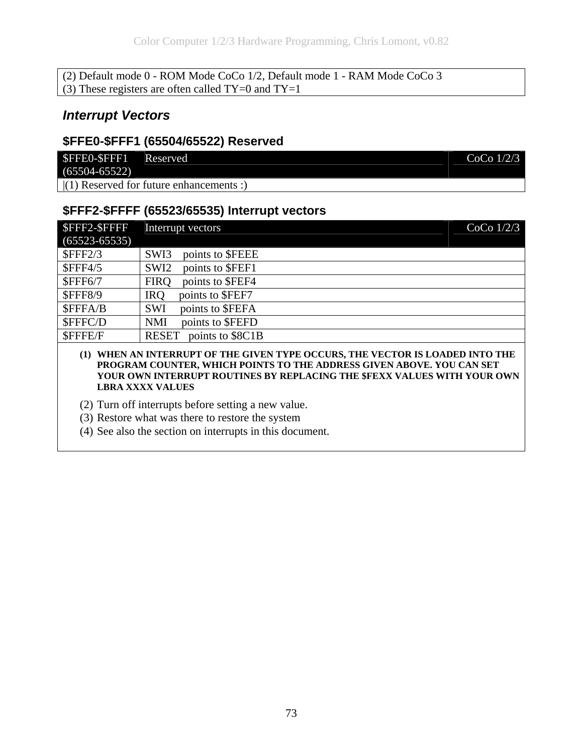(2) Default mode 0 - ROM Mode CoCo 1/2, Default mode 1 - RAM Mode CoCo 3 (3) These registers are often called  $TY=0$  and  $TY=1$ 

#### *Interrupt Vectors*

#### **\$FFE0-\$FFF1 (65504/65522) Reserved**

| \$FFE0-\$FFF1 Reserved |                                           | CoCo $1/2/3$ |
|------------------------|-------------------------------------------|--------------|
| $(65504 - 65522)$      |                                           |              |
|                        | $(1)$ Reserved for future enhancements :) |              |

### **\$FFF2-\$FFFF (65523/65535) Interrupt vectors**

| <b>SFFF2-SFFFF</b> | Interrupt vectors                    | $CoCo$ $1/2/3$ |
|--------------------|--------------------------------------|----------------|
| $(65523 - 65535)$  |                                      |                |
| $S$ FFF2/3         | points to \$FEEE<br>SWI3             |                |
| <b>\$FFF4/5</b>    | points to \$FEF1<br>SWI <sub>2</sub> |                |
| <b>\$FFF6/7</b>    | points to \$FEF4<br><b>FIRQ</b>      |                |
| <b>\$FFF8/9</b>    | points to \$FEF7<br><b>IRQ</b>       |                |
| \$FFFA/B           | points to \$FEFA<br><b>SWI</b>       |                |
| \$FFFC/D           | points to \$FEFD<br><b>NMI</b>       |                |
| \$FFFE/F           | points to \$8C1B<br><b>RESET</b>     |                |

#### **(1) WHEN AN INTERRUPT OF THE GIVEN TYPE OCCURS, THE VECTOR IS LOADED INTO THE PROGRAM COUNTER, WHICH POINTS TO THE ADDRESS GIVEN ABOVE. YOU CAN SET YOUR OWN INTERRUPT ROUTINES BY REPLACING THE \$FEXX VALUES WITH YOUR OWN LBRA XXXX VALUES**

- (2) Turn off interrupts before setting a new value.
- (3) Restore what was there to restore the system
- (4) See also the section on interrupts in this document.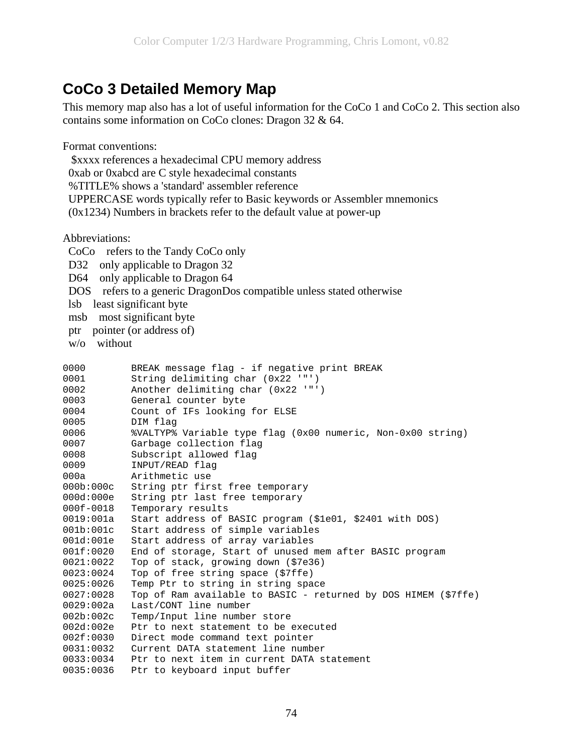## **CoCo 3 Detailed Memory Map**

This memory map also has a lot of useful information for the CoCo 1 and CoCo 2. This section also contains some information on CoCo clones: Dragon 32 & 64.

Format conventions:

 \$xxxx references a hexadecimal CPU memory address 0xab or 0xabcd are C style hexadecimal constants %TITLE% shows a 'standard' assembler reference UPPERCASE words typically refer to Basic keywords or Assembler mnemonics (0x1234) Numbers in brackets refer to the default value at power-up

Abbreviations:

```
 CoCo refers to the Tandy CoCo only 
D32 only applicable to Dragon 32
 D64 only applicable to Dragon 64 
 DOS refers to a generic DragonDos compatible unless stated otherwise 
 lsb least significant byte 
msb most significant byte
 ptr pointer (or address of) 
 w/o without 
0000 BREAK message flag - if negative print BREAK
0001 String delimiting char (0x22 '"') 
0002 Another delimiting char (0x22 '"') 
0003 General counter byte 
0004 Count of IFs looking for ELSE 
0005 DIM flag 
0006 %VALTYP% Variable type flag (0x00 numeric, Non-0x00 string) 
0007 Garbage collection flag 
0008 Subscript allowed flag 
0009 INPUT/READ flag 
000a Arithmetic use 
000b:000c String ptr first free temporary 
000d:000e String ptr last free temporary 
000f-0018 Temporary results 
0019:001a Start address of BASIC program ($1e01, $2401 with DOS) 
001b:001c Start address of simple variables 
001d:001e Start address of array variables 
001f:0020 End of storage, Start of unused mem after BASIC program 
0021:0022 Top of stack, growing down ($7e36) 
0023:0024 Top of free string space ($7ffe) 
0025:0026 Temp Ptr to string in string space 
0027:0028 Top of Ram available to BASIC - returned by DOS HIMEM ($7ffe) 
0029:002a Last/CONT line number 
002b:002c Temp/Input line number store 
002d:002e Ptr to next statement to be executed 
002f:0030 Direct mode command text pointer 
0031:0032 Current DATA statement line number 
0033:0034 Ptr to next item in current DATA statement 
0035:0036 Ptr to keyboard input buffer
```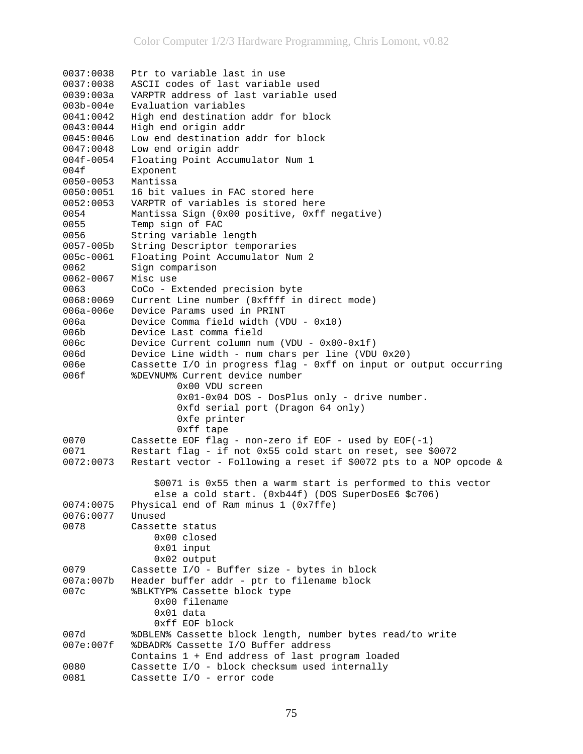```
0037:0038 Ptr to variable last in use 
0037:0038 ASCII codes of last variable used 
0039:003a VARPTR address of last variable used 
003b-004e Evaluation variables 
0041:0042 High end destination addr for block 
0043:0044 High end origin addr 
0045:0046 Low end destination addr for block 
0047:0048 Low end origin addr 
004f-0054 Floating Point Accumulator Num 1 
004f Exponent 
0050-0053 Mantissa 
0050:0051 16 bit values in FAC stored here 
0052:0053 VARPTR of variables is stored here 
0054 Mantissa Sign (0x00 positive, 0xff negative) 
0055 Temp sign of FAC 
0056 String variable length 
0057-005b String Descriptor temporaries 
005c-0061 Floating Point Accumulator Num 2 
0062 Sign comparison 
0062-0067 Misc use 
0063 CoCo - Extended precision byte<br>0068:0069 Current Line number (0xffff in direct mode)
0068:0069 Current Line number (0xffff in direct mode) 
006a-006e Device Params used in PRINT 
006a Device Comma field width (VDU - 0x10) 
006b Device Last comma field 
006c Device Current column num (VDU - 0x00-0x1f) 
006d Device Line width - num chars per line (VDU 0x20) 
006e Cassette I/O in progress flag - 0xff on input or output occurring<br>006f 8DEVNUM% Current device number
           006f %DEVNUM% Current device number 
                     0x00 VDU screen 
                     0x01-0x04 DOS - DosPlus only - drive number. 
                      0xfd serial port (Dragon 64 only) 
                     0xfe printer 
                      0xff tape 
0070 Cassette EOF flag - non-zero if EOF - used by EOF(-1)<br>0071 Restart flag - if not 0x55 cold start on reset, see $
            Restart flag - if not 0x55 cold start on reset, see $0072
0072:0073 Restart vector - Following a reset if $0072 pts to a NOP opcode & 
                 $0071 is 0x55 then a warm start is performed to this vector 
                 else a cold start. (0xb44f) (DOS SuperDosE6 $c706) 
0074:0075 Physical end of Ram minus 1 (0x7ffe) 
0076:0077 Unused 
0078 Cassette status 
                 0x00 closed 
                 0x01 input 
                 0x02 output 
0079 Cassette I/O - Buffer size - bytes in block 
007a:007b Header buffer addr - ptr to filename block 
007c %BLKTYP% Cassette block type 
                 0x00 filename 
                 0x01 data 
007d 0xff EOF block<br>$DBLEN% Cassette b
            %DBLEN% Cassette block length, number bytes read/to write
007e:007f %DBADR% Cassette I/O Buffer address 
Contains 1 + End address of last program loaded<br>0080 Cassette I/O - block checksum used internally
          Cassette I/O - block checksum used internally
0081 Cassette I/O - error code
```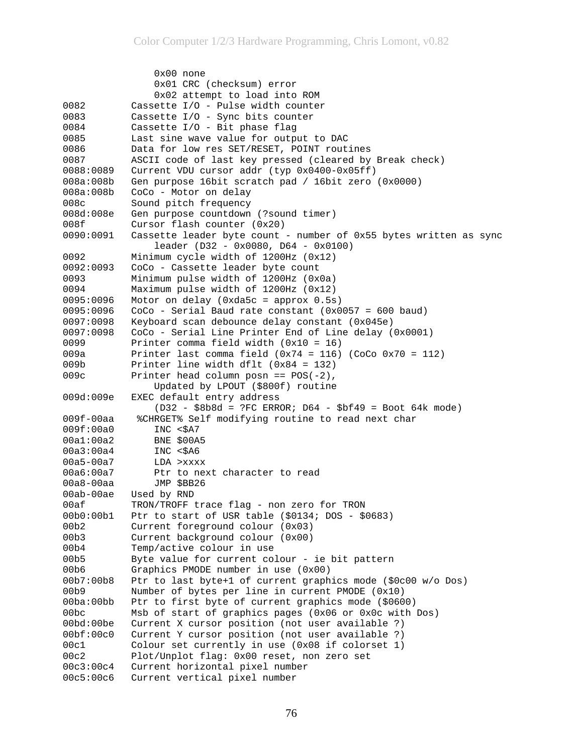0x00 none 0x01 CRC (checksum) error 0x02 attempt to load into ROM<br>Cassette I/O - Pulse width counter Cassette I/O - Pulse width counter 0083 Cassette I/O - Sync bits counter 0084 Cassette I/O - Bit phase flag 0085 Last sine wave value for output to DAC 0086 Data for low res SET/RESET, POINT routines 0087 ASCII code of last key pressed (cleared by Break check) 0088:0089 Current VDU cursor addr (typ 0x0400-0x05ff) 008a:008b Gen purpose 16bit scratch pad / 16bit zero (0x0000) 008a:008b CoCo - Motor on delay 008c Sound pitch frequency 008d:008e Gen purpose countdown (?sound timer) 008f Cursor flash counter (0x20) 0090:0091 Cassette leader byte count - number of 0x55 bytes written as sync leader (D32 - 0x0080, D64 - 0x0100) 0092 Minimum cycle width of 1200Hz (0x12) 0092:0093 CoCo - Cassette leader byte count 0093 Minimum pulse width of 1200Hz (0x0a) 0094 Maximum pulse width of 1200Hz (0x12) 0095:0096 Motor on delay (0xda5c = approx 0.5s) 0095:0096 CoCo - Serial Baud rate constant (0x0057 = 600 baud) 0097:0098 Keyboard scan debounce delay constant (0x045e) 0097:0098 CoCo - Serial Line Printer End of Line delay (0x0001) 0099 Printer comma field width (0x10 = 16) 009a Printer last comma field (0x74 = 116) (CoCo 0x70 = 112) 009b Printer line width dflt (0x84 = 132) 009c Printer head column posn ==  $POS(-2)$ , Updated by LPOUT (\$800f) routine 009d:009e EXEC default entry address (D32 - \$8b8d = ?FC ERROR; D64 - \$bf49 = Boot 64k mode) 009f-00aa %CHRGET% Self modifying routine to read next char 009f:00a0 INC <\$A7 00a1:00a2 BNE \$00A5 00a3:00a4 INC <\$A6 00a5-00a7 LDA >xxxx 00a6:00a7 Ptr to next character to read 00a8-00aa JMP \$BB26 00ab-00ae Used by RND 00af TRON/TROFF trace flag - non zero for TRON 00b0:00b1 Ptr to start of USR table (\$0134; DOS - \$0683) 00b2 Current foreground colour (0x03) 00b3 Current background colour (0x00) 00b4 Temp/active colour in use 00b5 Byte value for current colour - ie bit pattern 00b6 Graphics PMODE number in use (0x00) 00b7:00b8 Ptr to last byte+1 of current graphics mode (\$0c00 w/o Dos) 00b9 Number of bytes per line in current PMODE (0x10) 00ba:00bb Ptr to first byte of current graphics mode (\$0600) 00bc Msb of start of graphics pages (0x06 or 0x0c with Dos) 00bd:00be Current X cursor position (not user available ?) 00bf:00c0 Current Y cursor position (not user available ?) 00c1 Colour set currently in use (0x08 if colorset 1) 00c2 Plot/Unplot flag: 0x00 reset, non zero set 00c3:00c4 Current horizontal pixel number 00c5:00c6 Current vertical pixel number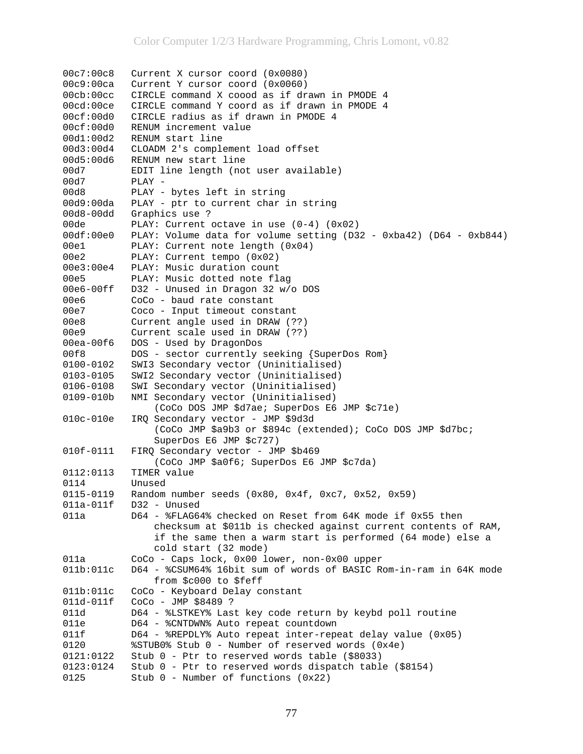00c7:00c8 Current X cursor coord (0x0080) 00c9:00ca Current Y cursor coord (0x0060) 00cb:00cc CIRCLE command X coood as if drawn in PMODE 4 00cd:00ce CIRCLE command Y coord as if drawn in PMODE 4 00cf:00d0 CIRCLE radius as if drawn in PMODE 4 00cf:00d0 RENUM increment value 00d1:00d2 RENUM start line 00d3:00d4 CLOADM 2's complement load offset 00d5:00d6 RENUM new start line 00d7 EDIT line length (not user available) 00d7 PLAY - 00d8 -----<br>00d8 PLAY - bytes left in string 00d9:00da PLAY - ptr to current char in string 00d8-00dd Graphics use ? 00de PLAY: Current octave in use (0-4) (0x02) 00df:00e0 PLAY: Volume data for volume setting (D32 - 0xba42) (D64 - 0xb844) 00e1 PLAY: Current note length (0x04) 00e2 PLAY: Current tempo (0x02) 00e3:00e4 PLAY: Music duration count 00e5 PLAY: Music dotted note flag 00e6-00ff D32 - Unused in Dragon 32 w/o DOS 00e6 CoCo - baud rate constant 00e7 Coco - Input timeout constant 00e8 Current angle used in DRAW (??) 00e9 Current scale used in DRAW (??) 00ea-00f6 DOS - Used by DragonDos 00f8 DOS - sector currently seeking {SuperDos Rom} 0100-0102 SWI3 Secondary vector (Uninitialised) 0103-0105 SWI2 Secondary vector (Uninitialised) 0106-0108 SWI Secondary vector (Uninitialised) 0109-010b NMI Secondary vector (Uninitialised) (CoCo DOS JMP \$d7ae; SuperDos E6 JMP \$c71e) 010c-010e IRQ Secondary vector - JMP \$9d3d (CoCo JMP \$a9b3 or \$894c (extended); CoCo DOS JMP \$d7bc; SuperDos E6 JMP \$c727) 010f-0111 FIRQ Secondary vector - JMP \$b469 (CoCo JMP \$a0f6; SuperDos E6 JMP \$c7da) 0112:0113 TIMER value 0114 Unused 0115-0119 Random number seeds (0x80, 0x4f, 0xc7, 0x52, 0x59) 011a-011f D32 - Unused 011a D64 - %FLAG64% checked on Reset from 64K mode if 0x55 then checksum at \$011b is checked against current contents of RAM, if the same then a warm start is performed (64 mode) else a cold start (32 mode) 011a CoCo - Caps lock, 0x00 lower, non-0x00 upper 011b:011c D64 - %CSUM64% 16bit sum of words of BASIC Rom-in-ram in 64K mode from \$c000 to \$feff 011b:011c CoCo - Keyboard Delay constant 011d-011f CoCo - JMP \$8489 ? 011d D64 - %LSTKEY% Last key code return by keybd poll routine 011e D64 - %CNTDWN% Auto repeat countdown 011f D64 - %REPDLY% Auto repeat inter-repeat delay value (0x05) 0120 %STUB0% Stub 0 - Number of reserved words (0x4e) 0121:0122 Stub 0 - Ptr to reserved words table (\$8033) 0123:0124 Stub 0 - Ptr to reserved words dispatch table (\$8154) 0125 Stub 0 - Number of functions (0x22)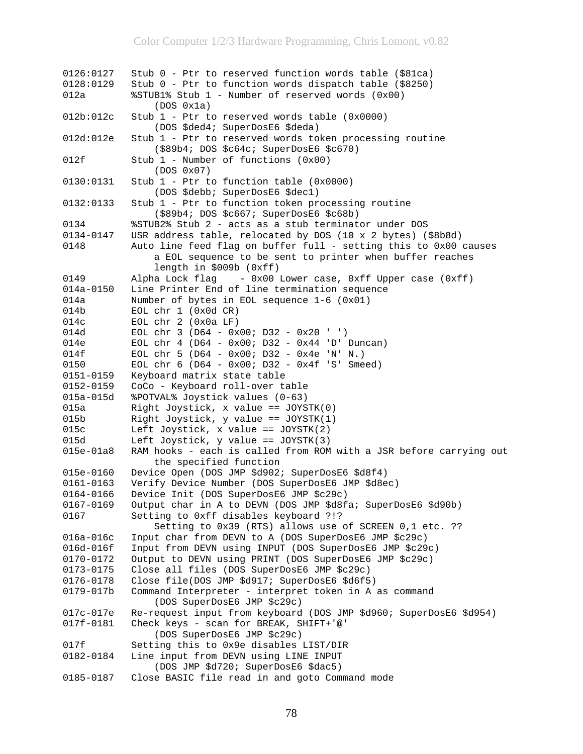```
0126:0127 Stub 0 - Ptr to reserved function words table ($81ca) 
0128:0129 Stub 0 - Ptr to function words dispatch table ($8250) 
012a %STUB1% Stub 1 - Number of reserved words (0x00) 
(DOS \ 0x1a)<br>012b:012c Stub 1 - Ptr to
           Stub 1 - Ptr to reserved words table (0x0000)
                (DOS $ded4; SuperDosE6 $deda) 
012d:012e Stub 1 - Ptr to reserved words token processing routine 
                ($89b4; DOS $c64c; SuperDosE6 $c670) 
012f Stub 1 - Number of functions (0x00) 
                (DOS 0x07) 
0130:0131 Stub 1 - Ptr to function table (0x0000) 
                (DOS $debb; SuperDosE6 $dec1) 
0132:0133 Stub 1 - Ptr to function token processing routine 
                ($89b4; DOS $c667; SuperDosE6 $c68b) 
0134 %STUB2% Stub 2 - acts as a stub terminator under DOS 
           USR address table, relocated by DOS (10 x 2 bytes) ($8b8d)
0148 Auto line feed flag on buffer full - setting this to 0x00 causes
                a EOL sequence to be sent to printer when buffer reaches 
                length in $009b (0xff) 
0149 Alpha Lock flag - 0x00 Lower case, 0xff Upper case (0xff) 
014a-0150 Line Printer End of line termination sequence 
014a Number of bytes in EOL sequence 1-6 (0x01) 
014b EOL chr 1 (0x0d CR) 
014c EOL chr 2 (0x0a LF) 
          EOL chr 3 (D64 - 0x00; D32 - 0x20 ' ')
014e EOL chr 4 (D64 - 0x00; D32 - 0x44 'D' Duncan) 
014f EOL chr 5 (D64 - 0x00; D32 - 0x4e 'N' N.) 
0150 EOL chr 6 (D64 - 0x00; D32 - 0x4f 'S' Smeed) 
0151-0159 Keyboard matrix state table 
0152-0159 CoCo - Keyboard roll-over table 
015a-015d %POTVAL% Joystick values (0-63) 
015a Right Joystick, x value == JOYSTK(0) 
015b Right Joystick, y value == JOYSTK(1) 
015c Left Joystick, x value == JOYSTK(2) 
015d Left Joystick, y value == JOYSTK(3) 
015e-01a8 RAM hooks - each is called from ROM with a JSR before carrying out 
                the specified function 
015e-0160 Device Open (DOS JMP $d902; SuperDosE6 $d8f4) 
0161-0163 Verify Device Number (DOS SuperDosE6 JMP $d8ec) 
0164-0166 Device Init (DOS SuperDosE6 JMP $c29c) 
0167-0169 Output char in A to DEVN (DOS JMP $d8fa; SuperDosE6 $d90b) 
0167 Setting to 0xff disables keyboard ?!? 
                Setting to 0x39 (RTS) allows use of SCREEN 0,1 etc. ?? 
016a-016c Input char from DEVN to A (DOS SuperDosE6 JMP $c29c) 
016d-016f Input from DEVN using INPUT (DOS SuperDosE6 JMP $c29c) 
0170-0172 Output to DEVN using PRINT (DOS SuperDosE6 JMP $c29c) 
0173-0175 Close all files (DOS SuperDosE6 JMP $c29c) 
0176-0178 Close file(DOS JMP $d917; SuperDosE6 $d6f5) 
0179-017b Command Interpreter - interpret token in A as command 
                (DOS SuperDosE6 JMP $c29c) 
017c-017e Re-request input from keyboard (DOS JMP $d960; SuperDosE6 $d954) 
017f-0181 Check keys - scan for BREAK, SHIFT+'@' 
                (DOS SuperDosE6 JMP $c29c) 
017f Setting this to 0x9e disables LIST/DIR 
0182-0184 Line input from DEVN using LINE INPUT 
                (DOS JMP $d720; SuperDosE6 $dac5) 
0185-0187 Close BASIC file read in and goto Command mode
```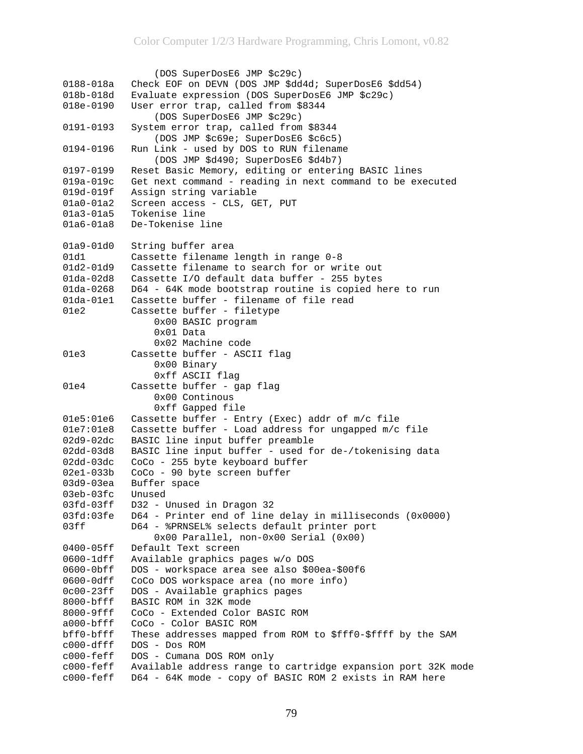```
 (DOS SuperDosE6 JMP $c29c) 
0188-018a Check EOF on DEVN (DOS JMP $dd4d; SuperDosE6 $dd54) 
018b-018d Evaluate expression (DOS SuperDosE6 JMP $c29c) 
018e-0190 User error trap, called from $8344 
                (DOS SuperDosE6 JMP $c29c) 
0191-0193 System error trap, called from $8344 
                (DOS JMP $c69e; SuperDosE6 $c6c5) 
0194-0196 Run Link - used by DOS to RUN filename 
                (DOS JMP $d490; SuperDosE6 $d4b7) 
0197-0199 Reset Basic Memory, editing or entering BASIC lines 
019a-019c Get next command - reading in next command to be executed 
019d-019f Assign string variable 
01a0-01a2 Screen access - CLS, GET, PUT 
01a3-01a5 Tokenise line 
01a6-01a8 De-Tokenise line 
01a9-01d0 String buffer area 
01d1 Cassette filename length in range 0-8
01d2-01d9 Cassette filename to search for or write out 
01da-02d8 Cassette I/O default data buffer - 255 bytes 
01da-0268 D64 - 64K mode bootstrap routine is copied here to run 
01da-01e1 Cassette buffer - filename of file read 
01e2 Cassette buffer - filetype 
                0x00 BASIC program 
                0x01 Data 
                0x02 Machine code 
01e3 Cassette buffer - ASCII flag 
                0x00 Binary 
                0xff ASCII flag 
01e4 Cassette buffer - gap flag
                0x00 Continous 
                0xff Gapped file 
01e5:01e6 Cassette buffer - Entry (Exec) addr of m/c file 
01e7:01e8 Cassette buffer - Load address for ungapped m/c file 
02d9-02dc BASIC line input buffer preamble 
02dd-03d8 BASIC line input buffer - used for de-/tokenising data 
02dd-03dc CoCo - 255 byte keyboard buffer 
02e1-033b CoCo - 90 byte screen buffer 
03d9-03ea Buffer space 
03eb-03fc Unused 
03fd-03ff D32 - Unused in Dragon 32 
03fd:03fe D64 - Printer end of line delay in milliseconds (0x0000) 
03ff D64 - %PRNSEL% selects default printer port 
                0x00 Parallel, non-0x00 Serial (0x00) 
0400-05ff Default Text screen 
0600-1dff Available graphics pages w/o DOS 
0600-0bff DOS - workspace area see also $00ea-$00f6 
0600-0dff CoCo DOS workspace area (no more info) 
0c00-23ff DOS - Available graphics pages 
8000-bfff BASIC ROM in 32K mode 
8000-9fff CoCo - Extended Color BASIC ROM 
a000-bfff CoCo - Color BASIC ROM 
bff0-bfff These addresses mapped from ROM to $fff0-$ffff by the SAM 
c000-dfff DOS - Dos ROM 
c000-feff DOS - Cumana DOS ROM only 
c000-feff Available address range to cartridge expansion port 32K mode 
c000-feff D64 - 64K mode - copy of BASIC ROM 2 exists in RAM here
```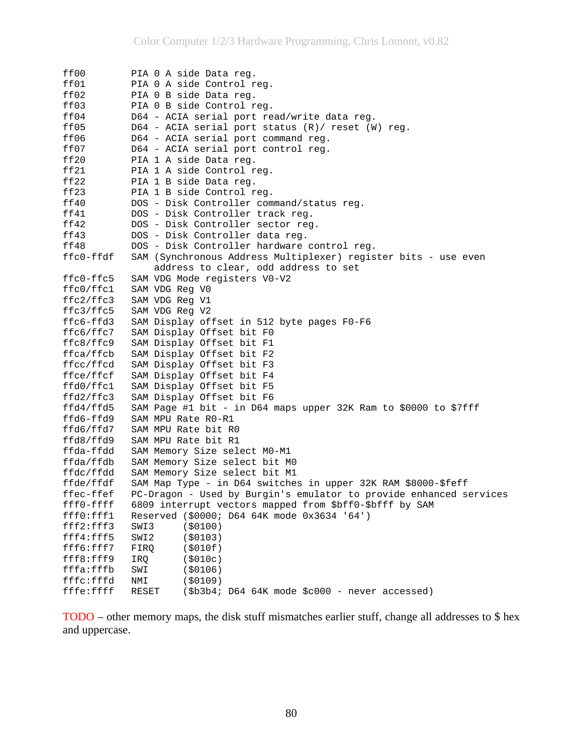| ff00                   | PIA 0 A side Data reg.                                                                         |
|------------------------|------------------------------------------------------------------------------------------------|
| ff01                   | PIA 0 A side Control reg.                                                                      |
| ff02                   | PIA 0 B side Data reg.                                                                         |
| ff03                   | PIA 0 B side Control reg.                                                                      |
| ff04                   | D64 - ACIA serial port read/write data reg.                                                    |
| ff05                   | D64 - ACIA serial port status $(R) /$ reset $(W)$ reg.                                         |
| ff06                   | D64 - ACIA serial port command reg.                                                            |
| ff07                   | D64 - ACIA serial port control reg.                                                            |
| ff20                   | PIA 1 A side Data reg.                                                                         |
| ff21                   | PIA 1 A side Control req.                                                                      |
| ff22                   | PIA 1 B side Data reg.                                                                         |
| ff23                   | PIA 1 B side Control reg.                                                                      |
| ff40                   | DOS - Disk Controller command/status reg.                                                      |
| ff41                   | DOS - Disk Controller track reg.                                                               |
| ff42                   | DOS - Disk Controller sector reg.                                                              |
| ff43                   | DOS - Disk Controller data reg.                                                                |
| ff48                   | DOS - Disk Controller hardware control reg.                                                    |
| ffc0-ffdf              | SAM (Synchronous Address Multiplexer) register bits - use even                                 |
|                        | address to clear, odd address to set                                                           |
| $ffc0-ffc5$            | SAM VDG Mode registers V0-V2                                                                   |
| ffc0/ffc1              | SAM VDG Reg V0                                                                                 |
| ffc2/ffc3              | SAM VDG Reg V1                                                                                 |
| ffc3/ffc5              | SAM VDG Req V2                                                                                 |
| ffc6-ffd3              | SAM Display offset in 512 byte pages F0-F6                                                     |
| ffc6/ffc7              | SAM Display Offset bit FO                                                                      |
| ffc8/ffc9              | SAM Display Offset bit F1                                                                      |
| ffca/ffcb              | SAM Display Offset bit F2                                                                      |
| ffcc/ffcd              | SAM Display Offset bit F3                                                                      |
| ffce/ffcf              | SAM Display Offset bit F4                                                                      |
| ffd0/ffc1              | SAM Display Offset bit F5                                                                      |
| ffd2/ffc3              | SAM Display Offset bit F6                                                                      |
| ffd4/ffd5              | SAM Page #1 bit - in D64 maps upper 32K Ram to \$0000 to \$7fff                                |
| ffd6-ffd9              | SAM MPU Rate R0-R1                                                                             |
| ffd6/ffd7              | SAM MPU Rate bit RO                                                                            |
| ffd8/ffd9              | SAM MPU Rate bit R1                                                                            |
| ffda-ffdd              | SAM Memory Size select M0-M1                                                                   |
|                        | SAM Memory Size select bit MO                                                                  |
| ffda/ffdb              |                                                                                                |
| ffdc/ffdd              | SAM Memory Size select bit M1<br>SAM Map Type - in D64 switches in upper 32K RAM \$8000-\$feff |
| ffde/ffdf<br>ffec-ffef | PC-Dragon - Used by Burgin's emulator to provide enhanced services                             |
| fff0-ffff              | 6809 interrupt vectors mapped from \$bff0-\$bfff by SAM                                        |
|                        | Reserved (\$0000; D64 64K mode 0x3634 '64')                                                    |
| fff0:fff1<br>fff2:fff3 | SWI3<br>( \$0100)                                                                              |
|                        |                                                                                                |
| fff4:fff5              | SWI2<br>( \$0103)                                                                              |
| fff6:fff7<br>fff8:fff9 | ( \$010f)<br>FIRQ<br>( \$010c)                                                                 |
|                        | IRQ                                                                                            |
| fffa:fffb              | ( \$0106)<br>SWI<br>( \$0109)                                                                  |
| fffc:fffd<br>fffe:ffff | NMI                                                                                            |
|                        | $(\$b3b4; D64 64K$ mode $\$c000$ - never accessed)<br>RESET                                    |

TODO – other memory maps, the disk stuff mismatches earlier stuff, change all addresses to \$ hex and uppercase.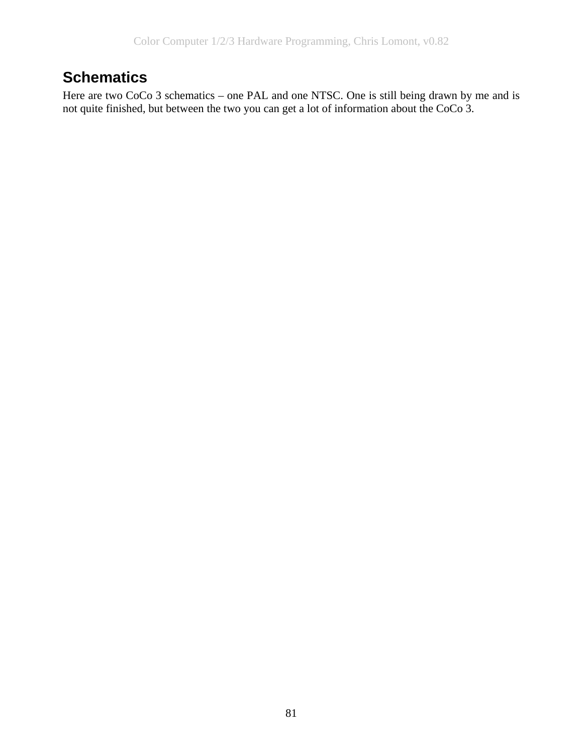# **Schematics**

Here are two CoCo 3 schematics – one PAL and one NTSC. One is still being drawn by me and is not quite finished, but between the two you can get a lot of information about the CoCo 3.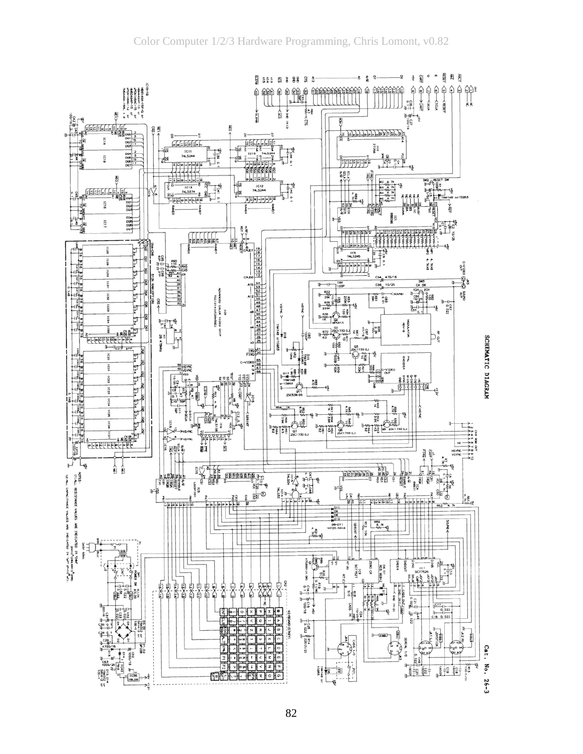

82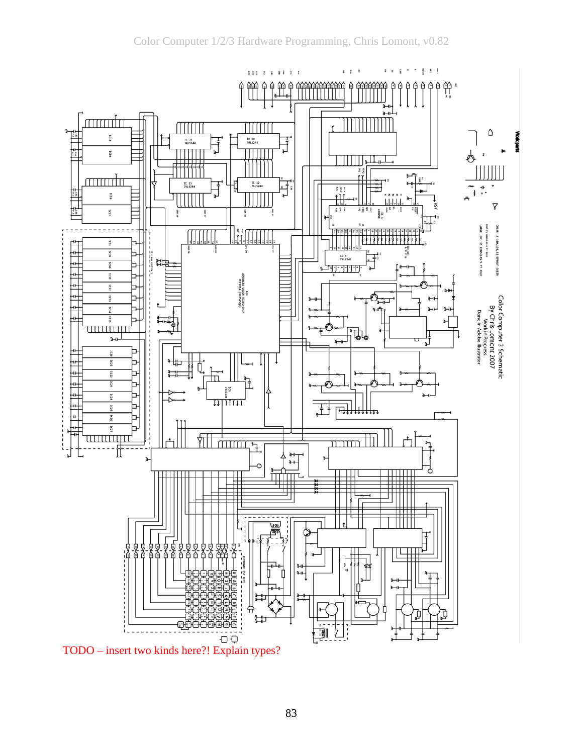

TODO – insert two kinds here?! Explain types?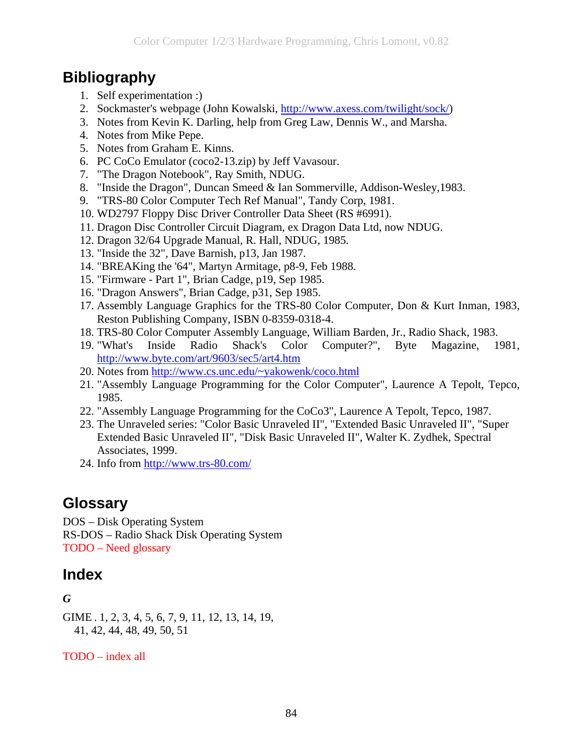## **Bibliography**

- 1. Self experimentation :)
- 2. Sockmaster's webpage (John Kowalski, [http://www.axess.com/twilight/sock/\)](http://www.axess.com/twilight/sock/)
- 3. Notes from Kevin K. Darling, help from Greg Law, Dennis W., and Marsha.
- 4. Notes from Mike Pepe.
- 5. Notes from Graham E. Kinns.
- 6. PC CoCo Emulator (coco2-13.zip) by Jeff Vavasour.
- 7. "The Dragon Notebook", Ray Smith, NDUG.
- 8. "Inside the Dragon", Duncan Smeed & Ian Sommerville, Addison-Wesley,1983.
- 9. "TRS-80 Color Computer Tech Ref Manual", Tandy Corp, 1981.
- 10. WD2797 Floppy Disc Driver Controller Data Sheet (RS #6991).
- 11. Dragon Disc Controller Circuit Diagram, ex Dragon Data Ltd, now NDUG.
- 12. Dragon 32/64 Upgrade Manual, R. Hall, NDUG, 1985.
- 13. "Inside the 32", Dave Barnish, p13, Jan 1987.
- 14. "BREAKing the '64", Martyn Armitage, p8-9, Feb 1988.
- 15. "Firmware Part 1", Brian Cadge, p19, Sep 1985.
- 16. "Dragon Answers", Brian Cadge, p31, Sep 1985.
- 17. Assembly Language Graphics for the TRS-80 Color Computer, Don & Kurt Inman, 1983, Reston Publishing Company, ISBN 0-8359-0318-4.
- 18. TRS-80 Color Computer Assembly Language, William Barden, Jr., Radio Shack, 1983.
- 19. "What's Inside Radio Shack's Color Computer?", Byte Magazine, 1981, <http://www.byte.com/art/9603/sec5/art4.htm>
- 20. Notes from<http://www.cs.unc.edu/~yakowenk/coco.html>
- 21. "Assembly Language Programming for the Color Computer", Laurence A Tepolt, Tepco, 1985.
- 22. "Assembly Language Programming for the CoCo3", Laurence A Tepolt, Tepco, 1987.
- 23. The Unraveled series: "Color Basic Unraveled II", "Extended Basic Unraveled II", "Super Extended Basic Unraveled II", "Disk Basic Unraveled II", Walter K. Zydhek, Spectral Associates, 1999.

24. Info from<http://www.trs-80.com/>

## **Glossary**

DOS – Disk Operating System RS-DOS – Radio Shack Disk Operating System TODO – Need glossary

## **Index**

### *G*

GIME . 1, 2, 3, 4, 5, 6, 7, 9, 11, 12, 13, 14, 19, 41, 42, 44, 48, 49, 50, 51

TODO – index all